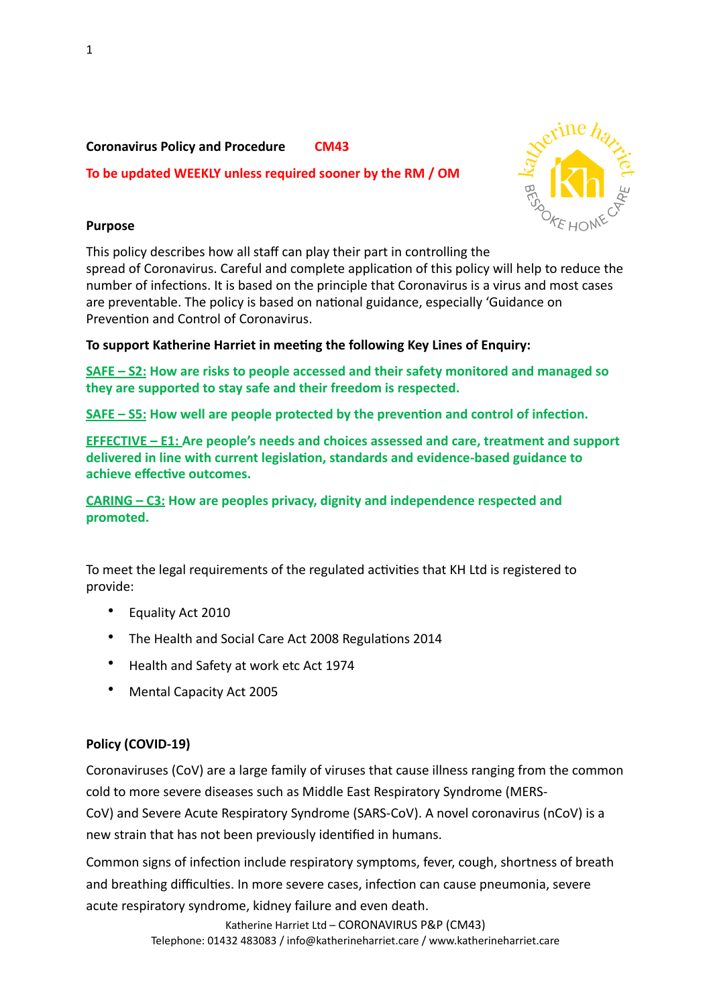**Coronavirus Policy and Procedure CM43** To be updated WEEKLY unless required sooner by the RM / OM



# **Purpose**

This policy describes how all staff can play their part in controlling the spread of Coronavirus. Careful and complete application of this policy will help to reduce the number of infections. It is based on the principle that Coronavirus is a virus and most cases are preventable. The policy is based on national guidance, especially 'Guidance on Prevention and Control of Coronavirus.

To support Katherine Harriet in meeting the following Key Lines of Enquiry:

**SAFE – S2: How are risks to people accessed and their safety monitored and managed so** they are supported to stay safe and their freedom is respected.

**SAFE** – S5: How well are people protected by the prevention and control of infection.

**EFFECTIVE – E1: Are people's needs and choices assessed and care, treatment and support** delivered in line with current legislation, standards and evidence-based guidance to achieve effective outcomes.

**CARING** – C3: How are peoples privacy, dignity and independence respected and **promoted.** 

To meet the legal requirements of the regulated activities that KH Ltd is registered to provide: 

- Equality Act 2010
- The Health and Social Care Act 2008 Regulations 2014
- Health and Safety at work etc Act 1974
- Mental Capacity Act 2005

# Policy (COVID-19)

Coronaviruses (CoV) are a large family of viruses that cause illness ranging from the common cold to more severe diseases such as Middle East Respiratory Syndrome (MERS-

[CoV\)](https://www.who.int/emergencies/mers-cov/en/) and Severe Acute Respiratory Syndrome (SARS-CoV). A novel coronavirus (nCoV) is a new strain that has not been previously identified in humans.

Common signs of infection include respiratory symptoms, fever, cough, shortness of breath and breathing difficulties. In more severe cases, infection can cause pneumonia, severe acute respiratory syndrome, kidney failure and even death.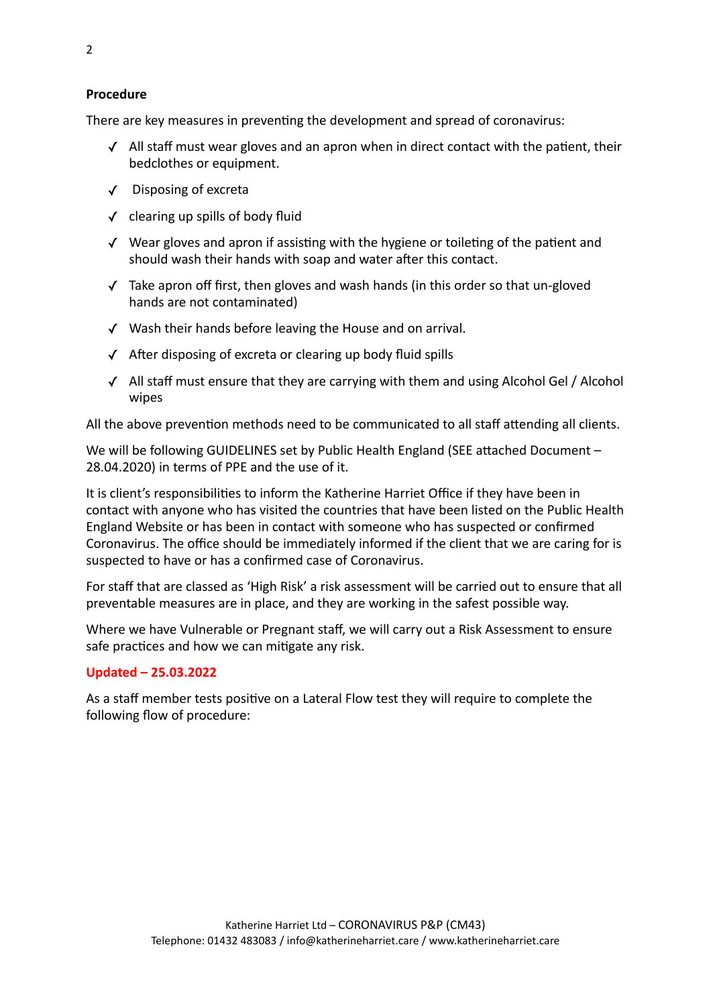There are key measures in preventing the development and spread of coronavirus:

- $\checkmark$  All staff must wear gloves and an apron when in direct contact with the patient, their bedclothes or equipment.
- ✓ Disposing of excreta
- $\checkmark$  clearing up spills of body fluid
- $\checkmark$  Wear gloves and apron if assisting with the hygiene or toileting of the patient and should wash their hands with soap and water after this contact.
- $\checkmark$  Take apron off first, then gloves and wash hands (in this order so that un-gloved hands are not contaminated)
- $\checkmark$  Wash their hands before leaving the House and on arrival.
- $\sqrt{\phantom{a}}$  After disposing of excreta or clearing up body fluid spills
- $\checkmark$  All staff must ensure that they are carrying with them and using Alcohol Gel / Alcohol wipes

All the above prevention methods need to be communicated to all staff attending all clients.

We will be following GUIDELINES set by Public Health England (SEE attached Document -28.04.2020) in terms of PPE and the use of it.

It is client's responsibilities to inform the Katherine Harriet Office if they have been in contact with anyone who has visited the countries that have been listed on the Public Health England Website or has been in contact with someone who has suspected or confirmed Coronavirus. The office should be immediately informed if the client that we are caring for is suspected to have or has a confirmed case of Coronavirus.

For staff that are classed as 'High Risk' a risk assessment will be carried out to ensure that all preventable measures are in place, and they are working in the safest possible way.

Where we have Vulnerable or Pregnant staff, we will carry out a Risk Assessment to ensure safe practices and how we can mitigate any risk.

#### **Updated – 25.03.2022**

As a staff member tests positive on a Lateral Flow test they will require to complete the following flow of procedure: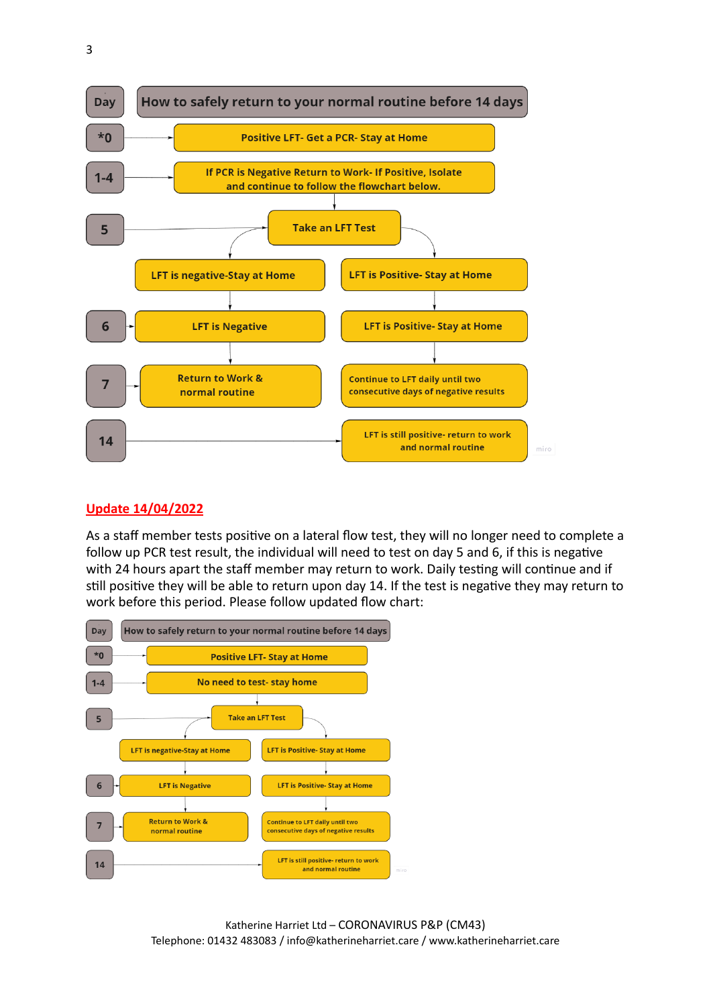

# **Update 14/04/2022**

As a staff member tests positive on a lateral flow test, they will no longer need to complete a follow up PCR test result, the individual will need to test on day 5 and 6, if this is negative with 24 hours apart the staff member may return to work. Daily testing will continue and if still positive they will be able to return upon day 14. If the test is negative they may return to work before this period. Please follow updated flow chart:

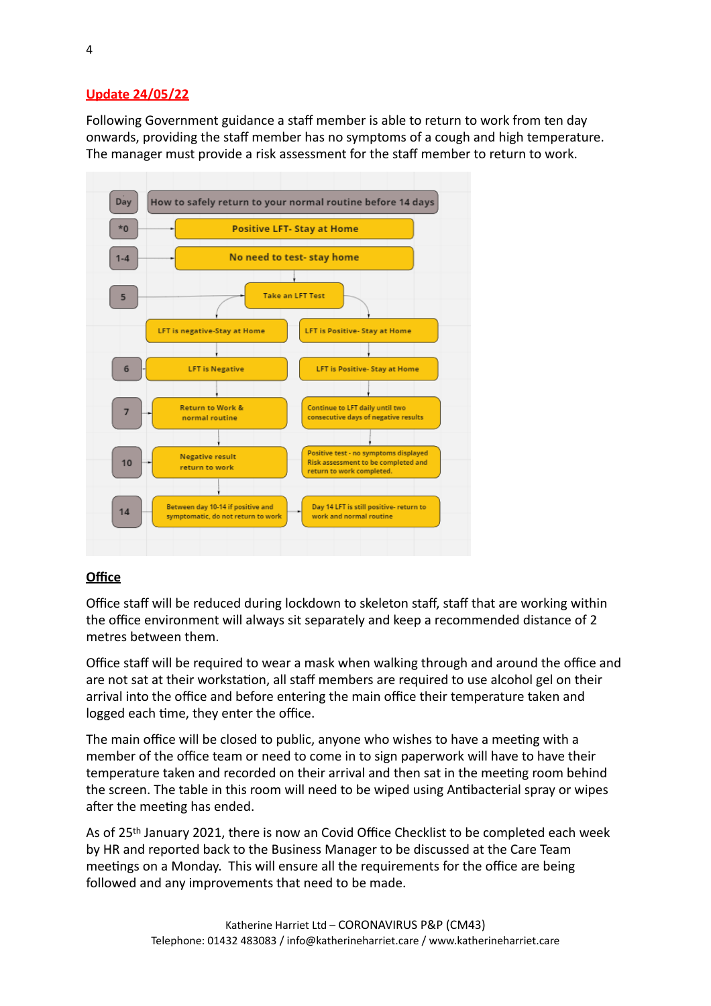# **Update 24/05/22**

Following Government guidance a staff member is able to return to work from ten day onwards, providing the staff member has no symptoms of a cough and high temperature. The manager must provide a risk assessment for the staff member to return to work.



# **Office**

Office staff will be reduced during lockdown to skeleton staff, staff that are working within the office environment will always sit separately and keep a recommended distance of 2 metres between them.

Office staff will be required to wear a mask when walking through and around the office and are not sat at their workstation, all staff members are required to use alcohol gel on their arrival into the office and before entering the main office their temperature taken and logged each time, they enter the office.

The main office will be closed to public, anyone who wishes to have a meeting with a member of the office team or need to come in to sign paperwork will have to have their temperature taken and recorded on their arrival and then sat in the meeting room behind the screen. The table in this room will need to be wiped using Antibacterial spray or wipes after the meeting has ended.

As of 25<sup>th</sup> January 2021, there is now an Covid Office Checklist to be completed each week by HR and reported back to the Business Manager to be discussed at the Care Team meetings on a Monday. This will ensure all the requirements for the office are being followed and any improvements that need to be made.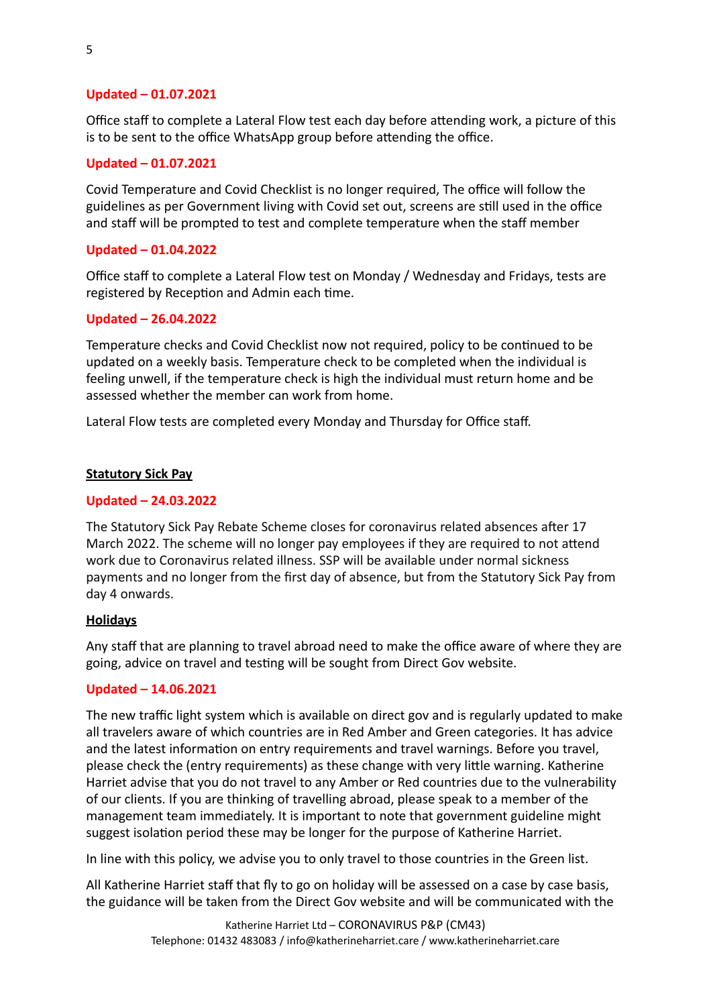### Updated - 01.07.2021

Office staff to complete a Lateral Flow test each day before attending work, a picture of this is to be sent to the office WhatsApp group before attending the office.

# Updated - 01.07.2021

Covid Temperature and Covid Checklist is no longer required, The office will follow the guidelines as per Government living with Covid set out, screens are still used in the office and staff will be prompted to test and complete temperature when the staff member

# Updated - 01.04.2022

Office staff to complete a Lateral Flow test on Monday / Wednesday and Fridays, tests are registered by Reception and Admin each time.

### Updated - 26.04.2022

Temperature checks and Covid Checklist now not required, policy to be continued to be updated on a weekly basis. Temperature check to be completed when the individual is feeling unwell, if the temperature check is high the individual must return home and be assessed whether the member can work from home.

Lateral Flow tests are completed every Monday and Thursday for Office staff.

#### **Statutory Sick Pay**

### **Updated – 24.03.2022**

The Statutory Sick Pay Rebate Scheme closes for coronavirus related absences after 17 March 2022. The scheme will no longer pay employees if they are required to not attend work due to Coronavirus related illness. SSP will be available under normal sickness payments and no longer from the first day of absence, but from the Statutory Sick Pay from day 4 onwards.

#### **Holidays**

Any staff that are planning to travel abroad need to make the office aware of where they are going, advice on travel and testing will be sought from Direct Gov website.

#### **Updated – 14.06.2021**

The new traffic light system which is available on direct gov and is regularly updated to make all travelers aware of which countries are in Red Amber and Green categories. It has advice and the latest information on entry requirements and travel warnings. Before you travel, please check the (entry requirements) as these change with very little warning. Katherine Harriet advise that you do not travel to any Amber or Red countries due to the vulnerability of our clients. If you are thinking of travelling abroad, please speak to a member of the management team immediately. It is important to note that government guideline might suggest isolation period these may be longer for the purpose of Katherine Harriet.

In line with this policy, we advise you to only travel to those countries in the Green list.

All Katherine Harriet staff that fly to go on holiday will be assessed on a case by case basis, the guidance will be taken from the Direct Gov website and will be communicated with the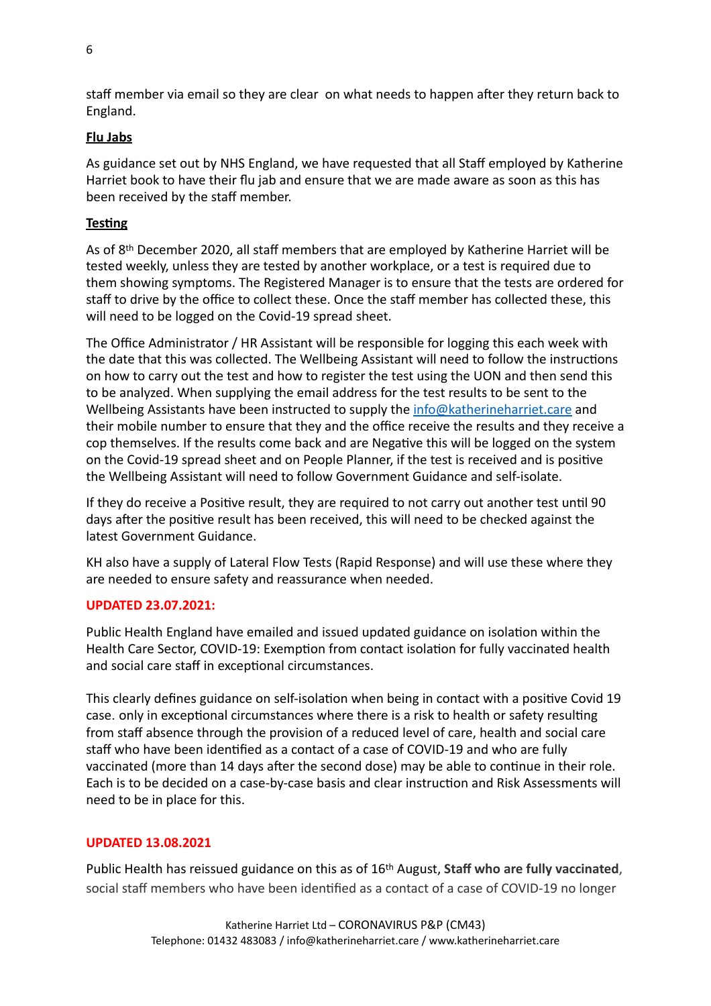staff member via email so they are clear on what needs to happen after they return back to England. 

# **Flu Jabs**

As guidance set out by NHS England, we have requested that all Staff employed by Katherine Harriet book to have their flu jab and ensure that we are made aware as soon as this has been received by the staff member.

# **Testing**

As of 8<sup>th</sup> December 2020, all staff members that are employed by Katherine Harriet will be tested weekly, unless they are tested by another workplace, or a test is required due to them showing symptoms. The Registered Manager is to ensure that the tests are ordered for staff to drive by the office to collect these. Once the staff member has collected these, this will need to be logged on the Covid-19 spread sheet.

The Office Administrator / HR Assistant will be responsible for logging this each week with the date that this was collected. The Wellbeing Assistant will need to follow the instructions on how to carry out the test and how to register the test using the UON and then send this to be analyzed. When supplying the email address for the test results to be sent to the Wellbeing Assistants have been instructed to supply the info@katherineharriet.care and their mobile number to ensure that they and the office receive the results and they receive a cop themselves. If the results come back and are Negative this will be logged on the system on the Covid-19 spread sheet and on People Planner, if the test is received and is positive the Wellbeing Assistant will need to follow Government Guidance and self-isolate.

If they do receive a Positive result, they are required to not carry out another test until 90 days after the positive result has been received, this will need to be checked against the latest Government Guidance.

KH also have a supply of Lateral Flow Tests (Rapid Response) and will use these where they are needed to ensure safety and reassurance when needed.

# **UPDATED 23.07.2021:**

Public Health England have emailed and issued updated guidance on isolation within the Health Care Sector, COVID-19: Exemption from contact isolation for fully vaccinated health and social care staff in exceptional circumstances.

This clearly defines guidance on self-isolation when being in contact with a positive Covid 19 case. only in exceptional circumstances where there is a risk to health or safety resulting from staff absence through the provision of a reduced level of care, health and social care staff who have been identified as a contact of a case of COVID-19 and who are fully vaccinated (more than 14 days after the second dose) may be able to continue in their role. Each is to be decided on a case-by-case basis and clear instruction and Risk Assessments will need to be in place for this.

# **UPDATED 13.08.2021**

Public Health has reissued guidance on this as of 16<sup>th</sup> August, Staff who are fully vaccinated, social staff members who have been identified as a contact of a case of COVID-19 no longer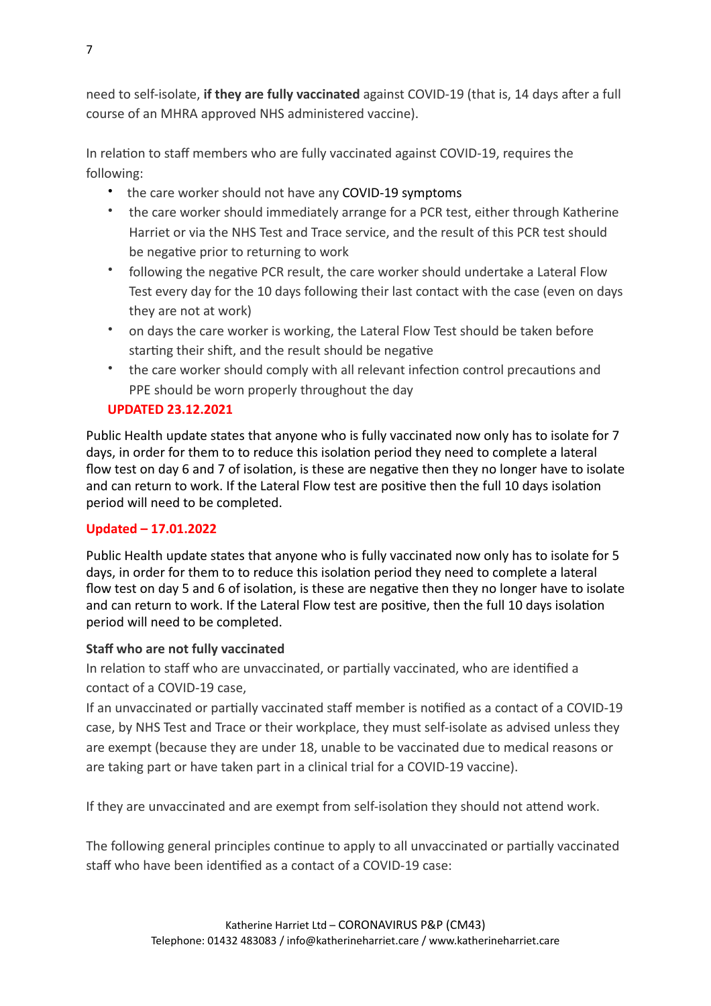need to self-isolate, if they are fully vaccinated against COVID-19 (that is, 14 days after a full course of an MHRA approved NHS administered vaccine).

In relation to staff members who are fully vaccinated against COVID-19, requires the following: 

- the care worker should not have any COVID-19 symptoms
- the care worker should immediately arrange for a PCR test, either through Katherine Harriet or via the NHS Test and Trace service, and the result of this PCR test should be negative prior to returning to work
- following the negative PCR result, the care worker should undertake a Lateral Flow Test every day for the 10 days following their last contact with the case (even on days they are not at work)
- on days the care worker is working, the Lateral Flow Test should be taken before starting their shift, and the result should be negative
- the care worker should comply with all relevant infection control precautions and PPE should be worn properly throughout the day

# **UPDATED 23.12.2021**

Public Health update states that anyone who is fully vaccinated now only has to isolate for 7 days, in order for them to to reduce this isolation period they need to complete a lateral flow test on day 6 and 7 of isolation, is these are negative then they no longer have to isolate and can return to work. If the Lateral Flow test are positive then the full 10 days isolation period will need to be completed.

# **Updated – 17.01.2022**

Public Health update states that anyone who is fully vaccinated now only has to isolate for 5 days, in order for them to to reduce this isolation period they need to complete a lateral flow test on day 5 and 6 of isolation, is these are negative then they no longer have to isolate and can return to work. If the Lateral Flow test are positive, then the full 10 days isolation period will need to be completed.

# **Staff who are not fully vaccinated**

In relation to staff who are unvaccinated, or partially vaccinated, who are identified a contact of a COVID-19 case.

If an unvaccinated or partially vaccinated staff member is notified as a contact of a COVID-19 case, by NHS Test and Trace or their workplace, they must self-isolate as advised unless they are exempt (because they are under 18, unable to be vaccinated due to medical reasons or are taking part or have taken part in a clinical trial for a COVID-19 vaccine).

If they are unvaccinated and are exempt from self-isolation they should not attend work.

The following general principles continue to apply to all unvaccinated or partially vaccinated staff who have been identified as a contact of a COVID-19 case: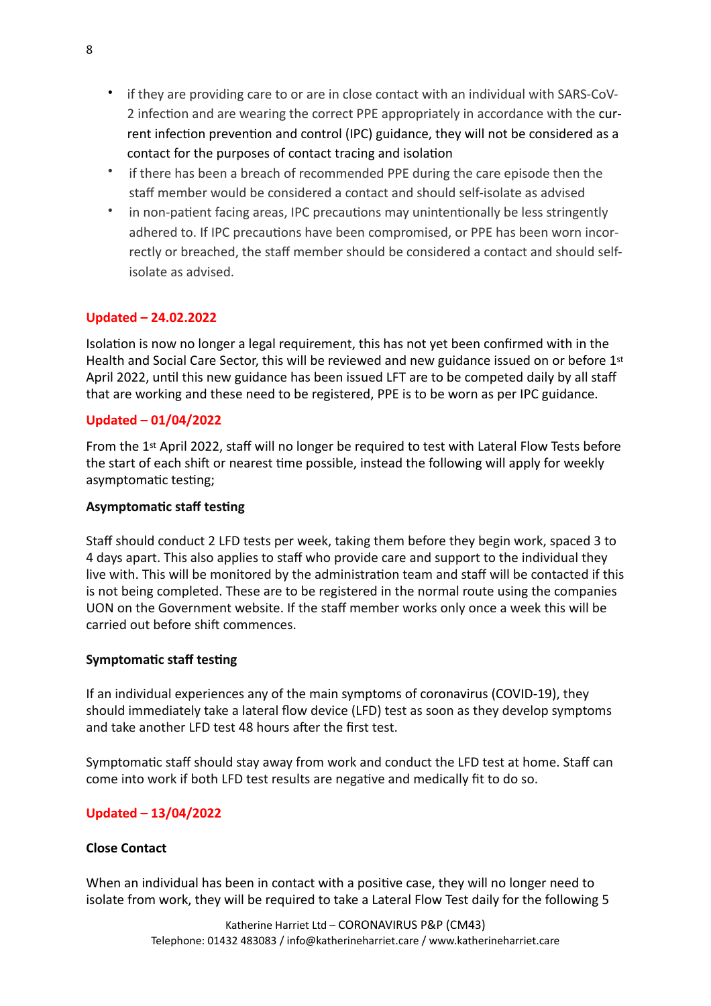- if they are providing care to or are in close contact with an individual with SARS-CoV-2 infection and are wearing the correct PPE appropriately in accordance with the current infection prevention and control (IPC) guidance, they will not be considered as a contact for the purposes of contact tracing and isolation
- if there has been a breach of recommended PPE during the care episode then the staff member would be considered a contact and should self-isolate as advised
- in non-patient facing areas, IPC precautions may unintentionally be less stringently adhered to. If IPC precautions have been compromised, or PPE has been worn incorrectly or breached, the staff member should be considered a contact and should selfisolate as advised.

# **Updated – 24.02.2022**

Isolation is now no longer a legal requirement, this has not yet been confirmed with in the Health and Social Care Sector, this will be reviewed and new guidance issued on or before  $1^{st}$ April 2022, until this new guidance has been issued LFT are to be competed daily by all staff that are working and these need to be registered, PPE is to be worn as per IPC guidance.

# **Updated – 01/04/2022**

From the 1<sup>st</sup> April 2022, staff will no longer be required to test with Lateral Flow Tests before the start of each shift or nearest time possible, instead the following will apply for weekly asymptomatic testing;

### **Asymptomatic staff testing**

Staff should conduct 2 LFD tests per week, taking them before they begin work, spaced 3 to 4 days apart. This also applies to staff who provide care and support to the individual they live with. This will be monitored by the administration team and staff will be contacted if this is not being completed. These are to be registered in the normal route using the companies UON on the Government website. If the staff member works only once a week this will be carried out before shift commences.

### **Symptomatic staff testing**

If an individual experiences any of the main symptoms of coronavirus (COVID-19), they should immediately take a lateral flow device (LFD) test as soon as they develop symptoms and take another LFD test 48 hours after the first test.

Symptomatic staff should stay away from work and conduct the LFD test at home. Staff can come into work if both LFD test results are negative and medically fit to do so.

# **Updated – 13/04/2022**

# **Close Contact**

When an individual has been in contact with a positive case, they will no longer need to isolate from work, they will be required to take a Lateral Flow Test daily for the following 5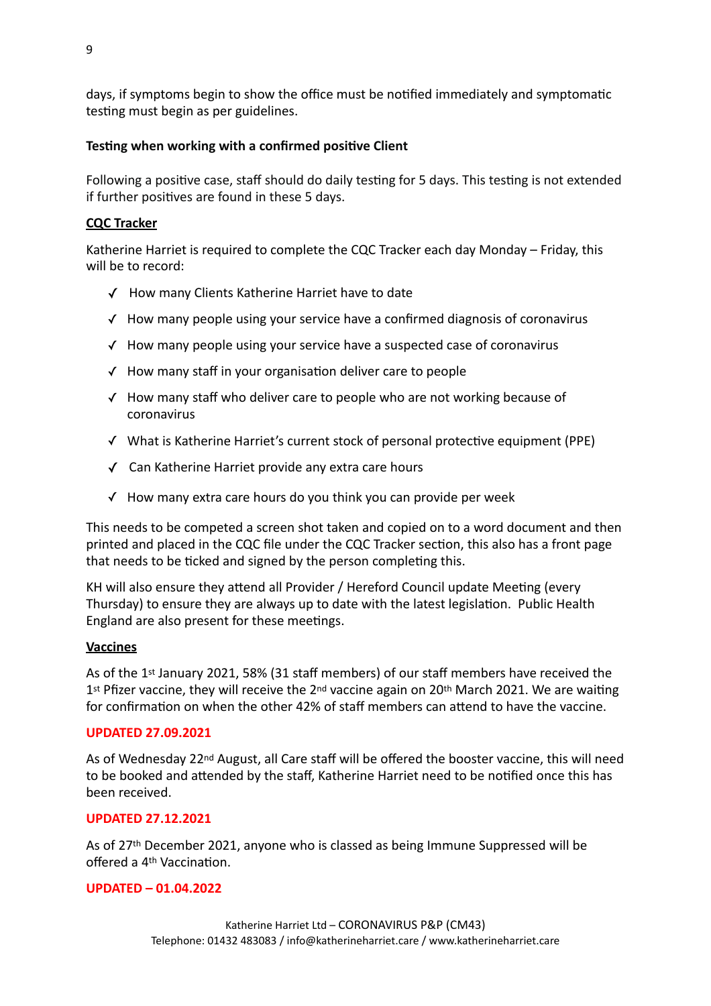days, if symptoms begin to show the office must be notified immediately and symptomatic testing must begin as per guidelines.

# **Testing when working with a confirmed positive Client**

Following a positive case, staff should do daily testing for 5 days. This testing is not extended if further positives are found in these 5 days.

# **CQC** Tracker

Katherine Harriet is required to complete the CQC Tracker each day Monday – Friday, this will be to record:

- √ How many Clients Katherine Harriet have to date
- $\checkmark$  How many people using your service have a confirmed diagnosis of coronavirus
- $\checkmark$  How many people using your service have a suspected case of coronavirus
- $\checkmark$  How many staff in your organisation deliver care to people
- $\checkmark$  How many staff who deliver care to people who are not working because of coronavirus
- √ What is Katherine Harriet's current stock of personal protective equipment (PPE)
- $\sqrt{ }$  Can Katherine Harriet provide any extra care hours
- $\checkmark$  How many extra care hours do you think you can provide per week

This needs to be competed a screen shot taken and copied on to a word document and then printed and placed in the CQC file under the CQC Tracker section, this also has a front page that needs to be ticked and signed by the person completing this.

KH will also ensure they attend all Provider / Hereford Council update Meeting (every Thursday) to ensure they are always up to date with the latest legislation. Public Health England are also present for these meetings.

# **Vaccines**

As of the  $1<sup>st</sup>$  January 2021, 58% (31 staff members) of our staff members have received the  $1<sup>st</sup>$  Pfizer vaccine, they will receive the  $2<sup>nd</sup>$  vaccine again on  $20<sup>th</sup>$  March 2021. We are waiting for confirmation on when the other 42% of staff members can attend to have the vaccine.

# **UPDATED 27.09.2021**

As of Wednesday 22<sup>nd</sup> August, all Care staff will be offered the booster vaccine, this will need to be booked and attended by the staff, Katherine Harriet need to be notified once this has been received. 

# **UPDATED 27.12.2021**

As of  $27<sup>th</sup>$  December 2021, anyone who is classed as being Immune Suppressed will be offered a 4<sup>th</sup> Vaccination.

# **UPDATED – 01.04.2022**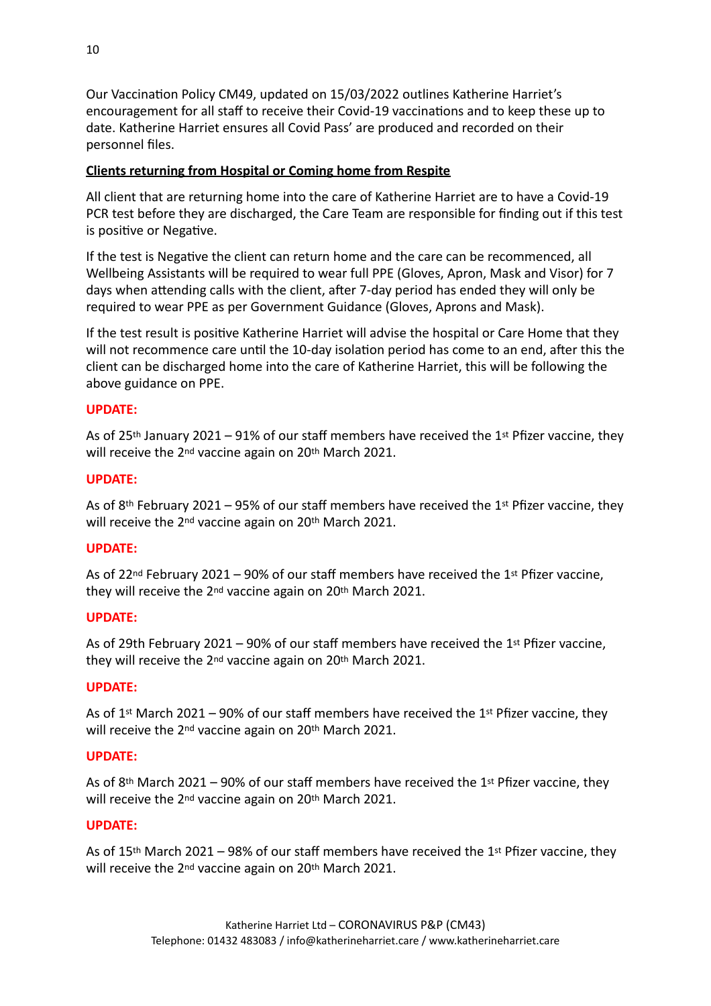Our Vaccination Policy CM49, updated on 15/03/2022 outlines Katherine Harriet's encouragement for all staff to receive their Covid-19 vaccinations and to keep these up to date. Katherine Harriet ensures all Covid Pass' are produced and recorded on their personnel files.

# **Clients returning from Hospital or Coming home from Respite**

All client that are returning home into the care of Katherine Harriet are to have a Covid-19 PCR test before they are discharged, the Care Team are responsible for finding out if this test is positive or Negative.

If the test is Negative the client can return home and the care can be recommenced, all Wellbeing Assistants will be required to wear full PPE (Gloves, Apron, Mask and Visor) for 7 days when attending calls with the client, after 7-day period has ended they will only be required to wear PPE as per Government Guidance (Gloves, Aprons and Mask).

If the test result is positive Katherine Harriet will advise the hospital or Care Home that they will not recommence care until the 10-day isolation period has come to an end, after this the client can be discharged home into the care of Katherine Harriet, this will be following the above guidance on PPE.

# **UPDATE:**

As of 25<sup>th</sup> January 2021 – 91% of our staff members have received the 1<sup>st</sup> Pfizer vaccine, they will receive the 2<sup>nd</sup> vaccine again on 20<sup>th</sup> March 2021.

# **UPDATE:**

As of 8<sup>th</sup> February 2021 – 95% of our staff members have received the 1<sup>st</sup> Pfizer vaccine, they will receive the  $2^{nd}$  vaccine again on  $20^{th}$  March 2021.

# **UPDATE:**

As of 22<sup>nd</sup> February 2021 – 90% of our staff members have received the 1<sup>st</sup> Pfizer vaccine, they will receive the 2<sup>nd</sup> vaccine again on 20<sup>th</sup> March 2021.

# **UPDATE:**

As of 29th February 2021 – 90% of our staff members have received the 1<sup>st</sup> Pfizer vaccine, they will receive the  $2^{nd}$  vaccine again on  $20^{th}$  March 2021.

# **UPDATE:**

As of 1<sup>st</sup> March 2021 – 90% of our staff members have received the 1<sup>st</sup> Pfizer vaccine, they will receive the  $2^{nd}$  vaccine again on  $20^{th}$  March 2021.

### **UPDATE:**

As of 8<sup>th</sup> March 2021 – 90% of our staff members have received the 1<sup>st</sup> Pfizer vaccine, they will receive the 2<sup>nd</sup> vaccine again on 20<sup>th</sup> March 2021.

#### **UPDATE:**

As of 15<sup>th</sup> March 2021 – 98% of our staff members have received the 1<sup>st</sup> Pfizer vaccine, they will receive the 2<sup>nd</sup> vaccine again on 20<sup>th</sup> March 2021.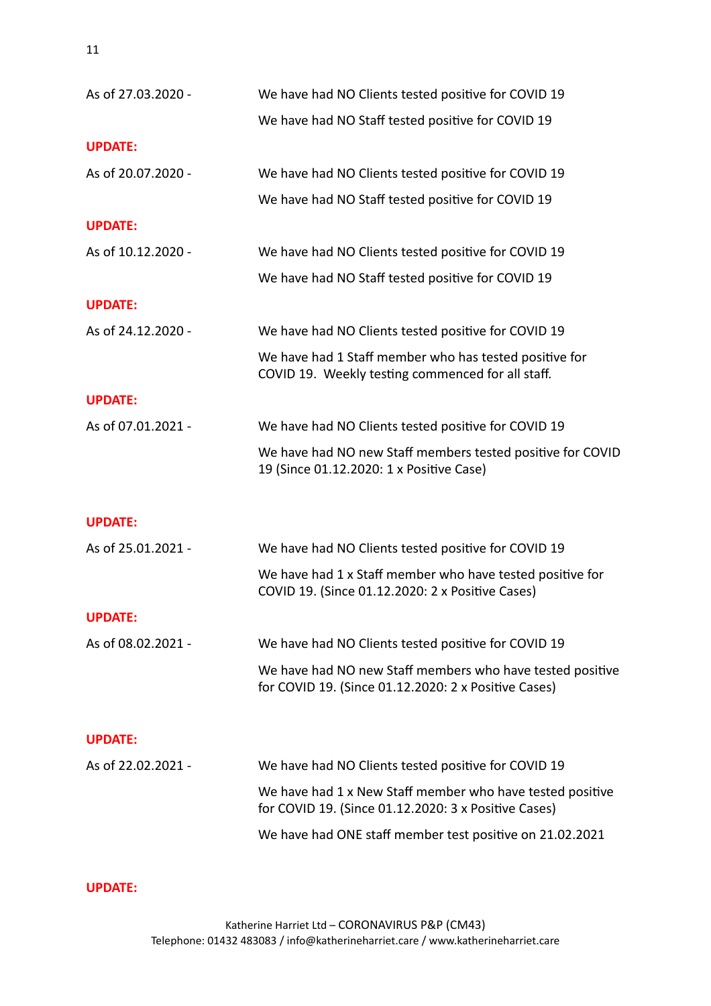| As of 27.03.2020 - | We have had NO Clients tested positive for COVID 19                                                               |
|--------------------|-------------------------------------------------------------------------------------------------------------------|
|                    | We have had NO Staff tested positive for COVID 19                                                                 |
| <b>UPDATE:</b>     |                                                                                                                   |
| As of 20.07.2020 - | We have had NO Clients tested positive for COVID 19                                                               |
|                    | We have had NO Staff tested positive for COVID 19                                                                 |
| <b>UPDATE:</b>     |                                                                                                                   |
| As of 10.12.2020 - | We have had NO Clients tested positive for COVID 19                                                               |
|                    | We have had NO Staff tested positive for COVID 19                                                                 |
| <b>UPDATE:</b>     |                                                                                                                   |
| As of 24.12.2020 - | We have had NO Clients tested positive for COVID 19                                                               |
|                    | We have had 1 Staff member who has tested positive for<br>COVID 19. Weekly testing commenced for all staff.       |
| <b>UPDATE:</b>     |                                                                                                                   |
| As of 07.01.2021 - | We have had NO Clients tested positive for COVID 19                                                               |
|                    | We have had NO new Staff members tested positive for COVID<br>19 (Since 01.12.2020: 1 x Positive Case)            |
|                    |                                                                                                                   |
| <b>UPDATE:</b>     |                                                                                                                   |
| As of 25.01.2021 - | We have had NO Clients tested positive for COVID 19                                                               |
|                    | We have had 1 x Staff member who have tested positive for<br>COVID 19. (Since 01.12.2020: 2 x Positive Cases)     |
| <b>UPDATE:</b>     |                                                                                                                   |
| As of 08.02.2021 - | We have had NO Clients tested positive for COVID 19                                                               |
|                    | We have had NO new Staff members who have tested positive<br>for COVID 19. (Since 01.12.2020: 2 x Positive Cases) |
| <b>UPDATE:</b>     |                                                                                                                   |
| As of 22.02.2021 - | We have had NO Clients tested positive for COVID 19                                                               |
|                    | We have had 1 x New Staff member who have tested positive<br>for COVID 19. (Since 01.12.2020: 3 x Positive Cases) |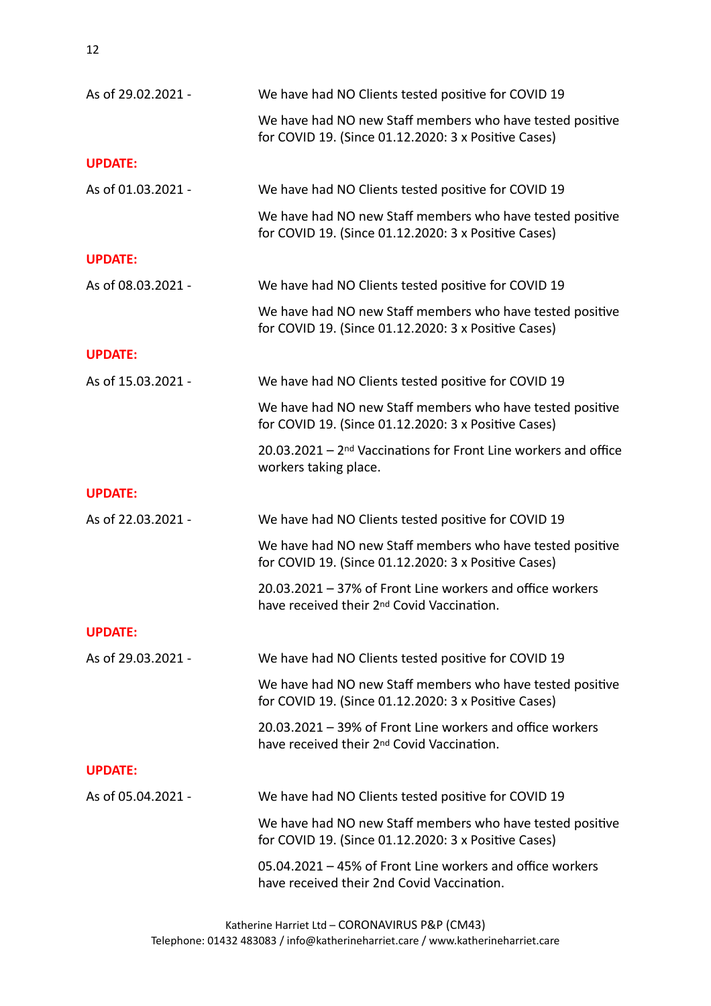| As of 29.02.2021 - | We have had NO Clients tested positive for COVID 19                                                                 |
|--------------------|---------------------------------------------------------------------------------------------------------------------|
|                    | We have had NO new Staff members who have tested positive<br>for COVID 19. (Since 01.12.2020: 3 x Positive Cases)   |
| <b>UPDATE:</b>     |                                                                                                                     |
| As of 01.03.2021 - | We have had NO Clients tested positive for COVID 19                                                                 |
|                    | We have had NO new Staff members who have tested positive<br>for COVID 19. (Since 01.12.2020: 3 x Positive Cases)   |
| <b>UPDATE:</b>     |                                                                                                                     |
| As of 08.03.2021 - | We have had NO Clients tested positive for COVID 19                                                                 |
|                    | We have had NO new Staff members who have tested positive<br>for COVID 19. (Since 01.12.2020: 3 x Positive Cases)   |
| <b>UPDATE:</b>     |                                                                                                                     |
| As of 15.03.2021 - | We have had NO Clients tested positive for COVID 19                                                                 |
|                    | We have had NO new Staff members who have tested positive<br>for COVID 19. (Since 01.12.2020: 3 x Positive Cases)   |
|                    | 20.03.2021 - 2 <sup>nd</sup> Vaccinations for Front Line workers and office<br>workers taking place.                |
| <b>UPDATE:</b>     |                                                                                                                     |
| As of 22.03.2021 - | We have had NO Clients tested positive for COVID 19                                                                 |
|                    | We have had NO new Staff members who have tested positive<br>for COVID 19. (Since 01.12.2020: 3 x Positive Cases)   |
|                    | 20.03.2021 - 37% of Front Line workers and office workers<br>have received their 2 <sup>nd</sup> Covid Vaccination. |
| <b>UPDATE:</b>     |                                                                                                                     |
| As of 29.03.2021 - | We have had NO Clients tested positive for COVID 19                                                                 |
|                    | We have had NO new Staff members who have tested positive<br>for COVID 19. (Since 01.12.2020: 3 x Positive Cases)   |
|                    | 20.03.2021 - 39% of Front Line workers and office workers<br>have received their 2 <sup>nd</sup> Covid Vaccination. |
| <b>UPDATE:</b>     |                                                                                                                     |
| As of 05.04.2021 - | We have had NO Clients tested positive for COVID 19                                                                 |
|                    | We have had NO new Staff members who have tested positive                                                           |
|                    | for COVID 19. (Since 01.12.2020: 3 x Positive Cases)                                                                |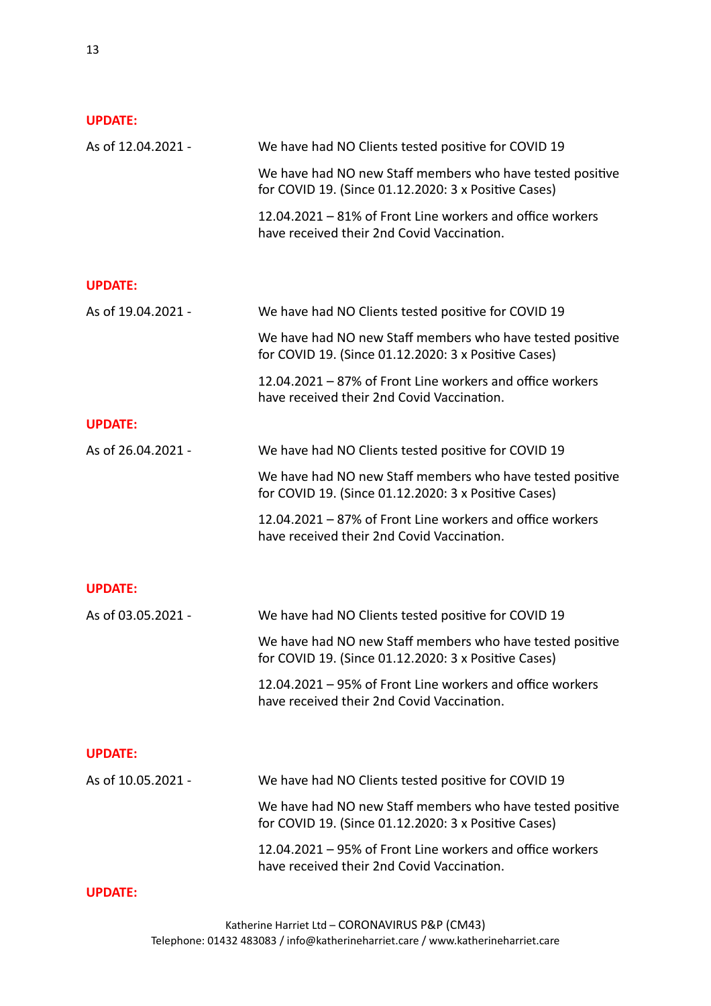| As of 12.04.2021 - | We have had NO Clients tested positive for COVID 19                                                               |
|--------------------|-------------------------------------------------------------------------------------------------------------------|
|                    | We have had NO new Staff members who have tested positive<br>for COVID 19. (Since 01.12.2020: 3 x Positive Cases) |
|                    | 12.04.2021 – 81% of Front Line workers and office workers<br>have received their 2nd Covid Vaccination.           |
| <b>UPDATE:</b>     |                                                                                                                   |
| As of 19.04.2021 - | We have had NO Clients tested positive for COVID 19                                                               |
|                    | We have had NO new Staff members who have tested positive<br>for COVID 19. (Since 01.12.2020: 3 x Positive Cases) |
|                    | 12.04.2021 - 87% of Front Line workers and office workers<br>have received their 2nd Covid Vaccination.           |
| <b>UPDATE:</b>     |                                                                                                                   |
| As of 26.04.2021 - | We have had NO Clients tested positive for COVID 19                                                               |
|                    | We have had NO new Staff members who have tested positive<br>for COVID 19. (Since 01.12.2020: 3 x Positive Cases) |
|                    | 12.04.2021 - 87% of Front Line workers and office workers<br>have received their 2nd Covid Vaccination.           |
| <b>UPDATE:</b>     |                                                                                                                   |
| As of 03.05.2021 - | We have had NO Clients tested positive for COVID 19                                                               |
|                    | We have had NO new Staff members who have tested positive<br>for COVID 19. (Since 01.12.2020: 3 x Positive Cases) |
|                    | 12.04.2021 – 95% of Front Line workers and office workers<br>have received their 2nd Covid Vaccination.           |
| <b>UPDATE:</b>     |                                                                                                                   |
| As of 10.05.2021 - | We have had NO Clients tested positive for COVID 19                                                               |
|                    | We have had NO new Staff members who have tested positive<br>for COVID 19. (Since 01.12.2020: 3 x Positive Cases) |
|                    | 12.04.2021 – 95% of Front Line workers and office workers<br>have received their 2nd Covid Vaccination.           |
| <b>UPDATE:</b>     |                                                                                                                   |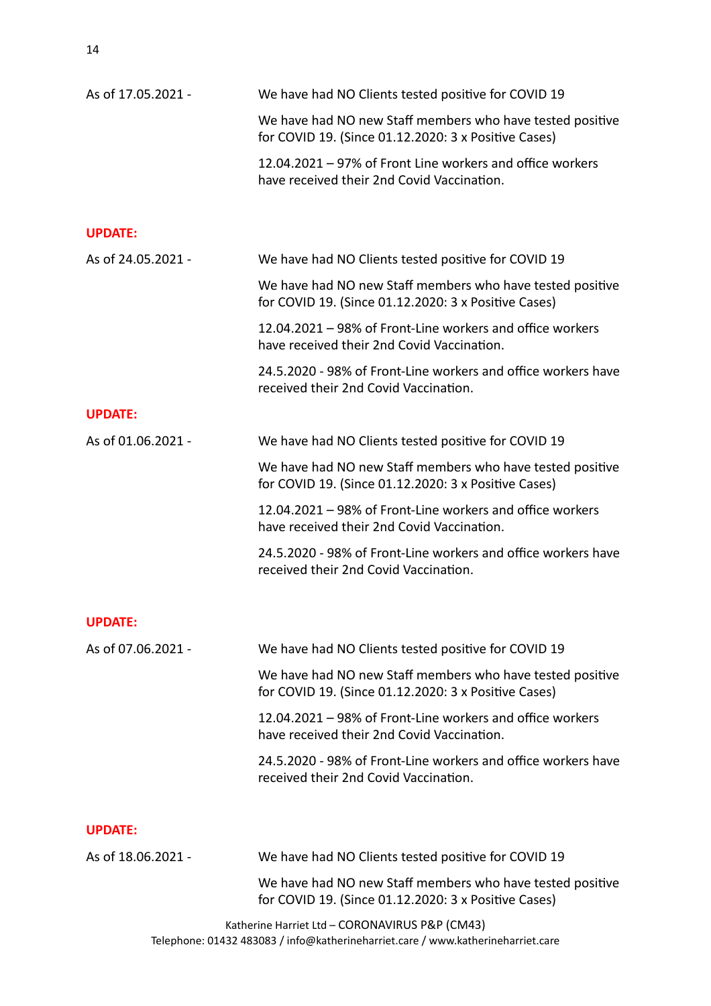14

| As of 17.05.2021 - | We have had NO Clients tested positive for COVID 19                                                               |
|--------------------|-------------------------------------------------------------------------------------------------------------------|
|                    | We have had NO new Staff members who have tested positive<br>for COVID 19. (Since 01.12.2020: 3 x Positive Cases) |
|                    | 12.04.2021 - 97% of Front Line workers and office workers<br>have received their 2nd Covid Vaccination.           |
| <b>UPDATE:</b>     |                                                                                                                   |
| As of 24.05.2021 - | We have had NO Clients tested positive for COVID 19                                                               |
|                    | We have had NO new Staff members who have tested positive<br>for COVID 19. (Since 01.12.2020: 3 x Positive Cases) |
|                    | 12.04.2021 – 98% of Front-Line workers and office workers<br>have received their 2nd Covid Vaccination.           |
|                    | 24.5.2020 - 98% of Front-Line workers and office workers have<br>received their 2nd Covid Vaccination.            |
| <b>UPDATE:</b>     |                                                                                                                   |
| As of 01.06.2021 - | We have had NO Clients tested positive for COVID 19                                                               |
|                    | We have had NO new Staff members who have tested positive<br>for COVID 19. (Since 01.12.2020: 3 x Positive Cases) |
|                    | 12.04.2021 – 98% of Front-Line workers and office workers<br>have received their 2nd Covid Vaccination.           |
|                    | 24.5.2020 - 98% of Front-Line workers and office workers have<br>received their 2nd Covid Vaccination.            |
| <b>UPDATE:</b>     |                                                                                                                   |
| As of 07.06.2021 - | We have had NO Clients tested positive for COVID 19                                                               |
|                    | We have had NO new Staff members who have tested positive<br>for COVID 19. (Since 01.12.2020: 3 x Positive Cases) |
|                    | 12.04.2021 - 98% of Front-Line workers and office workers<br>have received their 2nd Covid Vaccination.           |
|                    | 24.5.2020 - 98% of Front-Line workers and office workers have<br>received their 2nd Covid Vaccination.            |
| <b>UPDATE:</b>     |                                                                                                                   |
| As of 18.06.2021 - | We have had NO Clients tested positive for COVID 19                                                               |
|                    | We have had NO new Staff members who have tested positive<br>for COVID 19. (Since 01.12.2020: 3 x Positive Cases) |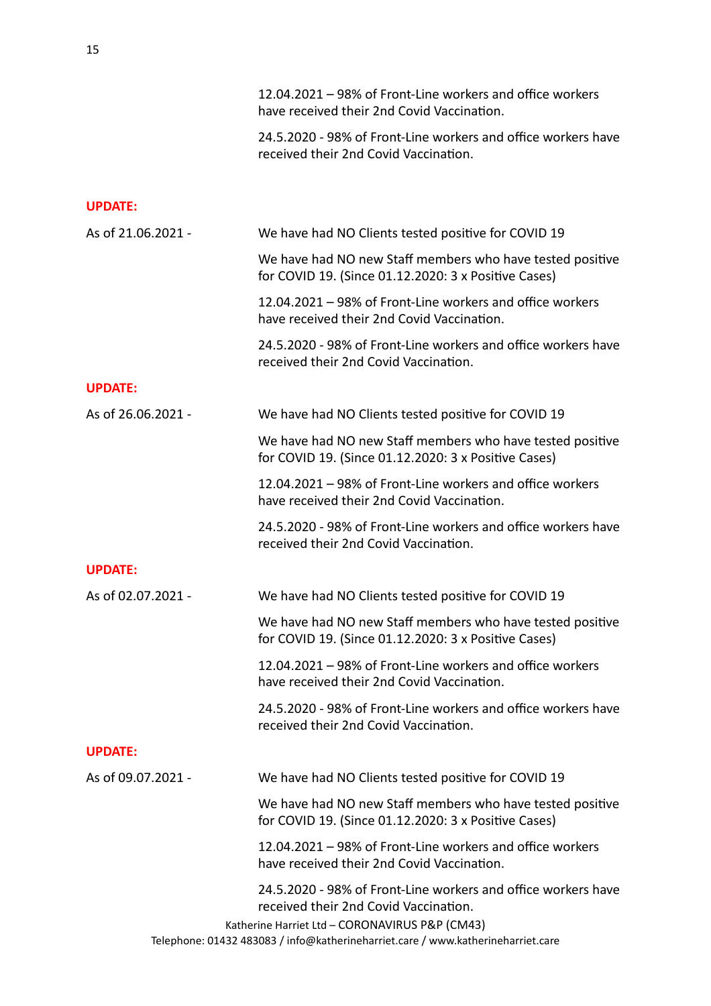|                    | 12.04.2021 – 98% of Front-Line workers and office workers<br>have received their 2nd Covid Vaccination.                                                                                                                                      |
|--------------------|----------------------------------------------------------------------------------------------------------------------------------------------------------------------------------------------------------------------------------------------|
|                    | 24.5.2020 - 98% of Front-Line workers and office workers have<br>received their 2nd Covid Vaccination.                                                                                                                                       |
| <b>UPDATE:</b>     |                                                                                                                                                                                                                                              |
| As of 21.06.2021 - | We have had NO Clients tested positive for COVID 19                                                                                                                                                                                          |
|                    | We have had NO new Staff members who have tested positive<br>for COVID 19. (Since 01.12.2020: 3 x Positive Cases)                                                                                                                            |
|                    | 12.04.2021 - 98% of Front-Line workers and office workers<br>have received their 2nd Covid Vaccination.                                                                                                                                      |
|                    | 24.5.2020 - 98% of Front-Line workers and office workers have<br>received their 2nd Covid Vaccination.                                                                                                                                       |
| <b>UPDATE:</b>     |                                                                                                                                                                                                                                              |
| As of 26.06.2021 - | We have had NO Clients tested positive for COVID 19                                                                                                                                                                                          |
|                    | We have had NO new Staff members who have tested positive<br>for COVID 19. (Since 01.12.2020: 3 x Positive Cases)                                                                                                                            |
|                    | 12.04.2021 – 98% of Front-Line workers and office workers<br>have received their 2nd Covid Vaccination.                                                                                                                                      |
|                    | 24.5.2020 - 98% of Front-Line workers and office workers have<br>received their 2nd Covid Vaccination.                                                                                                                                       |
| <b>UPDATE:</b>     |                                                                                                                                                                                                                                              |
| As of 02.07.2021 - | We have had NO Clients tested positive for COVID 19                                                                                                                                                                                          |
|                    | We have had NO new Staff members who have tested positive<br>for COVID 19. (Since 01.12.2020: 3 x Positive Cases)                                                                                                                            |
|                    | 12.04.2021 – 98% of Front-Line workers and office workers<br>have received their 2nd Covid Vaccination.                                                                                                                                      |
|                    | 24.5.2020 - 98% of Front-Line workers and office workers have<br>received their 2nd Covid Vaccination.                                                                                                                                       |
| <b>UPDATE:</b>     |                                                                                                                                                                                                                                              |
| As of 09.07.2021 - | We have had NO Clients tested positive for COVID 19                                                                                                                                                                                          |
|                    | We have had NO new Staff members who have tested positive<br>for COVID 19. (Since 01.12.2020: 3 x Positive Cases)                                                                                                                            |
|                    | 12.04.2021 – 98% of Front-Line workers and office workers<br>have received their 2nd Covid Vaccination.                                                                                                                                      |
|                    | 24.5.2020 - 98% of Front-Line workers and office workers have<br>received their 2nd Covid Vaccination.<br>Katherine Harriet Ltd - CORONAVIRUS P&P (CM43)<br>Telephone: 01432 483083 / info@katherineharriet.care / www.katherineharriet.care |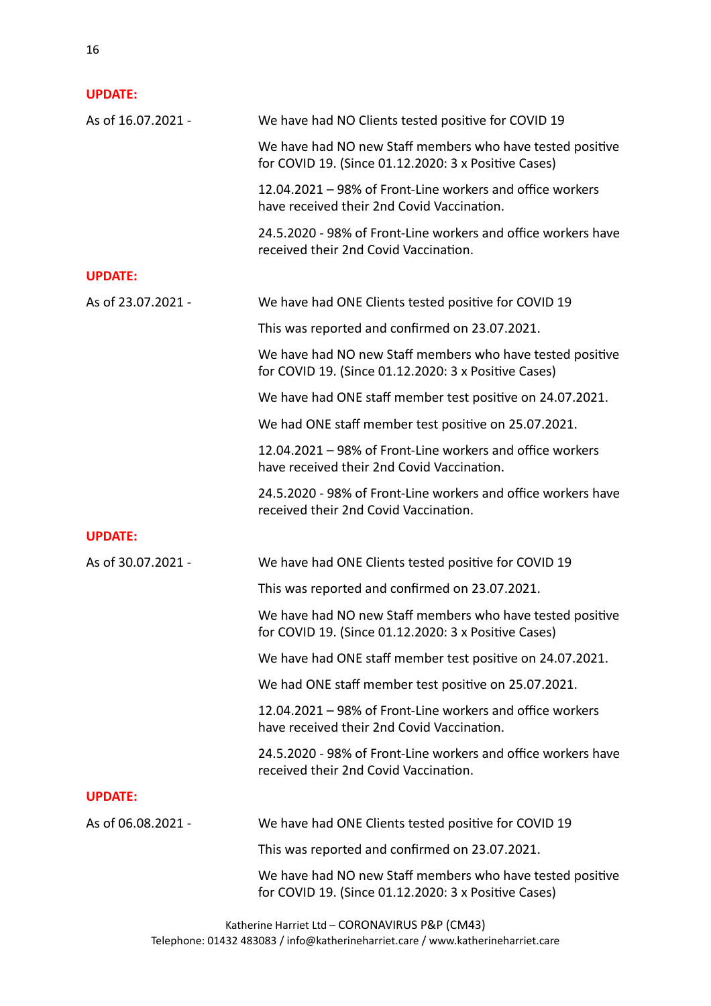| As of 16.07.2021 - | We have had NO Clients tested positive for COVID 19                                                               |
|--------------------|-------------------------------------------------------------------------------------------------------------------|
|                    | We have had NO new Staff members who have tested positive<br>for COVID 19. (Since 01.12.2020: 3 x Positive Cases) |
|                    | 12.04.2021 - 98% of Front-Line workers and office workers<br>have received their 2nd Covid Vaccination.           |
|                    | 24.5.2020 - 98% of Front-Line workers and office workers have<br>received their 2nd Covid Vaccination.            |
| <b>UPDATE:</b>     |                                                                                                                   |
| As of 23.07.2021 - | We have had ONE Clients tested positive for COVID 19                                                              |
|                    | This was reported and confirmed on 23.07.2021.                                                                    |
|                    | We have had NO new Staff members who have tested positive<br>for COVID 19. (Since 01.12.2020: 3 x Positive Cases) |
|                    | We have had ONE staff member test positive on 24.07.2021.                                                         |
|                    | We had ONE staff member test positive on 25.07.2021.                                                              |
|                    | 12.04.2021 – 98% of Front-Line workers and office workers<br>have received their 2nd Covid Vaccination.           |
|                    | 24.5.2020 - 98% of Front-Line workers and office workers have<br>received their 2nd Covid Vaccination.            |
| <b>UPDATE:</b>     |                                                                                                                   |
| As of 30.07.2021 - | We have had ONE Clients tested positive for COVID 19                                                              |
|                    | This was reported and confirmed on 23.07.2021.                                                                    |
|                    | We have had NO new Staff members who have tested positive<br>for COVID 19. (Since 01.12.2020: 3 x Positive Cases) |
|                    | We have had ONE staff member test positive on 24.07.2021.                                                         |
|                    | We had ONE staff member test positive on 25.07.2021.                                                              |
|                    | 12.04.2021 – 98% of Front-Line workers and office workers<br>have received their 2nd Covid Vaccination.           |
|                    | 24.5.2020 - 98% of Front-Line workers and office workers have<br>received their 2nd Covid Vaccination.            |
| <b>UPDATE:</b>     |                                                                                                                   |
| As of 06.08.2021 - | We have had ONE Clients tested positive for COVID 19                                                              |
|                    | This was reported and confirmed on 23.07.2021.                                                                    |
|                    | We have had NO new Staff members who have tested positive<br>for COVID 19. (Since 01.12.2020: 3 x Positive Cases) |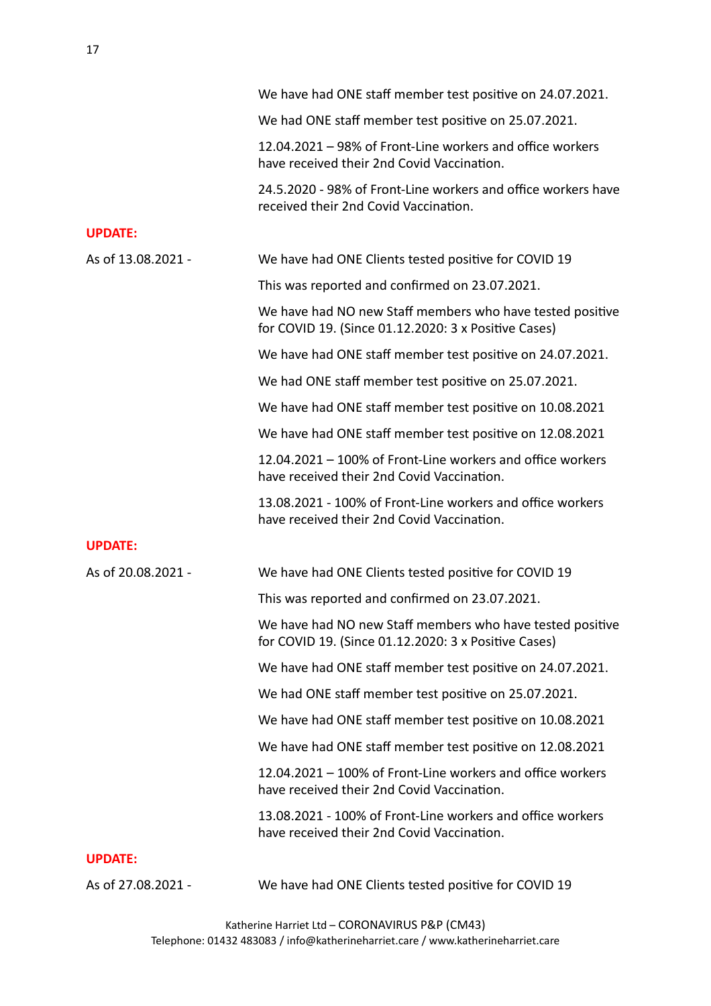|                    | We have had ONE staff member test positive on 24.07.2021.                                                         |
|--------------------|-------------------------------------------------------------------------------------------------------------------|
|                    | We had ONE staff member test positive on 25.07.2021.                                                              |
|                    | 12.04.2021 - 98% of Front-Line workers and office workers<br>have received their 2nd Covid Vaccination.           |
|                    | 24.5.2020 - 98% of Front-Line workers and office workers have<br>received their 2nd Covid Vaccination.            |
| <b>UPDATE:</b>     |                                                                                                                   |
| As of 13.08.2021 - | We have had ONE Clients tested positive for COVID 19                                                              |
|                    | This was reported and confirmed on 23.07.2021.                                                                    |
|                    | We have had NO new Staff members who have tested positive<br>for COVID 19. (Since 01.12.2020: 3 x Positive Cases) |
|                    | We have had ONE staff member test positive on 24.07.2021.                                                         |
|                    | We had ONE staff member test positive on 25.07.2021.                                                              |
|                    | We have had ONE staff member test positive on 10.08.2021                                                          |
|                    | We have had ONE staff member test positive on 12.08.2021                                                          |
|                    | 12.04.2021 – 100% of Front-Line workers and office workers<br>have received their 2nd Covid Vaccination.          |
|                    | 13.08.2021 - 100% of Front-Line workers and office workers<br>have received their 2nd Covid Vaccination.          |
| <b>UPDATE:</b>     |                                                                                                                   |
| As of 20.08.2021 - | We have had ONE Clients tested positive for COVID 19                                                              |
|                    | This was reported and confirmed on 23.07.2021.                                                                    |
|                    | We have had NO new Staff members who have tested positive<br>for COVID 19. (Since 01.12.2020: 3 x Positive Cases) |
|                    | We have had ONE staff member test positive on 24.07.2021.                                                         |
|                    | We had ONE staff member test positive on 25.07.2021.                                                              |
|                    | We have had ONE staff member test positive on 10.08.2021                                                          |
|                    | We have had ONE staff member test positive on 12.08.2021                                                          |
|                    | 12.04.2021 – 100% of Front-Line workers and office workers<br>have received their 2nd Covid Vaccination.          |
|                    | 13.08.2021 - 100% of Front-Line workers and office workers<br>have received their 2nd Covid Vaccination.          |
| <b>UPDATE:</b>     |                                                                                                                   |
| As of 27.08.2021 - | We have had ONE Clients tested positive for COVID 19                                                              |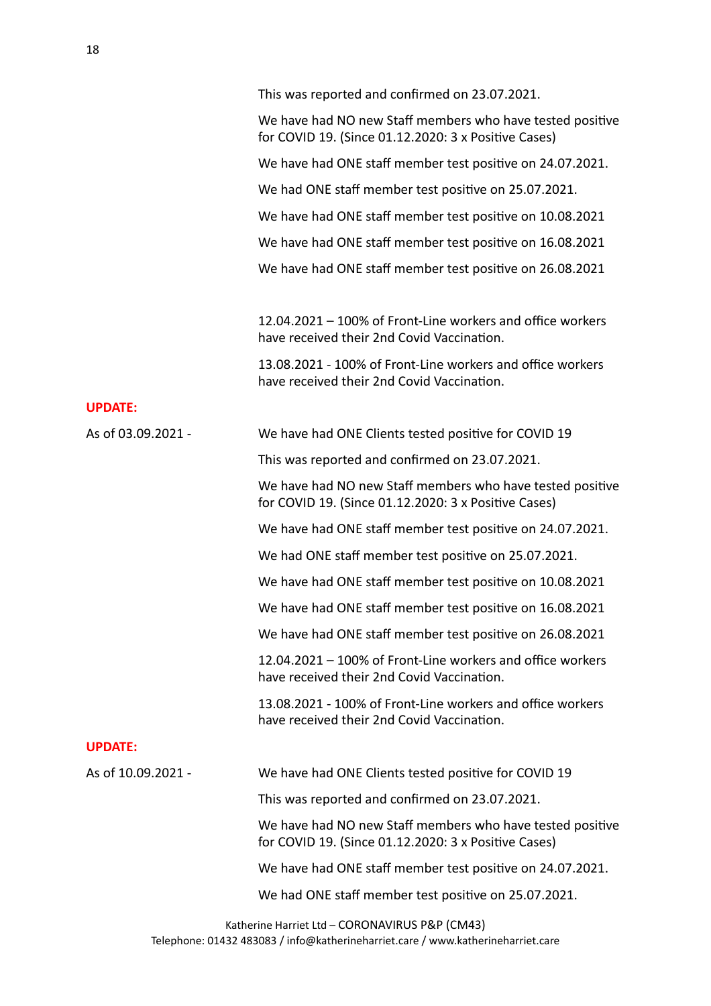|                    | This was reported and confirmed on 23.07.2021.                                                                    |
|--------------------|-------------------------------------------------------------------------------------------------------------------|
|                    | We have had NO new Staff members who have tested positive<br>for COVID 19. (Since 01.12.2020: 3 x Positive Cases) |
|                    | We have had ONE staff member test positive on 24.07.2021.                                                         |
|                    | We had ONE staff member test positive on 25.07.2021.                                                              |
|                    | We have had ONE staff member test positive on 10.08.2021                                                          |
|                    | We have had ONE staff member test positive on 16.08.2021                                                          |
|                    | We have had ONE staff member test positive on 26.08.2021                                                          |
|                    | 12.04.2021 – 100% of Front-Line workers and office workers<br>have received their 2nd Covid Vaccination.          |
|                    | 13.08.2021 - 100% of Front-Line workers and office workers<br>have received their 2nd Covid Vaccination.          |
| <b>UPDATE:</b>     |                                                                                                                   |
| As of 03.09.2021 - | We have had ONE Clients tested positive for COVID 19                                                              |
|                    | This was reported and confirmed on 23.07.2021.                                                                    |
|                    | We have had NO new Staff members who have tested positive<br>for COVID 19. (Since 01.12.2020: 3 x Positive Cases) |
|                    | We have had ONE staff member test positive on 24.07.2021.                                                         |
|                    | We had ONE staff member test positive on 25.07.2021.                                                              |
|                    | We have had ONE staff member test positive on 10.08.2021                                                          |
|                    | We have had ONE staff member test positive on 16.08.2021                                                          |
|                    | We have had ONE staff member test positive on 26.08.2021                                                          |
|                    | 12.04.2021 – 100% of Front-Line workers and office workers<br>have received their 2nd Covid Vaccination.          |
|                    | 13.08.2021 - 100% of Front-Line workers and office workers<br>have received their 2nd Covid Vaccination.          |
| <b>UPDATE:</b>     |                                                                                                                   |
| As of 10.09.2021 - | We have had ONE Clients tested positive for COVID 19                                                              |
|                    | This was reported and confirmed on 23.07.2021.                                                                    |
|                    | We have had NO new Staff members who have tested positive<br>for COVID 19. (Since 01.12.2020: 3 x Positive Cases) |
|                    | We have had ONE staff member test positive on 24.07.2021.                                                         |
|                    | We had ONE staff member test positive on 25.07.2021.                                                              |
|                    | $\sim$ Herriet Ltd $\sim$ CODONIAVIDUC DR.D (CM442)                                                               |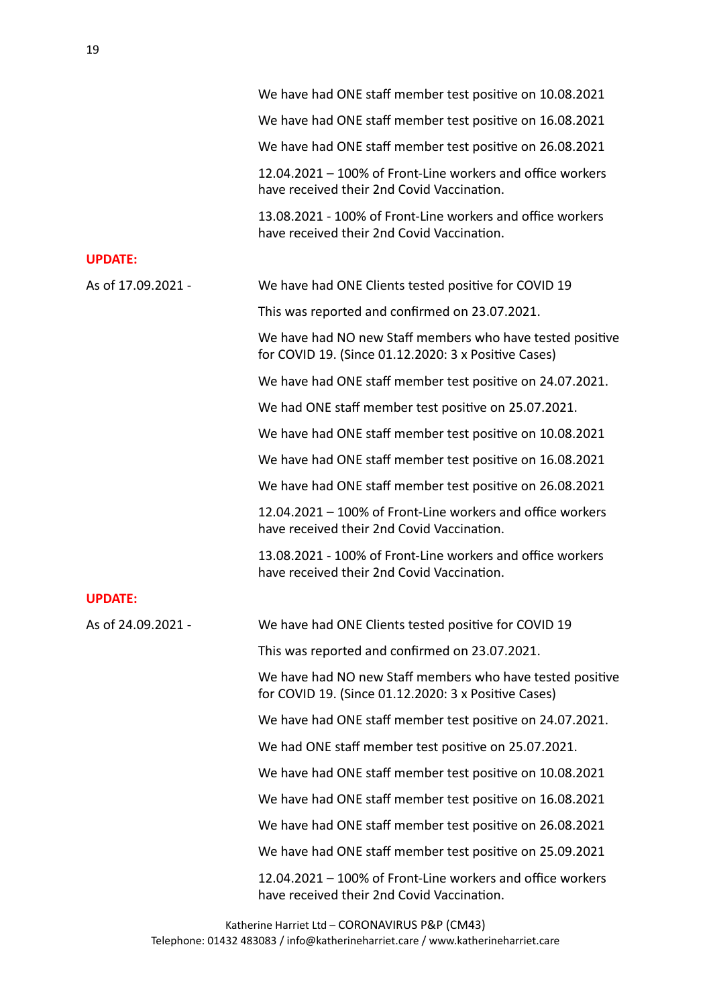|                    | We have had ONE staff member test positive on 10.08.2021                                                          |
|--------------------|-------------------------------------------------------------------------------------------------------------------|
|                    | We have had ONE staff member test positive on 16.08.2021                                                          |
|                    | We have had ONE staff member test positive on 26.08.2021                                                          |
|                    | 12.04.2021 - 100% of Front-Line workers and office workers<br>have received their 2nd Covid Vaccination.          |
|                    | 13.08.2021 - 100% of Front-Line workers and office workers<br>have received their 2nd Covid Vaccination.          |
| <b>UPDATE:</b>     |                                                                                                                   |
| As of 17.09.2021 - | We have had ONE Clients tested positive for COVID 19                                                              |
|                    | This was reported and confirmed on 23.07.2021.                                                                    |
|                    | We have had NO new Staff members who have tested positive<br>for COVID 19. (Since 01.12.2020: 3 x Positive Cases) |
|                    | We have had ONE staff member test positive on 24.07.2021.                                                         |
|                    | We had ONE staff member test positive on 25.07.2021.                                                              |
|                    | We have had ONE staff member test positive on 10.08.2021                                                          |
|                    | We have had ONE staff member test positive on 16.08.2021                                                          |
|                    | We have had ONE staff member test positive on 26.08.2021                                                          |
|                    | 12.04.2021 - 100% of Front-Line workers and office workers<br>have received their 2nd Covid Vaccination.          |
|                    | 13.08.2021 - 100% of Front-Line workers and office workers<br>have received their 2nd Covid Vaccination.          |
| <b>UPDATE:</b>     |                                                                                                                   |
| As of 24.09.2021 - | We have had ONE Clients tested positive for COVID 19                                                              |
|                    | This was reported and confirmed on 23.07.2021.                                                                    |
|                    | We have had NO new Staff members who have tested positive<br>for COVID 19. (Since 01.12.2020: 3 x Positive Cases) |
|                    | We have had ONE staff member test positive on 24.07.2021.                                                         |
|                    | We had ONE staff member test positive on 25.07.2021.                                                              |
|                    | We have had ONE staff member test positive on 10.08.2021                                                          |
|                    | We have had ONE staff member test positive on 16.08.2021                                                          |
|                    | We have had ONE staff member test positive on 26.08.2021                                                          |
|                    | We have had ONE staff member test positive on 25.09.2021                                                          |
|                    | 12.04.2021 – 100% of Front-Line workers and office workers<br>have received their 2nd Covid Vaccination.          |
|                    |                                                                                                                   |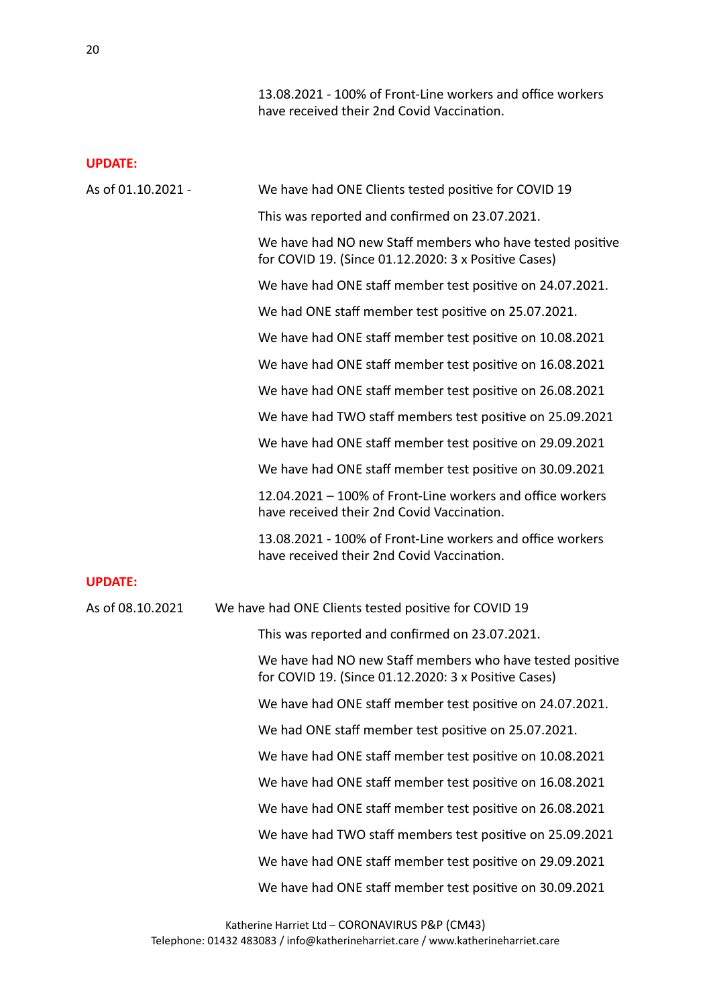13.08.2021 - 100% of Front-Line workers and office workers have received their 2nd Covid Vaccination.

| As of 01.10.2021 - | We have had ONE Clients tested positive for COVID 19                                                              |
|--------------------|-------------------------------------------------------------------------------------------------------------------|
|                    | This was reported and confirmed on 23.07.2021.                                                                    |
|                    | We have had NO new Staff members who have tested positive<br>for COVID 19. (Since 01.12.2020: 3 x Positive Cases) |
|                    | We have had ONE staff member test positive on 24.07.2021.                                                         |
|                    | We had ONE staff member test positive on 25.07.2021.                                                              |
|                    | We have had ONE staff member test positive on 10.08.2021                                                          |
|                    | We have had ONE staff member test positive on 16.08.2021                                                          |
|                    | We have had ONE staff member test positive on 26.08.2021                                                          |
|                    | We have had TWO staff members test positive on 25.09.2021                                                         |
|                    | We have had ONE staff member test positive on 29.09.2021                                                          |
|                    | We have had ONE staff member test positive on 30.09.2021                                                          |
|                    | 12.04.2021 - 100% of Front-Line workers and office workers<br>have received their 2nd Covid Vaccination.          |
|                    | 13.08.2021 - 100% of Front-Line workers and office workers<br>have received their 2nd Covid Vaccination.          |
| <b>UPDATE:</b>     |                                                                                                                   |
| As of 08.10.2021   | We have had ONE Clients tested positive for COVID 19                                                              |
|                    | This was reported and confirmed on 23.07.2021.                                                                    |
|                    | We have had NO new Staff members who have tested positive<br>for COVID 19. (Since 01.12.2020: 3 x Positive Cases) |
|                    | We have had ONE staff member test positive on 24.07.2021.                                                         |
|                    | We had ONE staff member test positive on 25.07.2021.                                                              |
|                    | We have had ONE staff member test positive on 10.08.2021                                                          |
|                    | We have had ONE staff member test positive on 16.08.2021                                                          |
|                    | We have had ONE staff member test positive on 26.08.2021                                                          |
|                    | We have had TWO staff members test positive on 25.09.2021                                                         |
|                    | We have had ONE staff member test positive on 29.09.2021                                                          |
|                    | We have had ONE staff member test positive on 30.09.2021                                                          |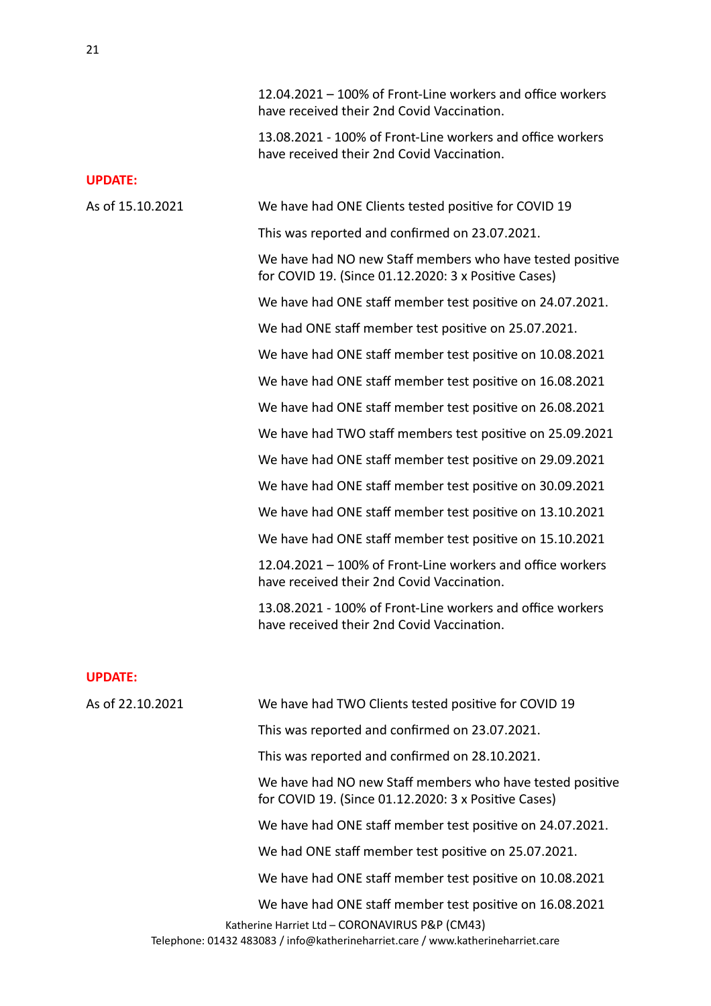|                  | 12.04.2021 – 100% of Front-Line workers and office workers<br>have received their 2nd Covid Vaccination.          |
|------------------|-------------------------------------------------------------------------------------------------------------------|
|                  | 13.08.2021 - 100% of Front-Line workers and office workers<br>have received their 2nd Covid Vaccination.          |
| <b>UPDATE:</b>   |                                                                                                                   |
| As of 15.10.2021 | We have had ONE Clients tested positive for COVID 19                                                              |
|                  | This was reported and confirmed on 23.07.2021.                                                                    |
|                  | We have had NO new Staff members who have tested positive<br>for COVID 19. (Since 01.12.2020: 3 x Positive Cases) |
|                  | We have had ONE staff member test positive on 24.07.2021.                                                         |
|                  | We had ONE staff member test positive on 25.07.2021.                                                              |
|                  | We have had ONE staff member test positive on 10.08.2021                                                          |
|                  | We have had ONE staff member test positive on 16.08.2021                                                          |
|                  | We have had ONE staff member test positive on 26.08.2021                                                          |
|                  | We have had TWO staff members test positive on 25.09.2021                                                         |
|                  | We have had ONE staff member test positive on 29.09.2021                                                          |
|                  | We have had ONE staff member test positive on 30.09.2021                                                          |
|                  | We have had ONE staff member test positive on 13.10.2021                                                          |
|                  | We have had ONE staff member test positive on 15.10.2021                                                          |
|                  | 12.04.2021 - 100% of Front-Line workers and office workers<br>have received their 2nd Covid Vaccination.          |
|                  | 13.08.2021 - 100% of Front-Line workers and office workers<br>have received their 2nd Covid Vaccination.          |
| <b>UPDATE:</b>   |                                                                                                                   |
| As of 22.10.2021 | We have had TWO Clients tested positive for COVID 19                                                              |
|                  | This was reported and confirmed on 23.07.2021.                                                                    |
|                  | This was reported and confirmed on 28.10.2021.                                                                    |
|                  | We have had NO new Staff members who have tested positive<br>for COVID 19. (Since 01.12.2020: 3 x Positive Cases) |
|                  | We have had ONE staff member test positive on 24.07.2021.                                                         |
|                  | We had ONE staff member test positive on 25.07.2021.                                                              |
|                  | We have had ONE staff member test positive on 10.08.2021                                                          |
|                  | We have had ONE staff member test positive on 16.08.2021<br>Katherine Harriet Ltd - CORONAVIRUS P&P (CM43)        |

Telephone: 01432 483083 / info@katherineharriet.care / www.katherineharriet.care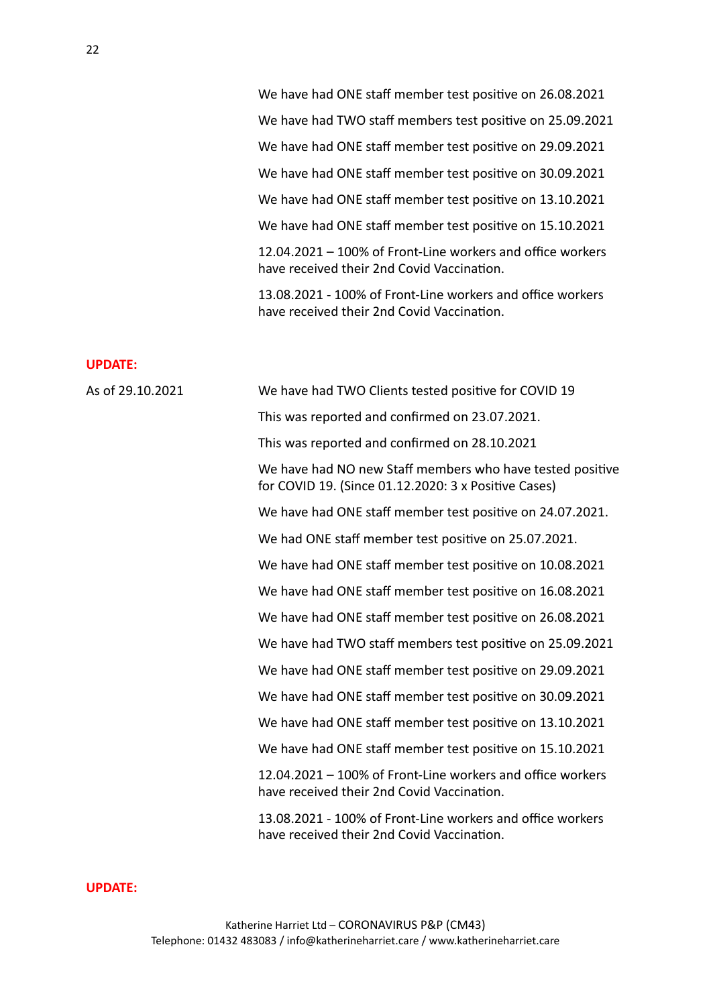We have had ONE staff member test positive on 26.08.2021 We have had TWO staff members test positive on 25.09.2021 We have had ONE staff member test positive on 29.09.2021 We have had ONE staff member test positive on 30.09.2021 We have had ONE staff member test positive on 13.10.2021 We have had ONE staff member test positive on 15.10.2021  $12.04.2021 - 100\%$  of Front-Line workers and office workers have received their 2nd Covid Vaccination.

13.08.2021 - 100% of Front-Line workers and office workers have received their 2nd Covid Vaccination.

### **UPDATE:**

| As of 29.10.2021 | We have had TWO Clients tested positive for COVID 19                                                              |
|------------------|-------------------------------------------------------------------------------------------------------------------|
|                  | This was reported and confirmed on 23.07.2021.                                                                    |
|                  | This was reported and confirmed on 28.10.2021                                                                     |
|                  | We have had NO new Staff members who have tested positive<br>for COVID 19. (Since 01.12.2020: 3 x Positive Cases) |
|                  | We have had ONE staff member test positive on 24.07.2021.                                                         |
|                  | We had ONE staff member test positive on 25.07.2021.                                                              |
|                  | We have had ONE staff member test positive on 10.08.2021                                                          |
|                  | We have had ONE staff member test positive on 16.08.2021                                                          |
|                  | We have had ONE staff member test positive on 26.08.2021                                                          |
|                  | We have had TWO staff members test positive on 25.09.2021                                                         |
|                  | We have had ONE staff member test positive on 29.09.2021                                                          |
|                  | We have had ONE staff member test positive on 30.09.2021                                                          |
|                  | We have had ONE staff member test positive on 13.10.2021                                                          |
|                  | We have had ONE staff member test positive on 15.10.2021                                                          |
|                  | 12.04.2021 - 100% of Front-Line workers and office workers<br>have received their 2nd Covid Vaccination.          |
|                  | 13.08.2021 - 100% of Front-Line workers and office workers<br>have received their 2nd Covid Vaccination.          |
|                  |                                                                                                                   |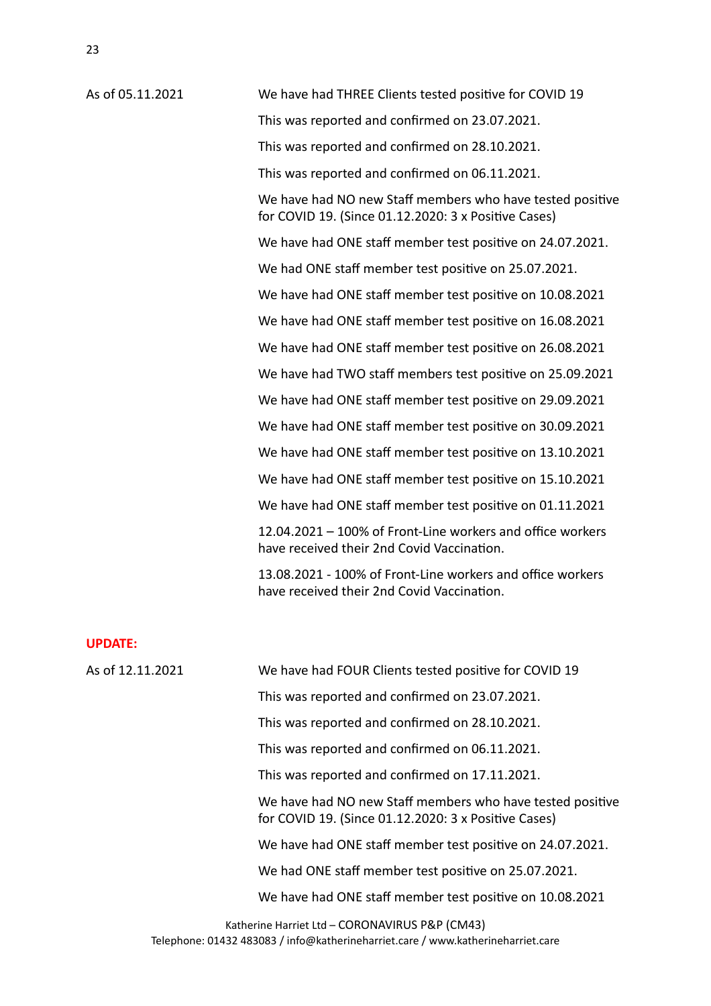As of 05.11.2021 We have had THREE Clients tested positive for COVID 19 This was reported and confirmed on 23.07.2021. This was reported and confirmed on 28.10.2021. This was reported and confirmed on 06.11.2021. We have had NO new Staff members who have tested positive for COVID 19. (Since  $01.12.2020:3x$  Positive Cases) We have had ONE staff member test positive on 24.07.2021. We had ONE staff member test positive on 25.07.2021. We have had ONE staff member test positive on 10.08.2021 We have had ONE staff member test positive on 16.08.2021 We have had ONE staff member test positive on 26.08.2021 We have had TWO staff members test positive on 25.09.2021 We have had ONE staff member test positive on 29.09.2021 We have had ONE staff member test positive on 30.09.2021 We have had ONE staff member test positive on 13.10.2021 We have had ONE staff member test positive on 15.10.2021 We have had ONE staff member test positive on 01.11.2021  $12.04.2021 - 100\%$  of Front-Line workers and office workers have received their 2nd Covid Vaccination. 13.08.2021 - 100% of Front-Line workers and office workers have received their 2nd Covid Vaccination.

#### **UPDATE:**

| As of 12.11.2021 | We have had FOUR Clients tested positive for COVID 19                                                             |
|------------------|-------------------------------------------------------------------------------------------------------------------|
|                  | This was reported and confirmed on 23.07.2021.                                                                    |
|                  | This was reported and confirmed on 28.10.2021.                                                                    |
|                  | This was reported and confirmed on 06.11.2021.                                                                    |
|                  | This was reported and confirmed on 17.11.2021.                                                                    |
|                  | We have had NO new Staff members who have tested positive<br>for COVID 19. (Since 01.12.2020: 3 x Positive Cases) |
|                  | We have had ONE staff member test positive on 24.07.2021.                                                         |
|                  | We had ONE staff member test positive on 25.07.2021.                                                              |
|                  | We have had ONE staff member test positive on 10.08.2021                                                          |
|                  |                                                                                                                   |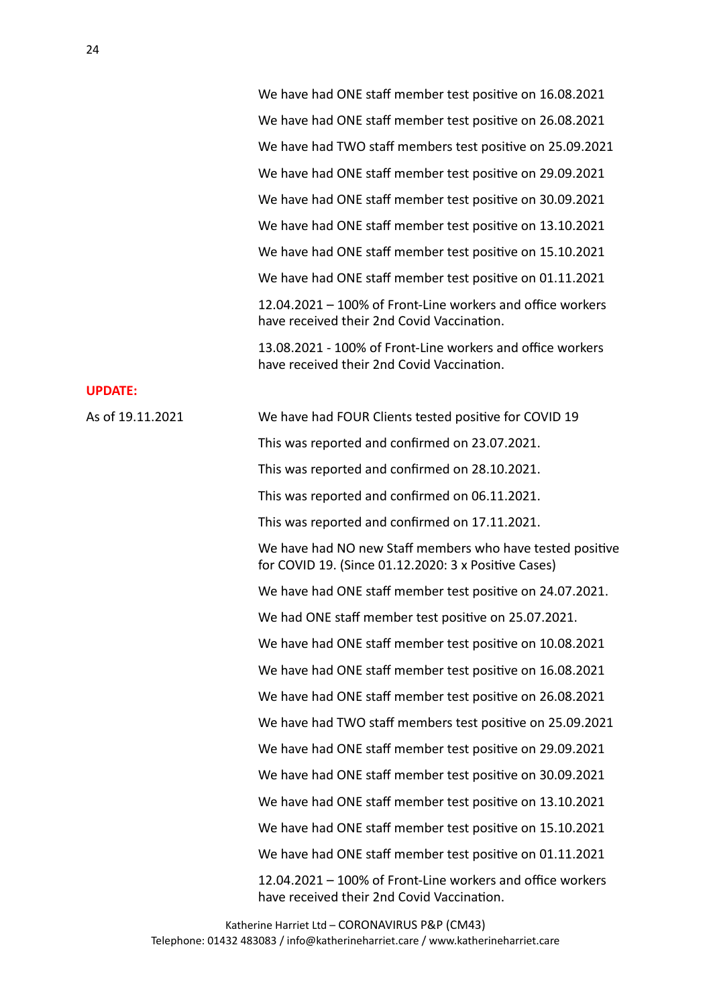We have had ONE staff member test positive on 16.08.2021 We have had ONE staff member test positive on 26.08.2021 We have had TWO staff members test positive on 25.09.2021 We have had ONE staff member test positive on 29.09.2021 We have had ONE staff member test positive on 30.09.2021 We have had ONE staff member test positive on 13.10.2021 We have had ONE staff member test positive on 15.10.2021 We have had ONE staff member test positive on 01.11.2021  $12.04.2021 - 100\%$  of Front-Line workers and office workers have received their 2nd Covid Vaccination. 13.08.2021 - 100% of Front-Line workers and office workers have received their 2nd Covid Vaccination.

#### **UPDATE:**

As of 19.11.2021 We have had FOUR Clients tested positive for COVID 19 This was reported and confirmed on 23.07.2021. This was reported and confirmed on 28.10.2021. This was reported and confirmed on 06.11.2021. This was reported and confirmed on 17.11.2021. We have had NO new Staff members who have tested positive for COVID 19. (Since  $01.12.2020:3x$  Positive Cases) We have had ONE staff member test positive on 24.07.2021. We had ONE staff member test positive on 25.07.2021. We have had ONE staff member test positive on 10.08.2021 We have had ONE staff member test positive on 16.08.2021 We have had ONE staff member test positive on 26.08.2021 We have had TWO staff members test positive on 25.09.2021 We have had ONE staff member test positive on 29.09.2021 We have had ONE staff member test positive on 30.09.2021 We have had ONE staff member test positive on 13.10.2021 We have had ONE staff member test positive on 15.10.2021 We have had ONE staff member test positive on 01.11.2021  $12.04.2021 - 100\%$  of Front-Line workers and office workers have received their 2nd Covid Vaccination.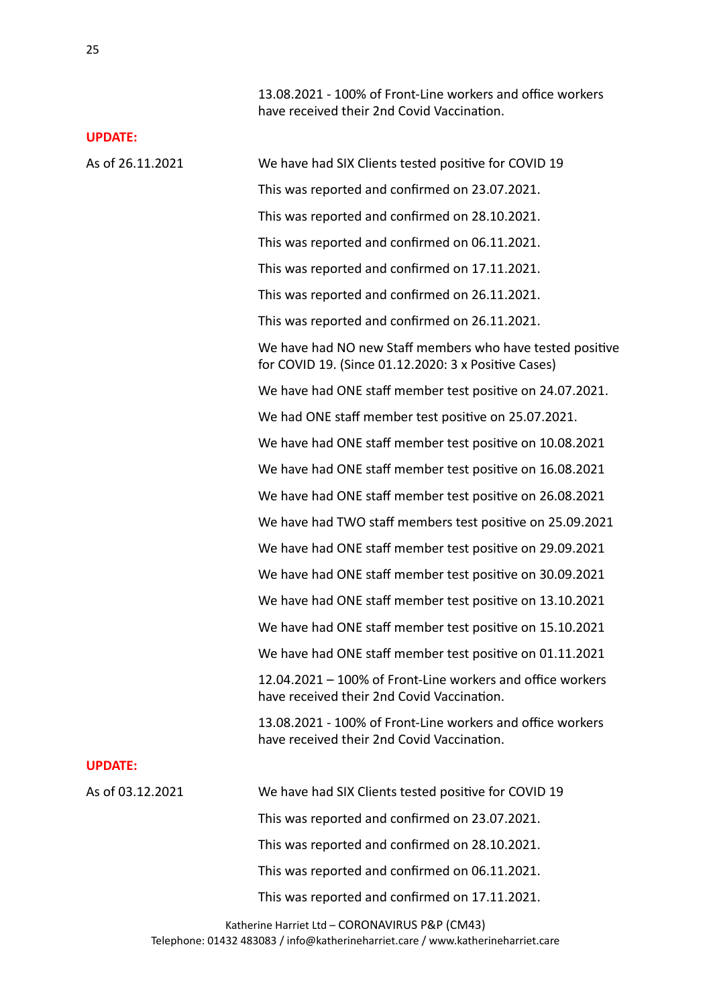13.08.2021 - 100% of Front-Line workers and office workers have received their 2nd Covid Vaccination.

#### **UPDATE:**

As of 26.11.2021 We have had SIX Clients tested positive for COVID 19 This was reported and confirmed on 23.07.2021. This was reported and confirmed on 28.10.2021. This was reported and confirmed on 06.11.2021. This was reported and confirmed on 17.11.2021. This was reported and confirmed on 26.11.2021. This was reported and confirmed on 26.11.2021. We have had NO new Staff members who have tested positive for COVID 19. (Since  $01.12.2020:3x$  Positive Cases) We have had ONE staff member test positive on 24.07.2021. We had ONE staff member test positive on 25.07.2021. We have had ONE staff member test positive on 10.08.2021 We have had ONE staff member test positive on 16.08.2021 We have had ONE staff member test positive on 26.08.2021 We have had TWO staff members test positive on 25.09.2021 We have had ONE staff member test positive on 29.09.2021 We have had ONE staff member test positive on 30.09.2021 We have had ONE staff member test positive on 13.10.2021 We have had ONE staff member test positive on 15.10.2021 We have had ONE staff member test positive on 01.11.2021  $12.04.2021 - 100\%$  of Front-Line workers and office workers have received their 2nd Covid Vaccination. 13.08.2021 - 100% of Front-Line workers and office workers have received their 2nd Covid Vaccination. **UPDATE:** As of 03.12.2021 We have had SIX Clients tested positive for COVID 19 This was reported and confirmed on 23.07.2021. This was reported and confirmed on 28.10.2021. This was reported and confirmed on 06.11.2021. This was reported and confirmed on 17.11.2021.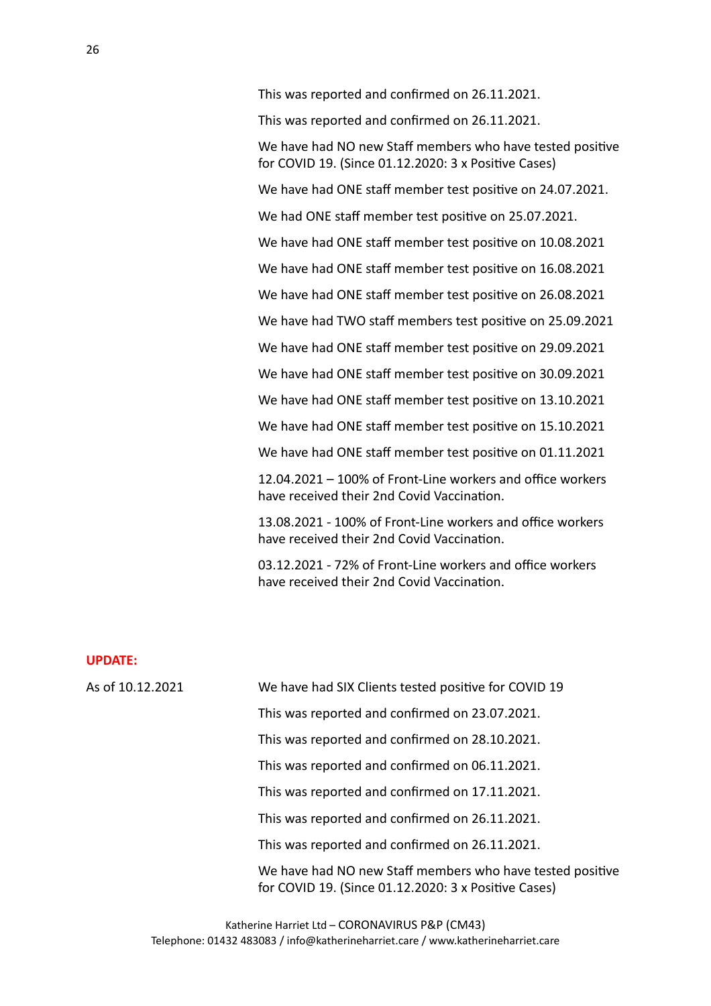This was reported and confirmed on 26.11.2021.

We have had NO new Staff members who have tested positive for COVID 19. (Since  $01.12.2020:3x$  Positive Cases)

We have had ONE staff member test positive on 24.07.2021.

We had ONE staff member test positive on 25.07.2021.

We have had ONE staff member test positive on 10.08.2021

We have had ONE staff member test positive on 16.08.2021

We have had ONE staff member test positive on 26.08.2021

We have had TWO staff members test positive on 25.09.2021

We have had ONE staff member test positive on 29.09.2021

We have had ONE staff member test positive on 30.09.2021

We have had ONE staff member test positive on 13.10.2021

We have had ONE staff member test positive on 15.10.2021

We have had ONE staff member test positive on 01.11.2021

 $12.04.2021 - 100\%$  of Front-Line workers and office workers have received their 2nd Covid Vaccination.

13.08.2021 - 100% of Front-Line workers and office workers have received their 2nd Covid Vaccination.

03.12.2021 - 72% of Front-Line workers and office workers have received their 2nd Covid Vaccination.

#### **UPDATE:**

As of 10.12.2021 We have had SIX Clients tested positive for COVID 19 This was reported and confirmed on 23.07.2021. This was reported and confirmed on 28.10.2021. This was reported and confirmed on 06.11.2021. This was reported and confirmed on 17.11.2021. This was reported and confirmed on 26.11.2021. This was reported and confirmed on 26.11.2021. We have had NO new Staff members who have tested positive for COVID 19. (Since  $01.12.2020:3x$  Positive Cases)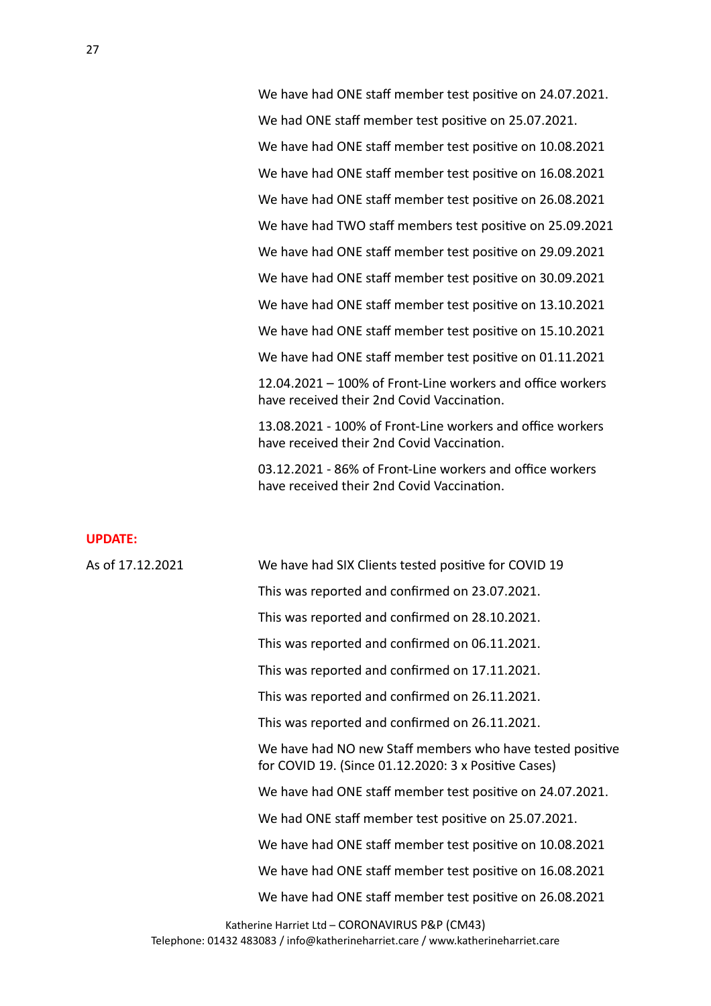We have had ONE staff member test positive on 24.07.2021. We had ONE staff member test positive on 25.07.2021. We have had ONE staff member test positive on 10.08.2021 We have had ONE staff member test positive on 16.08.2021 We have had ONE staff member test positive on 26.08.2021 We have had TWO staff members test positive on 25.09.2021 We have had ONE staff member test positive on 29.09.2021 We have had ONE staff member test positive on 30.09.2021 We have had ONE staff member test positive on 13.10.2021 We have had ONE staff member test positive on 15.10.2021 We have had ONE staff member test positive on 01.11.2021  $12.04.2021 - 100\%$  of Front-Line workers and office workers have received their 2nd Covid Vaccination.

13.08.2021 - 100% of Front-Line workers and office workers have received their 2nd Covid Vaccination.

03.12.2021 - 86% of Front-Line workers and office workers have received their 2nd Covid Vaccination.

#### **UPDATE:**

| As of 17.12.2021 | We have had SIX Clients tested positive for COVID 19                                                              |
|------------------|-------------------------------------------------------------------------------------------------------------------|
|                  | This was reported and confirmed on 23.07.2021.                                                                    |
|                  | This was reported and confirmed on 28.10.2021.                                                                    |
|                  | This was reported and confirmed on 06.11.2021.                                                                    |
|                  | This was reported and confirmed on 17.11.2021.                                                                    |
|                  | This was reported and confirmed on 26.11.2021.                                                                    |
|                  | This was reported and confirmed on 26.11.2021.                                                                    |
|                  | We have had NO new Staff members who have tested positive<br>for COVID 19. (Since 01.12.2020: 3 x Positive Cases) |
|                  | We have had ONE staff member test positive on 24.07.2021.                                                         |
|                  | We had ONE staff member test positive on 25.07.2021.                                                              |
|                  | We have had ONE staff member test positive on 10.08.2021                                                          |
|                  | We have had ONE staff member test positive on 16.08.2021                                                          |
|                  | We have had ONE staff member test positive on 26.08.2021                                                          |
|                  |                                                                                                                   |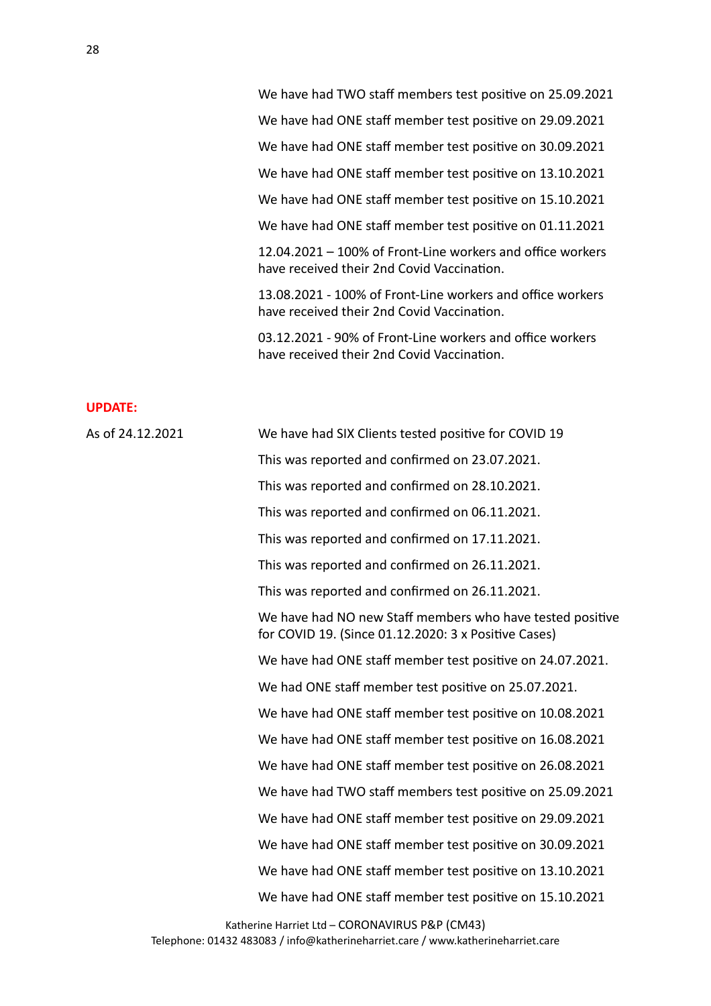We have had TWO staff members test positive on 25.09.2021 We have had ONE staff member test positive on 29.09.2021 We have had ONE staff member test positive on 30.09.2021 We have had ONE staff member test positive on 13.10.2021 We have had ONE staff member test positive on 15.10.2021 We have had ONE staff member test positive on 01.11.2021  $12.04.2021 - 100\%$  of Front-Line workers and office workers have received their 2nd Covid Vaccination. 13.08.2021 - 100% of Front-Line workers and office workers

03.12.2021 - 90% of Front-Line workers and office workers have received their 2nd Covid Vaccination.

have received their 2nd Covid Vaccination.

#### **UPDATE:**

As of 24.12.2021 We have had SIX Clients tested positive for COVID 19 This was reported and confirmed on 23.07.2021. This was reported and confirmed on 28.10.2021. This was reported and confirmed on 06.11.2021. This was reported and confirmed on 17.11.2021. This was reported and confirmed on 26.11.2021. This was reported and confirmed on 26.11.2021. We have had NO new Staff members who have tested positive for COVID 19. (Since  $01.12.2020:3x$  Positive Cases) We have had ONE staff member test positive on 24.07.2021. We had ONE staff member test positive on 25.07.2021. We have had ONE staff member test positive on 10.08.2021 We have had ONE staff member test positive on 16.08.2021 We have had ONE staff member test positive on 26.08.2021 We have had TWO staff members test positive on 25.09.2021 We have had ONE staff member test positive on 29.09.2021 We have had ONE staff member test positive on 30.09.2021 We have had ONE staff member test positive on 13.10.2021 We have had ONE staff member test positive on 15.10.2021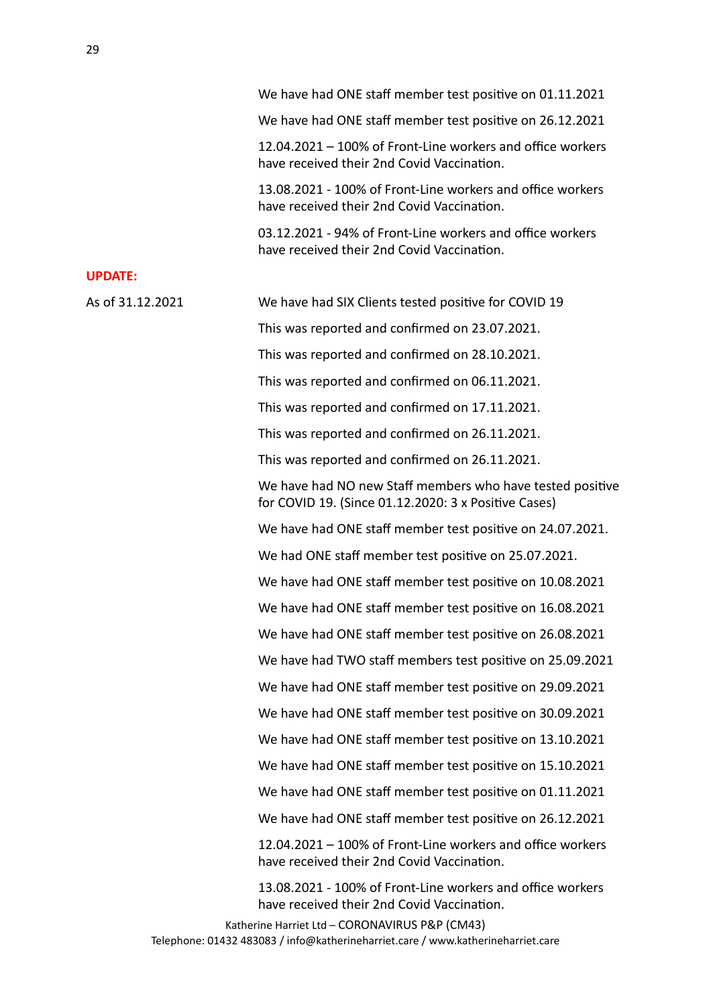|                  | We have had ONE staff member test positive on 01.11.2021                                                          |
|------------------|-------------------------------------------------------------------------------------------------------------------|
|                  | We have had ONE staff member test positive on 26.12.2021                                                          |
|                  | 12.04.2021 – 100% of Front-Line workers and office workers<br>have received their 2nd Covid Vaccination.          |
|                  | 13.08.2021 - 100% of Front-Line workers and office workers<br>have received their 2nd Covid Vaccination.          |
|                  | 03.12.2021 - 94% of Front-Line workers and office workers<br>have received their 2nd Covid Vaccination.           |
| <b>UPDATE:</b>   |                                                                                                                   |
| As of 31.12.2021 | We have had SIX Clients tested positive for COVID 19                                                              |
|                  | This was reported and confirmed on 23.07.2021.                                                                    |
|                  | This was reported and confirmed on 28.10.2021.                                                                    |
|                  | This was reported and confirmed on 06.11.2021.                                                                    |
|                  | This was reported and confirmed on 17.11.2021.                                                                    |
|                  | This was reported and confirmed on 26.11.2021.                                                                    |
|                  | This was reported and confirmed on 26.11.2021.                                                                    |
|                  | We have had NO new Staff members who have tested positive<br>for COVID 19. (Since 01.12.2020: 3 x Positive Cases) |
|                  | We have had ONE staff member test positive on 24.07.2021.                                                         |
|                  | We had ONE staff member test positive on 25.07.2021.                                                              |
|                  | We have had ONE staff member test positive on 10.08.2021                                                          |
|                  | We have had ONE staff member test positive on 16.08.2021                                                          |
|                  | We have had ONE staff member test positive on 26.08.2021                                                          |
|                  | We have had TWO staff members test positive on 25.09.2021                                                         |
|                  | We have had ONE staff member test positive on 29.09.2021                                                          |
|                  | We have had ONE staff member test positive on 30.09.2021                                                          |
|                  | We have had ONE staff member test positive on 13.10.2021                                                          |
|                  | We have had ONE staff member test positive on 15.10.2021                                                          |
|                  | We have had ONE staff member test positive on 01.11.2021                                                          |
|                  | We have had ONE staff member test positive on 26.12.2021                                                          |
|                  | 12.04.2021 – 100% of Front-Line workers and office workers<br>have received their 2nd Covid Vaccination.          |
|                  | 13.08.2021 - 100% of Front-Line workers and office workers<br>have received their 2nd Covid Vaccination.          |
|                  | Katherine Harriet Ltd - CORONAVIRUS P&P (CM43)                                                                    |

Telephone: 01432 483083 / info@katherineharriet.care / www.katherineharriet.care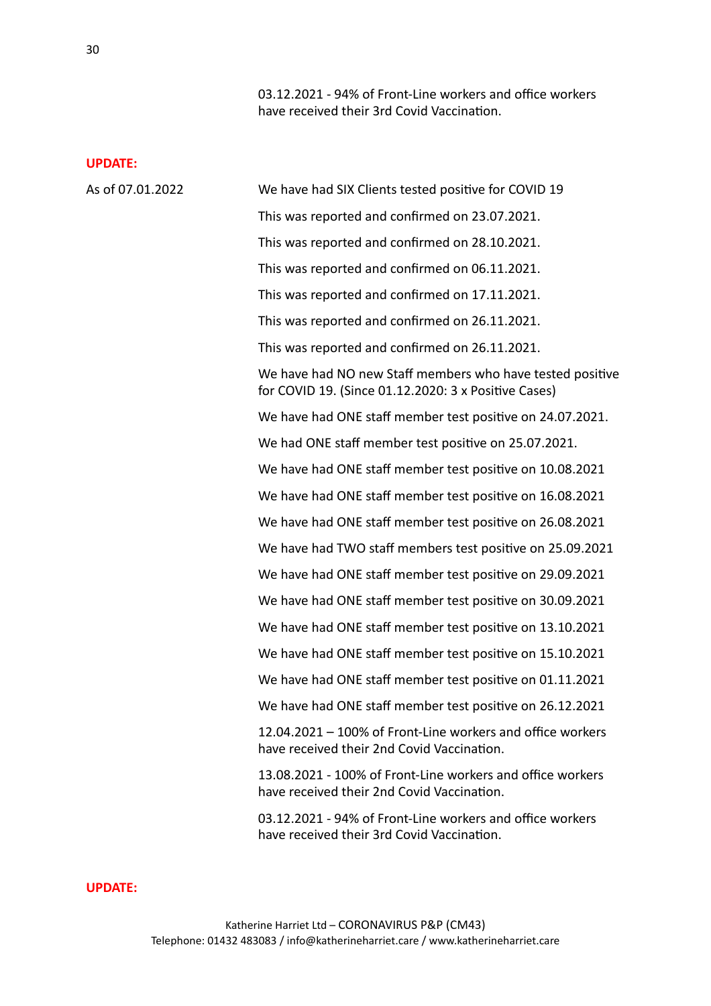03.12.2021 - 94% of Front-Line workers and office workers have received their 3rd Covid Vaccination.

#### **UPDATE:**

| As of 07.01.2022 | We have had SIX Clients tested positive for COVID 19                                                              |
|------------------|-------------------------------------------------------------------------------------------------------------------|
|                  | This was reported and confirmed on 23.07.2021.                                                                    |
|                  | This was reported and confirmed on 28.10.2021.                                                                    |
|                  | This was reported and confirmed on 06.11.2021.                                                                    |
|                  | This was reported and confirmed on 17.11.2021.                                                                    |
|                  | This was reported and confirmed on 26.11.2021.                                                                    |
|                  | This was reported and confirmed on 26.11.2021.                                                                    |
|                  | We have had NO new Staff members who have tested positive<br>for COVID 19. (Since 01.12.2020: 3 x Positive Cases) |
|                  | We have had ONE staff member test positive on 24.07.2021.                                                         |
|                  | We had ONE staff member test positive on 25.07.2021.                                                              |
|                  | We have had ONE staff member test positive on 10.08.2021                                                          |
|                  | We have had ONE staff member test positive on 16.08.2021                                                          |
|                  | We have had ONE staff member test positive on 26.08.2021                                                          |
|                  | We have had TWO staff members test positive on 25.09.2021                                                         |
|                  | We have had ONE staff member test positive on 29.09.2021                                                          |
|                  | We have had ONE staff member test positive on 30.09.2021                                                          |
|                  | We have had ONE staff member test positive on 13.10.2021                                                          |
|                  | We have had ONE staff member test positive on 15.10.2021                                                          |
|                  | We have had ONE staff member test positive on 01.11.2021                                                          |
|                  | We have had ONE staff member test positive on 26.12.2021                                                          |
|                  | 12.04.2021 - 100% of Front-Line workers and office workers<br>have received their 2nd Covid Vaccination.          |
|                  | 13.08.2021 - 100% of Front-Line workers and office workers<br>have received their 2nd Covid Vaccination.          |
|                  | 03.12.2021 - 94% of Front-Line workers and office workers<br>have received their 3rd Covid Vaccination.           |
|                  |                                                                                                                   |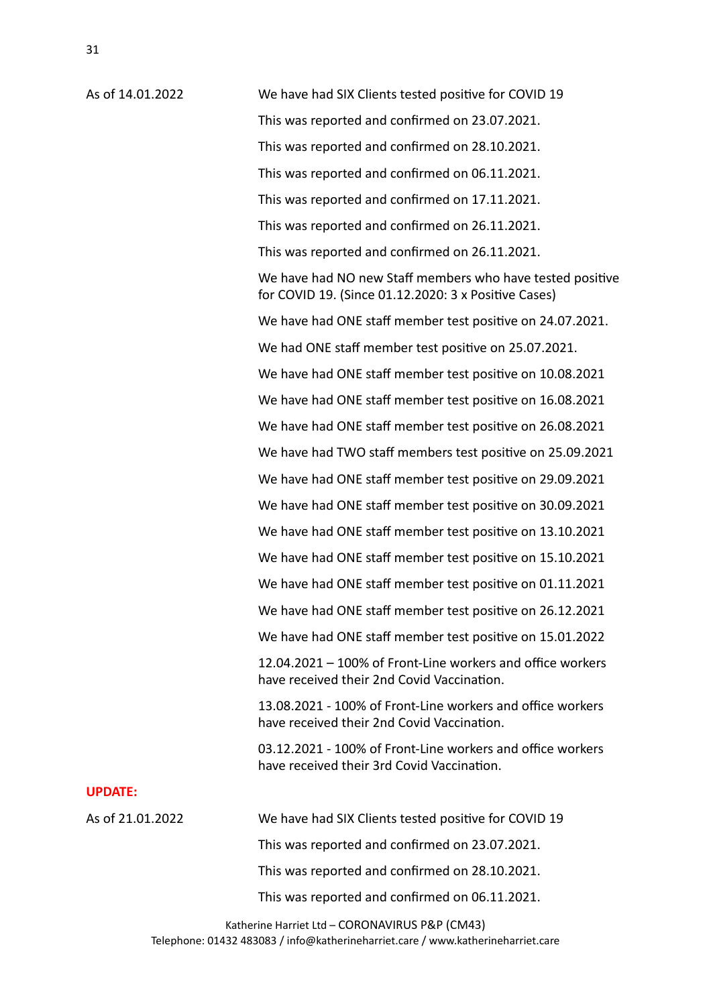As of 14.01.2022 We have had SIX Clients tested positive for COVID 19 This was reported and confirmed on 23.07.2021. This was reported and confirmed on 28.10.2021. This was reported and confirmed on 06.11.2021. This was reported and confirmed on 17.11.2021. This was reported and confirmed on 26.11.2021. This was reported and confirmed on 26.11.2021. We have had NO new Staff members who have tested positive for COVID 19. (Since  $01.12.2020:3x$  Positive Cases) We have had ONE staff member test positive on 24.07.2021. We had ONE staff member test positive on 25.07.2021. We have had ONE staff member test positive on 10.08.2021 We have had ONE staff member test positive on 16.08.2021 We have had ONE staff member test positive on 26.08.2021 We have had TWO staff members test positive on 25.09.2021 We have had ONE staff member test positive on 29.09.2021 We have had ONE staff member test positive on 30.09.2021 We have had ONE staff member test positive on 13.10.2021 We have had ONE staff member test positive on 15.10.2021 We have had ONE staff member test positive on 01.11.2021 We have had ONE staff member test positive on 26.12.2021 We have had ONE staff member test positive on 15.01.2022  $12.04.2021 - 100\%$  of Front-Line workers and office workers have received their 2nd Covid Vaccination. 13.08.2021 - 100% of Front-Line workers and office workers have received their 2nd Covid Vaccination. 03.12.2021 - 100% of Front-Line workers and office workers have received their 3rd Covid Vaccination. **UPDATE:** As of 21.01.2022 We have had SIX Clients tested positive for COVID 19 This was reported and confirmed on 23.07.2021. This was reported and confirmed on 28.10.2021. This was reported and confirmed on 06.11.2021.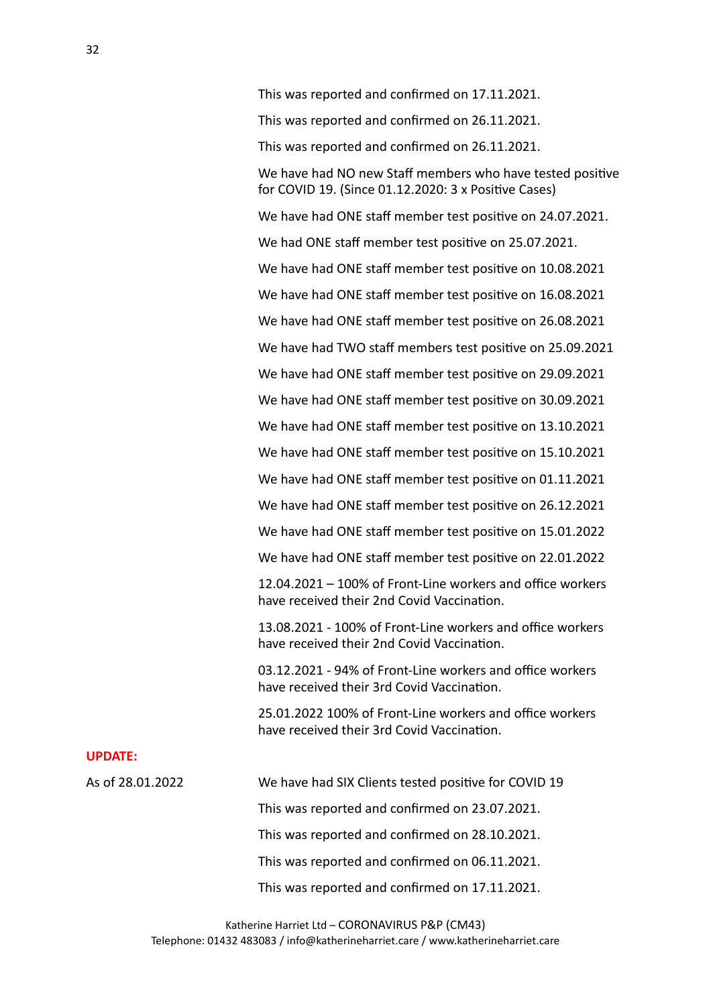This was reported and confirmed on 17.11.2021. This was reported and confirmed on 26.11.2021. This was reported and confirmed on 26.11.2021. We have had NO new Staff members who have tested positive for COVID 19. (Since  $01.12.2020:3x$  Positive Cases) We have had ONE staff member test positive on 24.07.2021. We had ONE staff member test positive on 25.07.2021. We have had ONE staff member test positive on 10.08.2021 We have had ONE staff member test positive on 16.08.2021 We have had ONE staff member test positive on 26.08.2021 We have had TWO staff members test positive on 25.09.2021 We have had ONE staff member test positive on 29.09.2021 We have had ONE staff member test positive on 30.09.2021 We have had ONE staff member test positive on 13.10.2021 We have had ONE staff member test positive on 15.10.2021 We have had ONE staff member test positive on 01.11.2021 We have had ONE staff member test positive on 26.12.2021 We have had ONE staff member test positive on 15.01.2022 We have had ONE staff member test positive on 22.01.2022  $12.04.2021 - 100\%$  of Front-Line workers and office workers have received their 2nd Covid Vaccination. 13.08.2021 - 100% of Front-Line workers and office workers have received their 2nd Covid Vaccination. 03.12.2021 - 94% of Front-Line workers and office workers have received their 3rd Covid Vaccination. 25.01.2022 100% of Front-Line workers and office workers

#### **UPDATE:**

As of 28.01.2022 We have had SIX Clients tested positive for COVID 19 This was reported and confirmed on 23.07.2021. This was reported and confirmed on 28.10.2021. This was reported and confirmed on 06.11.2021. This was reported and confirmed on 17.11.2021.

have received their 3rd Covid Vaccination.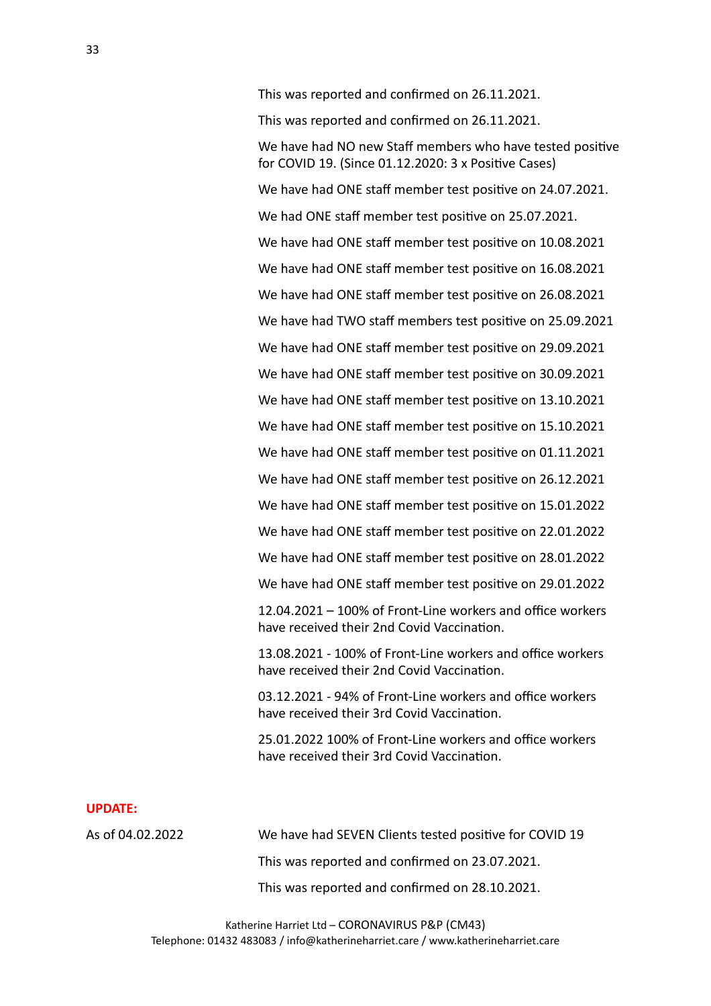This was reported and confirmed on 26.11.2021. This was reported and confirmed on 26.11.2021. We have had NO new Staff members who have tested positive for COVID 19. (Since  $01.12.2020:3x$  Positive Cases) We have had ONE staff member test positive on 24.07.2021. We had ONE staff member test positive on 25.07.2021. We have had ONE staff member test positive on 10.08.2021 We have had ONE staff member test positive on 16.08.2021 We have had ONE staff member test positive on 26.08.2021 We have had TWO staff members test positive on 25.09.2021 We have had ONE staff member test positive on 29.09.2021 We have had ONE staff member test positive on 30.09.2021 We have had ONE staff member test positive on 13.10.2021 We have had ONE staff member test positive on 15.10.2021 We have had ONE staff member test positive on 01.11.2021 We have had ONE staff member test positive on 26.12.2021 We have had ONE staff member test positive on 15.01.2022 We have had ONE staff member test positive on 22.01.2022 We have had ONE staff member test positive on 28.01.2022 We have had ONE staff member test positive on 29.01.2022

 $12.04.2021 - 100\%$  of Front-Line workers and office workers have received their 2nd Covid Vaccination.

13.08.2021 - 100% of Front-Line workers and office workers have received their 2nd Covid Vaccination.

03.12.2021 - 94% of Front-Line workers and office workers have received their 3rd Covid Vaccination.

25.01.2022 100% of Front-Line workers and office workers have received their 3rd Covid Vaccination.

#### **UPDATE:**

As of 04.02.2022 We have had SEVEN Clients tested positive for COVID 19 This was reported and confirmed on 23.07.2021. This was reported and confirmed on 28.10.2021.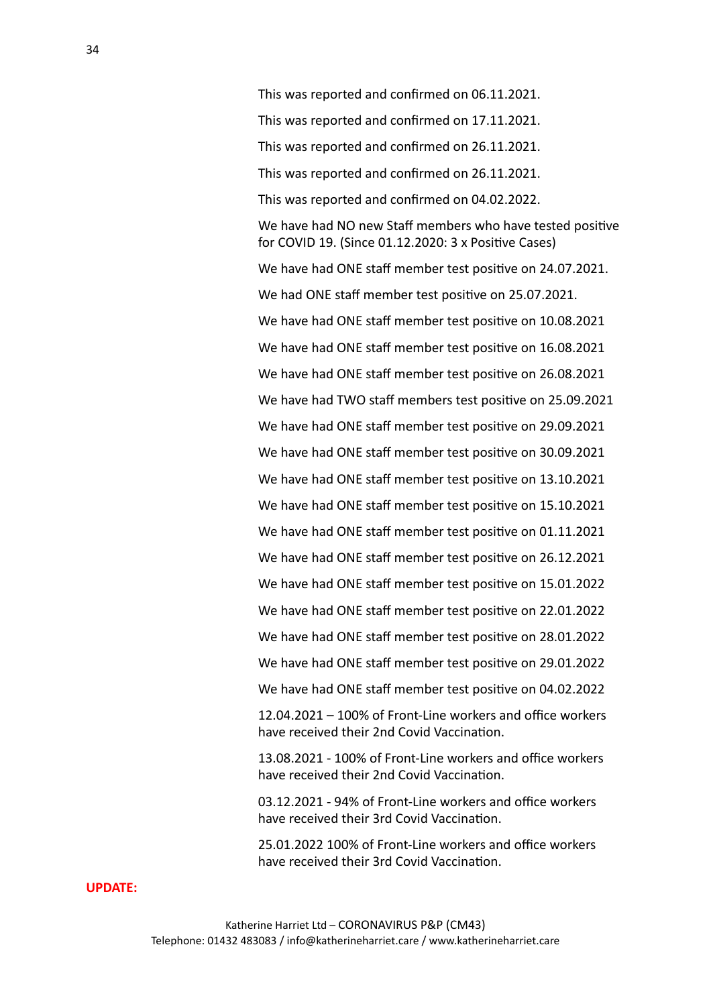This was reported and confirmed on 06.11.2021. This was reported and confirmed on 17.11.2021. This was reported and confirmed on 26.11.2021. This was reported and confirmed on 26.11.2021. This was reported and confirmed on 04.02.2022. We have had NO new Staff members who have tested positive for COVID 19. (Since  $01.12.2020:3x$  Positive Cases) We have had ONE staff member test positive on 24.07.2021. We had ONE staff member test positive on 25.07.2021. We have had ONE staff member test positive on 10.08.2021 We have had ONE staff member test positive on 16.08.2021 We have had ONE staff member test positive on 26.08.2021 We have had TWO staff members test positive on 25.09.2021 We have had ONE staff member test positive on 29.09.2021 We have had ONE staff member test positive on 30.09.2021 We have had ONE staff member test positive on 13.10.2021 We have had ONE staff member test positive on 15.10.2021 We have had ONE staff member test positive on 01.11.2021 We have had ONE staff member test positive on 26.12.2021 We have had ONE staff member test positive on 15.01.2022 We have had ONE staff member test positive on 22.01.2022 We have had ONE staff member test positive on 28.01.2022 We have had ONE staff member test positive on 29.01.2022 We have had ONE staff member test positive on 04.02.2022  $12.04.2021 - 100\%$  of Front-Line workers and office workers have received their 2nd Covid Vaccination.

13.08.2021 - 100% of Front-Line workers and office workers have received their 2nd Covid Vaccination.

03.12.2021 - 94% of Front-Line workers and office workers have received their 3rd Covid Vaccination.

25.01.2022 100% of Front-Line workers and office workers have received their 3rd Covid Vaccination.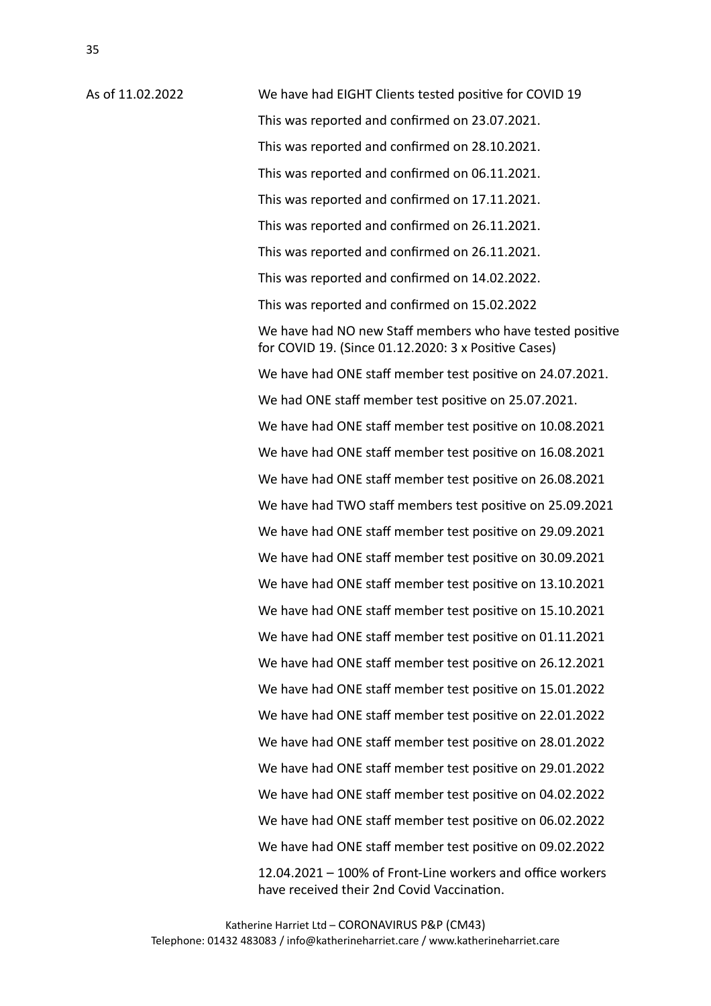As of 11.02.2022 We have had EIGHT Clients tested positive for COVID 19 This was reported and confirmed on 23.07.2021. This was reported and confirmed on 28.10.2021. This was reported and confirmed on 06.11.2021. This was reported and confirmed on 17.11.2021. This was reported and confirmed on 26.11.2021. This was reported and confirmed on 26.11.2021. This was reported and confirmed on 14.02.2022. This was reported and confirmed on 15.02.2022 We have had NO new Staff members who have tested positive for COVID 19. (Since  $01.12.2020:3x$  Positive Cases) We have had ONE staff member test positive on 24.07.2021. We had ONE staff member test positive on 25.07.2021. We have had ONE staff member test positive on 10.08.2021 We have had ONE staff member test positive on 16.08.2021 We have had ONE staff member test positive on 26.08.2021 We have had TWO staff members test positive on 25.09.2021 We have had ONE staff member test positive on 29.09.2021 We have had ONE staff member test positive on 30.09.2021 We have had ONE staff member test positive on 13.10.2021 We have had ONE staff member test positive on 15.10.2021 We have had ONE staff member test positive on 01.11.2021 We have had ONE staff member test positive on 26.12.2021 We have had ONE staff member test positive on 15.01.2022 We have had ONE staff member test positive on 22.01.2022 We have had ONE staff member test positive on 28.01.2022 We have had ONE staff member test positive on 29.01.2022 We have had ONE staff member test positive on 04.02.2022 We have had ONE staff member test positive on 06.02.2022 We have had ONE staff member test positive on 09.02.2022  $12.04.2021 - 100\%$  of Front-Line workers and office workers have received their 2nd Covid Vaccination.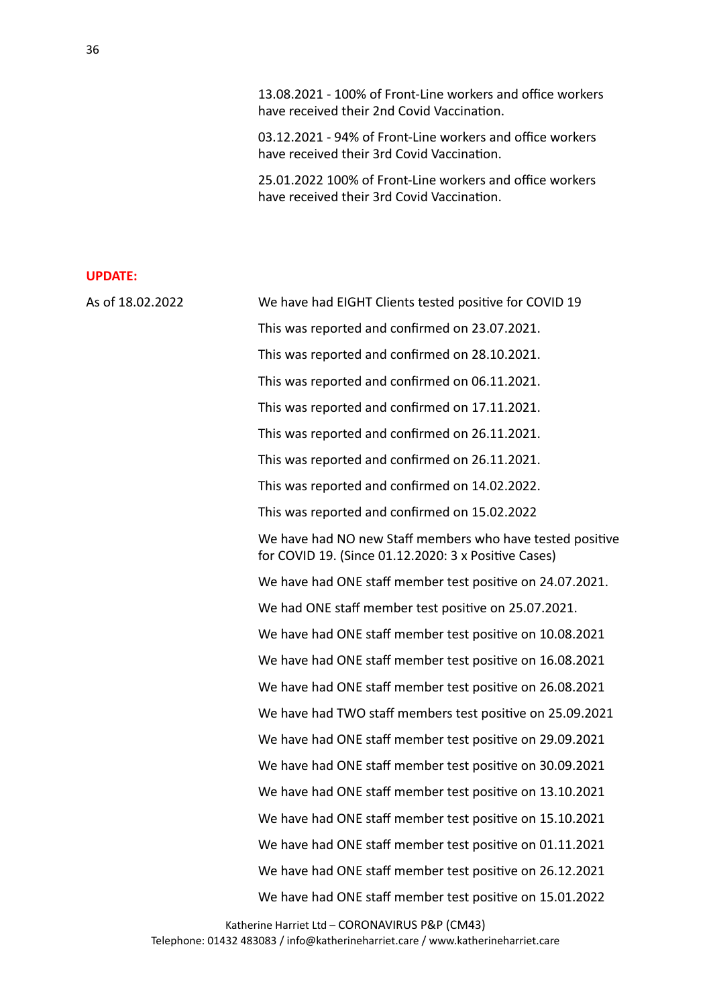13.08.2021 - 100% of Front-Line workers and office workers have received their 2nd Covid Vaccination.

03.12.2021 - 94% of Front-Line workers and office workers have received their 3rd Covid Vaccination.

25.01.2022 100% of Front-Line workers and office workers have received their 3rd Covid Vaccination.

| As of 18.02.2022 | We have had EIGHT Clients tested positive for COVID 19                                                            |
|------------------|-------------------------------------------------------------------------------------------------------------------|
|                  | This was reported and confirmed on 23.07.2021.                                                                    |
|                  | This was reported and confirmed on 28.10.2021.                                                                    |
|                  | This was reported and confirmed on 06.11.2021.                                                                    |
|                  | This was reported and confirmed on 17.11.2021.                                                                    |
|                  | This was reported and confirmed on 26.11.2021.                                                                    |
|                  | This was reported and confirmed on 26.11.2021.                                                                    |
|                  | This was reported and confirmed on 14.02.2022.                                                                    |
|                  | This was reported and confirmed on 15.02.2022                                                                     |
|                  | We have had NO new Staff members who have tested positive<br>for COVID 19. (Since 01.12.2020: 3 x Positive Cases) |
|                  | We have had ONE staff member test positive on 24.07.2021.                                                         |
|                  | We had ONE staff member test positive on 25.07.2021.                                                              |
|                  | We have had ONE staff member test positive on 10.08.2021                                                          |
|                  | We have had ONE staff member test positive on 16.08.2021                                                          |
|                  | We have had ONE staff member test positive on 26.08.2021                                                          |
|                  | We have had TWO staff members test positive on 25.09.2021                                                         |
|                  | We have had ONE staff member test positive on 29.09.2021                                                          |
|                  | We have had ONE staff member test positive on 30.09.2021                                                          |
|                  | We have had ONE staff member test positive on 13.10.2021                                                          |
|                  | We have had ONE staff member test positive on 15.10.2021                                                          |
|                  | We have had ONE staff member test positive on 01.11.2021                                                          |
|                  | We have had ONE staff member test positive on 26.12.2021                                                          |
|                  | We have had ONE staff member test positive on 15.01.2022                                                          |
|                  |                                                                                                                   |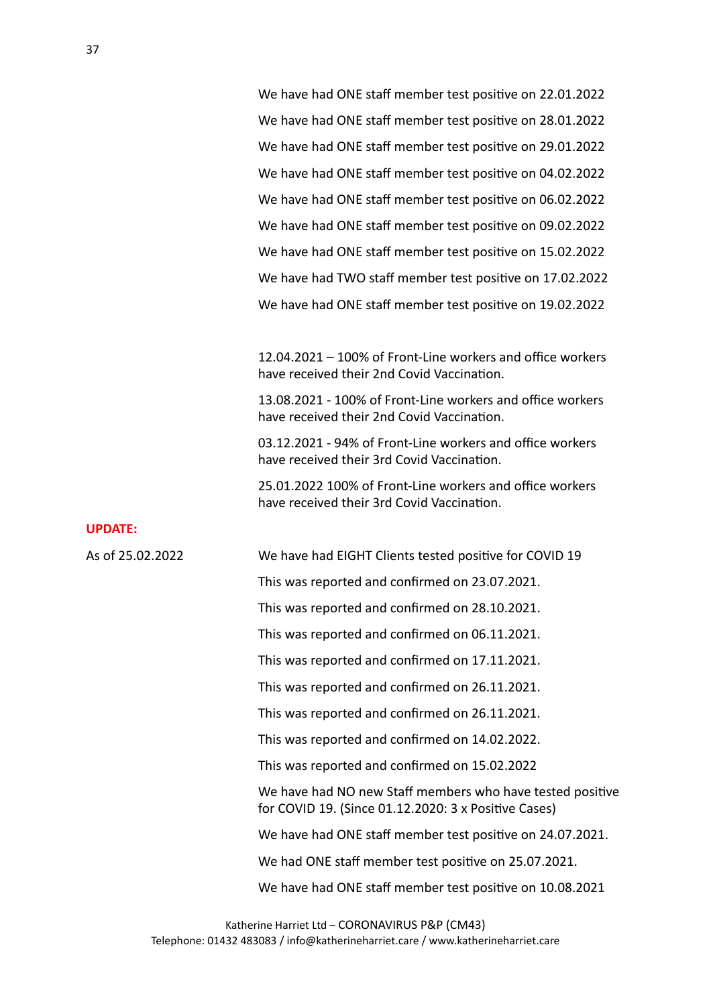We have had ONE staff member test positive on 22.01.2022 We have had ONE staff member test positive on 28.01.2022 We have had ONE staff member test positive on 29.01.2022 We have had ONE staff member test positive on 04.02.2022 We have had ONE staff member test positive on 06.02.2022 We have had ONE staff member test positive on 09.02.2022 We have had ONE staff member test positive on 15.02.2022 We have had TWO staff member test positive on 17.02.2022 We have had ONE staff member test positive on 19.02.2022

 $12.04.2021 - 100\%$  of Front-Line workers and office workers have received their 2nd Covid Vaccination.

13.08.2021 - 100% of Front-Line workers and office workers have received their 2nd Covid Vaccination.

03.12.2021 - 94% of Front-Line workers and office workers have received their 3rd Covid Vaccination.

25.01.2022 100% of Front-Line workers and office workers have received their 3rd Covid Vaccination.

#### **UPDATE:**

As of 25.02.2022 We have had EIGHT Clients tested positive for COVID 19 This was reported and confirmed on 23.07.2021. This was reported and confirmed on 28.10.2021. This was reported and confirmed on 06.11.2021. This was reported and confirmed on 17.11.2021. This was reported and confirmed on 26.11.2021. This was reported and confirmed on 26.11.2021. This was reported and confirmed on 14.02.2022. This was reported and confirmed on 15.02.2022 We have had NO new Staff members who have tested positive for COVID 19. (Since  $01.12.2020:3x$  Positive Cases) We have had ONE staff member test positive on 24.07.2021. We had ONE staff member test positive on 25.07.2021. We have had ONE staff member test positive on 10.08.2021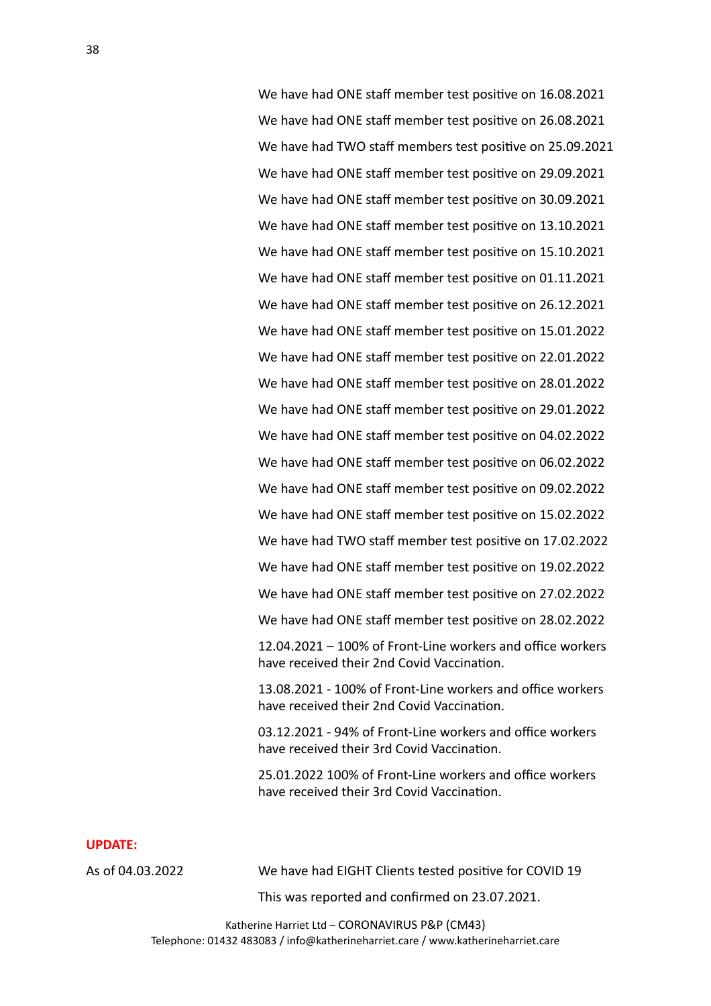We have had ONE staff member test positive on 16.08.2021 We have had ONE staff member test positive on 26.08.2021 We have had TWO staff members test positive on 25.09.2021 We have had ONE staff member test positive on 29.09.2021 We have had ONE staff member test positive on 30.09.2021 We have had ONE staff member test positive on 13.10.2021 We have had ONE staff member test positive on 15.10.2021 We have had ONE staff member test positive on 01.11.2021 We have had ONE staff member test positive on 26.12.2021 We have had ONE staff member test positive on 15.01.2022 We have had ONE staff member test positive on 22.01.2022 We have had ONE staff member test positive on 28.01.2022 We have had ONE staff member test positive on 29.01.2022 We have had ONE staff member test positive on 04.02.2022 We have had ONE staff member test positive on 06.02.2022 We have had ONE staff member test positive on 09.02.2022 We have had ONE staff member test positive on 15.02.2022 We have had TWO staff member test positive on 17.02.2022 We have had ONE staff member test positive on 19.02.2022 We have had ONE staff member test positive on 27.02.2022 We have had ONE staff member test positive on 28.02.2022  $12.04.2021 - 100\%$  of Front-Line workers and office workers

13.08.2021 - 100% of Front-Line workers and office workers have received their 2nd Covid Vaccination.

have received their 2nd Covid Vaccination.

03.12.2021 - 94% of Front-Line workers and office workers have received their 3rd Covid Vaccination.

25.01.2022 100% of Front-Line workers and office workers have received their 3rd Covid Vaccination.

#### **UPDATE:**

As of 04.03.2022 We have had EIGHT Clients tested positive for COVID 19

This was reported and confirmed on 23.07.2021.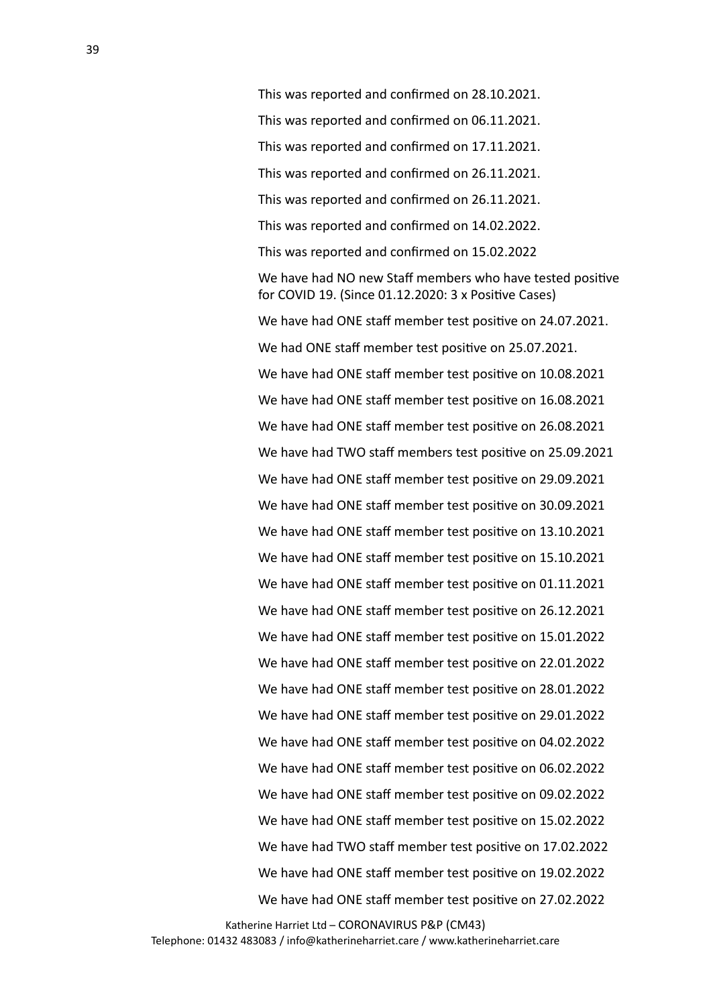This was reported and confirmed on 28.10.2021. This was reported and confirmed on 06.11.2021. This was reported and confirmed on 17.11.2021. This was reported and confirmed on 26.11.2021. This was reported and confirmed on 26.11.2021. This was reported and confirmed on 14.02.2022. This was reported and confirmed on 15.02.2022 We have had NO new Staff members who have tested positive for COVID 19. (Since  $01.12.2020:3x$  Positive Cases) We have had ONE staff member test positive on 24.07.2021. We had ONE staff member test positive on 25.07.2021. We have had ONE staff member test positive on 10.08.2021 We have had ONE staff member test positive on 16.08.2021 We have had ONE staff member test positive on 26.08.2021 We have had TWO staff members test positive on 25.09.2021

We have had ONE staff member test positive on 29.09.2021 We have had ONE staff member test positive on 30.09.2021 We have had ONE staff member test positive on 13.10.2021 We have had ONE staff member test positive on 15.10.2021 We have had ONE staff member test positive on 01.11.2021 We have had ONE staff member test positive on 26.12.2021 We have had ONE staff member test positive on 15.01.2022 We have had ONE staff member test positive on 22.01.2022 We have had ONE staff member test positive on 28.01.2022 We have had ONE staff member test positive on 29.01.2022 We have had ONE staff member test positive on 04.02.2022 We have had ONE staff member test positive on 06.02.2022 We have had ONE staff member test positive on 09.02.2022 We have had ONE staff member test positive on 15.02.2022 We have had TWO staff member test positive on 17.02.2022 We have had ONE staff member test positive on 19.02.2022 We have had ONE staff member test positive on 27.02.2022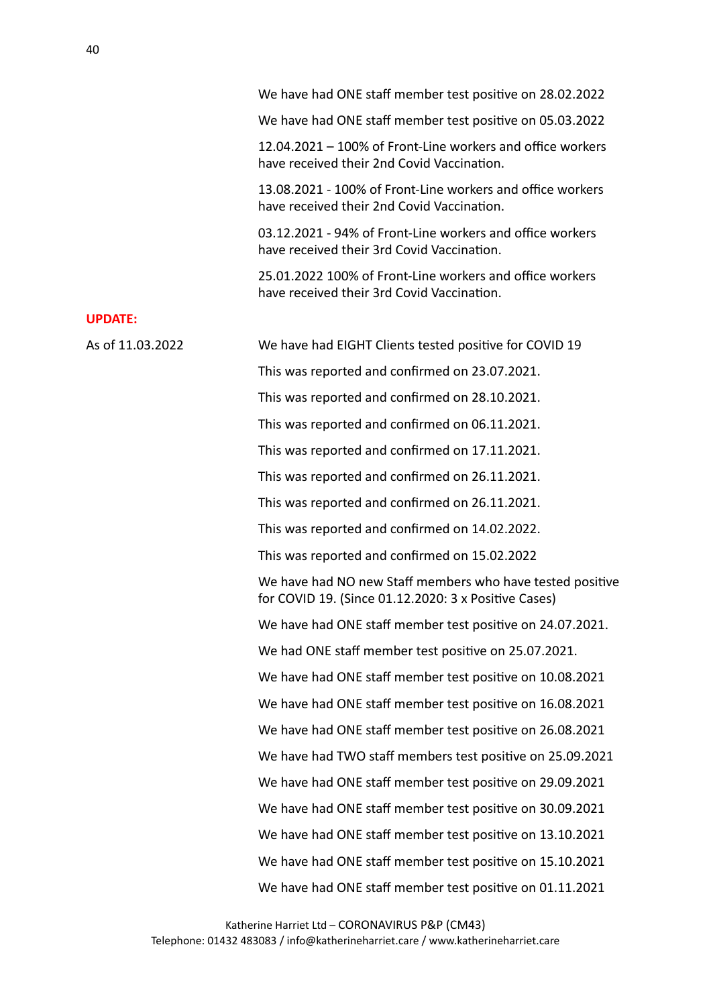We have had ONE staff member test positive on 28.02.2022

We have had ONE staff member test positive on 05.03.2022

 $12.04.2021 - 100\%$  of Front-Line workers and office workers have received their 2nd Covid Vaccination.

13.08.2021 - 100% of Front-Line workers and office workers have received their 2nd Covid Vaccination.

03.12.2021 - 94% of Front-Line workers and office workers have received their 3rd Covid Vaccination.

25.01.2022 100% of Front-Line workers and office workers have received their 3rd Covid Vaccination.

| As of 11.03.2022 | We have had EIGHT Clients tested positive for COVID 19                                                            |
|------------------|-------------------------------------------------------------------------------------------------------------------|
|                  | This was reported and confirmed on 23.07.2021.                                                                    |
|                  | This was reported and confirmed on 28.10.2021.                                                                    |
|                  | This was reported and confirmed on 06.11.2021.                                                                    |
|                  | This was reported and confirmed on 17.11.2021.                                                                    |
|                  | This was reported and confirmed on 26.11.2021.                                                                    |
|                  | This was reported and confirmed on 26.11.2021.                                                                    |
|                  | This was reported and confirmed on 14.02.2022.                                                                    |
|                  | This was reported and confirmed on 15.02.2022                                                                     |
|                  | We have had NO new Staff members who have tested positive<br>for COVID 19. (Since 01.12.2020: 3 x Positive Cases) |
|                  | We have had ONE staff member test positive on 24.07.2021.                                                         |
|                  | We had ONE staff member test positive on 25.07.2021.                                                              |
|                  | We have had ONE staff member test positive on 10.08.2021                                                          |
|                  | We have had ONE staff member test positive on 16.08.2021                                                          |
|                  | We have had ONE staff member test positive on 26.08.2021                                                          |
|                  | We have had TWO staff members test positive on 25.09.2021                                                         |
|                  | We have had ONE staff member test positive on 29.09.2021                                                          |
|                  | We have had ONE staff member test positive on 30.09.2021                                                          |
|                  | We have had ONE staff member test positive on 13.10.2021                                                          |
|                  | We have had ONE staff member test positive on 15.10.2021                                                          |
|                  | We have had ONE staff member test positive on 01.11.2021                                                          |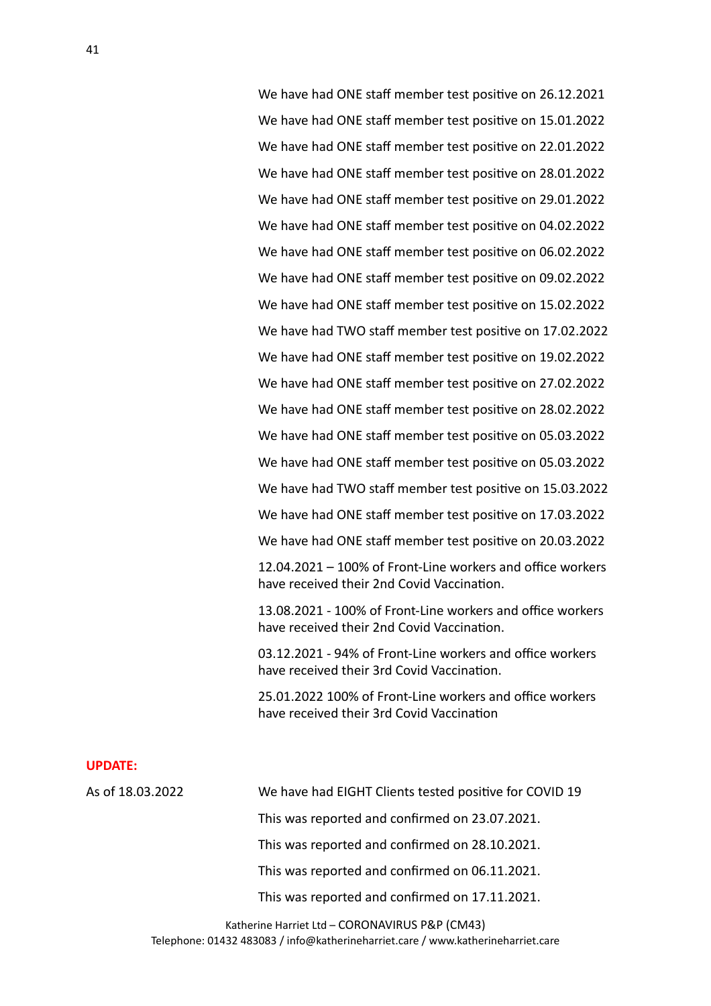We have had ONE staff member test positive on 26.12.2021 We have had ONE staff member test positive on 15.01.2022 We have had ONE staff member test positive on 22.01.2022 We have had ONE staff member test positive on 28.01.2022 We have had ONE staff member test positive on 29.01.2022 We have had ONE staff member test positive on 04.02.2022 We have had ONE staff member test positive on 06.02.2022 We have had ONE staff member test positive on 09.02.2022 We have had ONE staff member test positive on 15.02.2022 We have had TWO staff member test positive on 17.02.2022 We have had ONE staff member test positive on 19.02.2022 We have had ONE staff member test positive on 27.02.2022 We have had ONE staff member test positive on 28.02.2022 We have had ONE staff member test positive on 05.03.2022 We have had ONE staff member test positive on 05.03.2022 We have had TWO staff member test positive on 15.03.2022 We have had ONE staff member test positive on 17.03.2022 We have had ONE staff member test positive on 20.03.2022  $12.04.2021 - 100\%$  of Front-Line workers and office workers have received their 2nd Covid Vaccination.

13.08.2021 - 100% of Front-Line workers and office workers have received their 2nd Covid Vaccination.

03.12.2021 - 94% of Front-Line workers and office workers have received their 3rd Covid Vaccination.

25.01.2022 100% of Front-Line workers and office workers have received their 3rd Covid Vaccination

#### **UPDATE:**

As of 18.03.2022 We have had EIGHT Clients tested positive for COVID 19 This was reported and confirmed on 23.07.2021. This was reported and confirmed on 28.10.2021. This was reported and confirmed on 06.11.2021. This was reported and confirmed on 17.11.2021.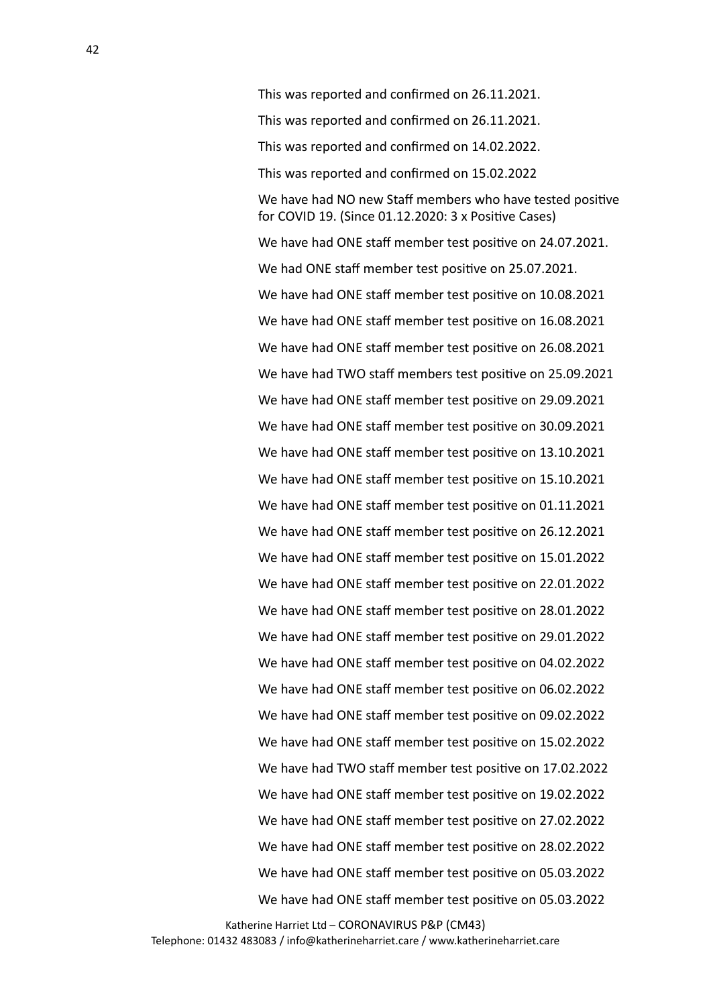This was reported and confirmed on 26.11.2021. This was reported and confirmed on 26.11.2021. This was reported and confirmed on 14.02.2022. This was reported and confirmed on 15.02.2022 We have had NO new Staff members who have tested positive for COVID 19. (Since  $01.12.2020:3x$  Positive Cases) We have had ONE staff member test positive on 24.07.2021. We had ONE staff member test positive on 25.07.2021. We have had ONE staff member test positive on 10.08.2021 We have had ONE staff member test positive on 16.08.2021 We have had ONE staff member test positive on 26.08.2021 We have had TWO staff members test positive on 25.09.2021 We have had ONE staff member test positive on 29.09.2021 We have had ONE staff member test positive on 30.09.2021 We have had ONE staff member test positive on 13.10.2021 We have had ONE staff member test positive on 15.10.2021 We have had ONE staff member test positive on 01.11.2021 We have had ONE staff member test positive on 26.12.2021 We have had ONE staff member test positive on 15.01.2022 We have had ONE staff member test positive on 22.01.2022 We have had ONE staff member test positive on 28.01.2022 We have had ONE staff member test positive on 29.01.2022 We have had ONE staff member test positive on 04.02.2022 We have had ONE staff member test positive on 06.02.2022 We have had ONE staff member test positive on 09.02.2022 We have had ONE staff member test positive on 15.02.2022 We have had TWO staff member test positive on 17.02.2022 We have had ONE staff member test positive on 19.02.2022 We have had ONE staff member test positive on 27.02.2022 We have had ONE staff member test positive on 28.02.2022 We have had ONE staff member test positive on 05.03.2022 We have had ONE staff member test positive on 05.03.2022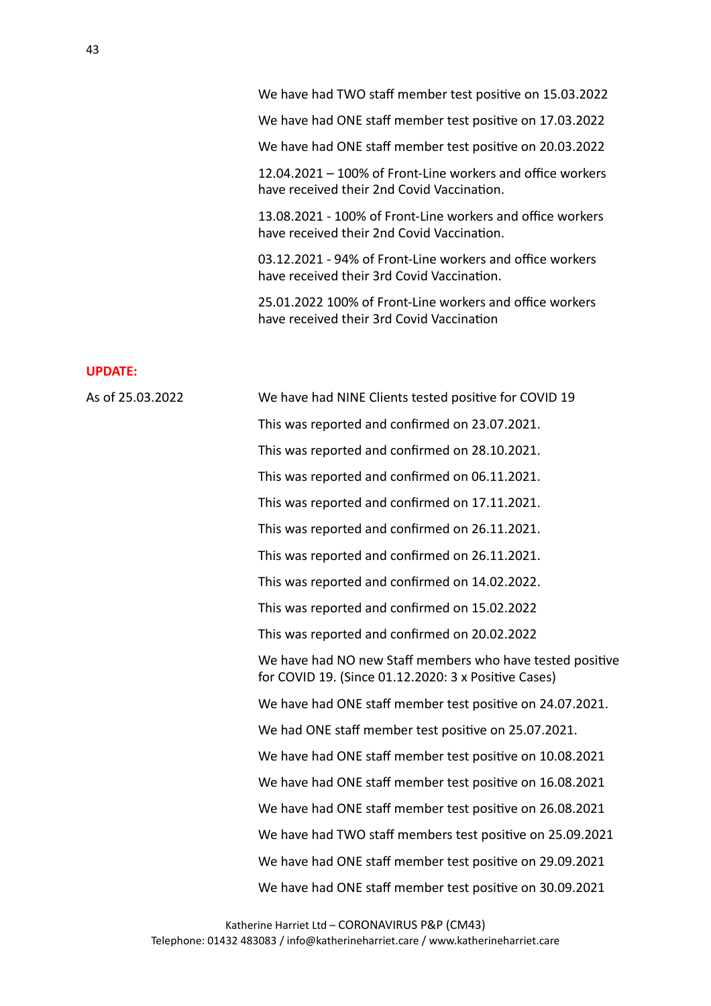We have had TWO staff member test positive on 15.03.2022

We have had ONE staff member test positive on 17.03.2022

We have had ONE staff member test positive on 20.03.2022

 $12.04.2021 - 100\%$  of Front-Line workers and office workers have received their 2nd Covid Vaccination.

13.08.2021 - 100% of Front-Line workers and office workers have received their 2nd Covid Vaccination.

03.12.2021 - 94% of Front-Line workers and office workers have received their 3rd Covid Vaccination.

25.01.2022 100% of Front-Line workers and office workers have received their 3rd Covid Vaccination

| As of 25.03.2022 | We have had NINE Clients tested positive for COVID 19                                                             |
|------------------|-------------------------------------------------------------------------------------------------------------------|
|                  | This was reported and confirmed on 23.07.2021.                                                                    |
|                  | This was reported and confirmed on 28.10.2021.                                                                    |
|                  | This was reported and confirmed on 06.11.2021.                                                                    |
|                  | This was reported and confirmed on 17.11.2021.                                                                    |
|                  | This was reported and confirmed on 26.11.2021.                                                                    |
|                  | This was reported and confirmed on 26.11.2021.                                                                    |
|                  | This was reported and confirmed on 14.02.2022.                                                                    |
|                  | This was reported and confirmed on 15.02.2022                                                                     |
|                  | This was reported and confirmed on 20.02.2022                                                                     |
|                  | We have had NO new Staff members who have tested positive<br>for COVID 19. (Since 01.12.2020: 3 x Positive Cases) |
|                  | We have had ONE staff member test positive on 24.07.2021.                                                         |
|                  | We had ONE staff member test positive on 25.07.2021.                                                              |
|                  | We have had ONE staff member test positive on 10.08.2021                                                          |
|                  | We have had ONE staff member test positive on 16.08.2021                                                          |
|                  | We have had ONE staff member test positive on 26.08.2021                                                          |
|                  | We have had TWO staff members test positive on 25.09.2021                                                         |
|                  | We have had ONE staff member test positive on 29.09.2021                                                          |
|                  | We have had ONE staff member test positive on 30.09.2021                                                          |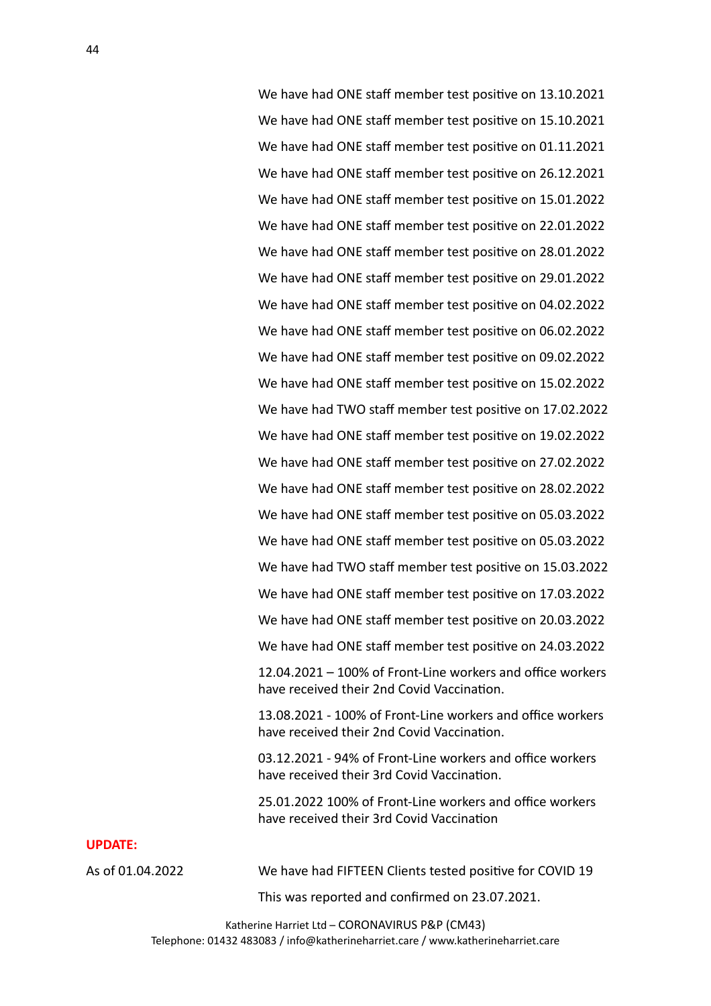We have had ONE staff member test positive on 13.10.2021 We have had ONE staff member test positive on 15.10.2021 We have had ONE staff member test positive on 01.11.2021 We have had ONE staff member test positive on 26.12.2021 We have had ONE staff member test positive on 15.01.2022 We have had ONE staff member test positive on 22.01.2022 We have had ONE staff member test positive on 28.01.2022 We have had ONE staff member test positive on 29.01.2022 We have had ONE staff member test positive on 04.02.2022 We have had ONE staff member test positive on 06.02.2022 We have had ONE staff member test positive on 09.02.2022 We have had ONE staff member test positive on 15.02.2022 We have had TWO staff member test positive on 17.02.2022 We have had ONE staff member test positive on 19.02.2022 We have had ONE staff member test positive on 27.02.2022 We have had ONE staff member test positive on 28.02.2022 We have had ONE staff member test positive on 05.03.2022 We have had ONE staff member test positive on 05.03.2022 We have had TWO staff member test positive on 15.03.2022 We have had ONE staff member test positive on 17.03.2022 We have had ONE staff member test positive on 20.03.2022 We have had ONE staff member test positive on 24.03.2022  $12.04.2021 - 100\%$  of Front-Line workers and office workers have received their 2nd Covid Vaccination.

13.08.2021 - 100% of Front-Line workers and office workers have received their 2nd Covid Vaccination.

03.12.2021 - 94% of Front-Line workers and office workers have received their 3rd Covid Vaccination.

25.01.2022 100% of Front-Line workers and office workers have received their 3rd Covid Vaccination

#### **UPDATE:**

As of 01.04.2022 We have had FIFTEEN Clients tested positive for COVID 19

This was reported and confirmed on 23.07.2021.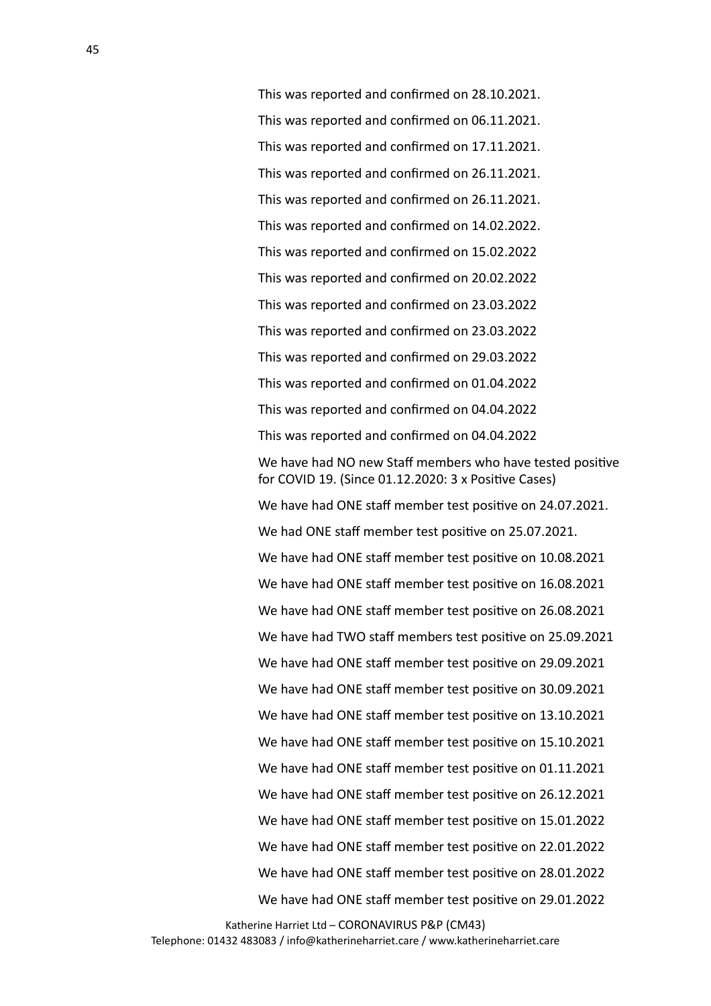This was reported and confirmed on 28.10.2021. This was reported and confirmed on 06.11.2021. This was reported and confirmed on 17.11.2021. This was reported and confirmed on 26.11.2021. This was reported and confirmed on 26.11.2021. This was reported and confirmed on 14.02.2022. This was reported and confirmed on 15.02.2022 This was reported and confirmed on 20.02.2022 This was reported and confirmed on 23.03.2022 This was reported and confirmed on 23.03.2022 This was reported and confirmed on 29.03.2022 This was reported and confirmed on 01.04.2022 This was reported and confirmed on 04.04.2022 This was reported and confirmed on 04.04.2022 We have had NO new Staff members who have tested positive for COVID 19. (Since  $01.12.2020:3x$  Positive Cases) We have had ONE staff member test positive on 24.07.2021. We had ONE staff member test positive on 25.07.2021. We have had ONE staff member test positive on 10.08.2021 We have had ONE staff member test positive on 16.08.2021 We have had ONE staff member test positive on 26.08.2021 We have had TWO staff members test positive on 25.09.2021 We have had ONE staff member test positive on 29.09.2021 We have had ONE staff member test positive on 30.09.2021 We have had ONE staff member test positive on 13.10.2021 We have had ONE staff member test positive on 15.10.2021 We have had ONE staff member test positive on 01.11.2021 We have had ONE staff member test positive on 26.12.2021 We have had ONE staff member test positive on 15.01.2022 We have had ONE staff member test positive on 22.01.2022 We have had ONE staff member test positive on 28.01.2022 We have had ONE staff member test positive on 29.01.2022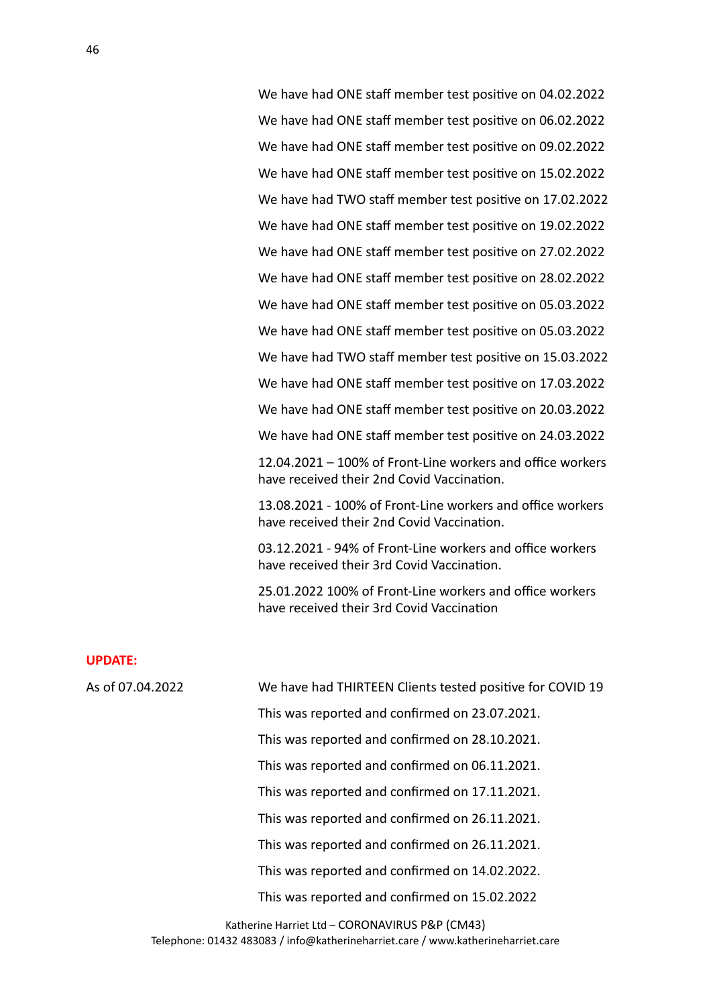We have had ONE staff member test positive on 04.02.2022 We have had ONE staff member test positive on 06.02.2022 We have had ONE staff member test positive on 09.02.2022 We have had ONE staff member test positive on 15.02.2022 We have had TWO staff member test positive on 17.02.2022 We have had ONE staff member test positive on 19.02.2022 We have had ONE staff member test positive on 27.02.2022 We have had ONE staff member test positive on 28.02.2022 We have had ONE staff member test positive on 05.03.2022 We have had ONE staff member test positive on 05.03.2022 We have had TWO staff member test positive on 15.03.2022 We have had ONE staff member test positive on 17.03.2022 We have had ONE staff member test positive on 20.03.2022 We have had ONE staff member test positive on 24.03.2022  $12.04.2021 - 100\%$  of Front-Line workers and office workers have received their 2nd Covid Vaccination. 13.08.2021 - 100% of Front-Line workers and office workers

have received their 2nd Covid Vaccination.

03.12.2021 - 94% of Front-Line workers and office workers have received their 3rd Covid Vaccination.

25.01.2022 100% of Front-Line workers and office workers have received their 3rd Covid Vaccination

#### **UPDATE:**

| As of 07.04.2022 | We have had THIRTEEN Clients tested positive for COVID 19 |
|------------------|-----------------------------------------------------------|
|                  | This was reported and confirmed on 23.07.2021.            |
|                  | This was reported and confirmed on 28.10.2021.            |
|                  | This was reported and confirmed on 06.11.2021.            |
|                  | This was reported and confirmed on 17.11.2021.            |
|                  | This was reported and confirmed on 26.11.2021.            |
|                  | This was reported and confirmed on 26.11.2021.            |
|                  | This was reported and confirmed on 14.02.2022.            |
|                  | This was reported and confirmed on 15.02.2022             |
|                  |                                                           |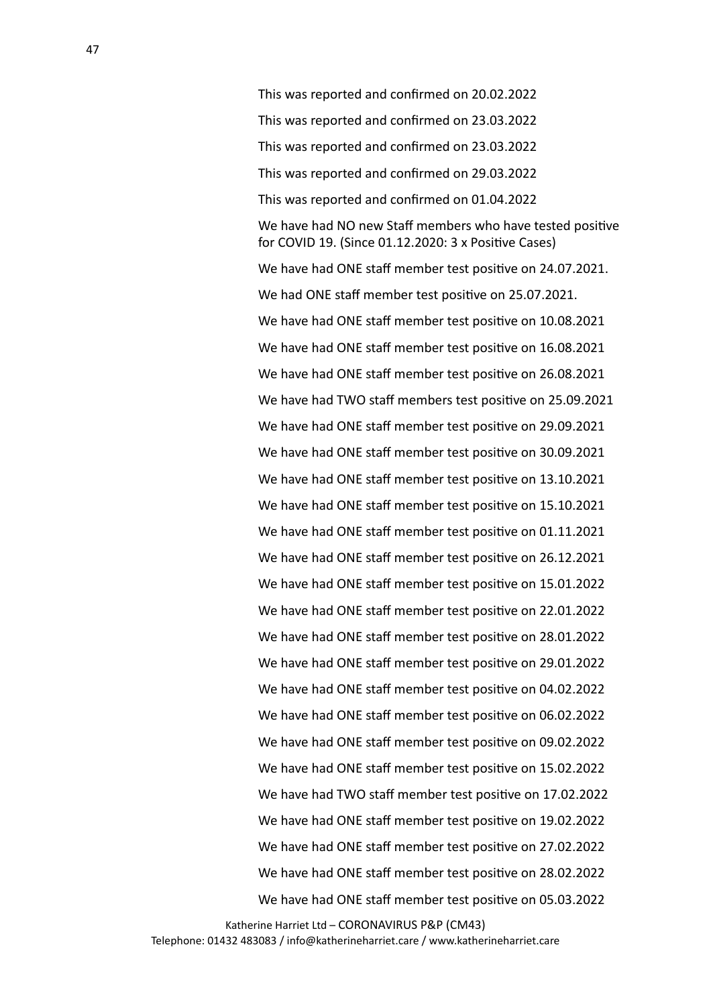This was reported and confirmed on 20.02.2022 This was reported and confirmed on 23.03.2022 This was reported and confirmed on 23.03.2022 This was reported and confirmed on 29.03.2022 This was reported and confirmed on 01.04.2022 We have had NO new Staff members who have tested positive for COVID 19. (Since  $01.12.2020:3x$  Positive Cases) We have had ONE staff member test positive on 24.07.2021. We had ONE staff member test positive on 25.07.2021. We have had ONE staff member test positive on 10.08.2021 We have had ONE staff member test positive on 16.08.2021 We have had ONE staff member test positive on 26.08.2021 We have had TWO staff members test positive on 25.09.2021 We have had ONE staff member test positive on 29.09.2021 We have had ONE staff member test positive on 30.09.2021 We have had ONE staff member test positive on 13.10.2021 We have had ONE staff member test positive on 15.10.2021 We have had ONE staff member test positive on 01.11.2021 We have had ONE staff member test positive on 26.12.2021 We have had ONE staff member test positive on 15.01.2022 We have had ONE staff member test positive on 22.01.2022 We have had ONE staff member test positive on 28.01.2022 We have had ONE staff member test positive on 29.01.2022 We have had ONE staff member test positive on 04.02.2022 We have had ONE staff member test positive on 06.02.2022 We have had ONE staff member test positive on 09.02.2022 We have had ONE staff member test positive on 15.02.2022 We have had TWO staff member test positive on 17.02.2022 We have had ONE staff member test positive on 19.02.2022 We have had ONE staff member test positive on 27.02.2022 We have had ONE staff member test positive on 28.02.2022 We have had ONE staff member test positive on 05.03.2022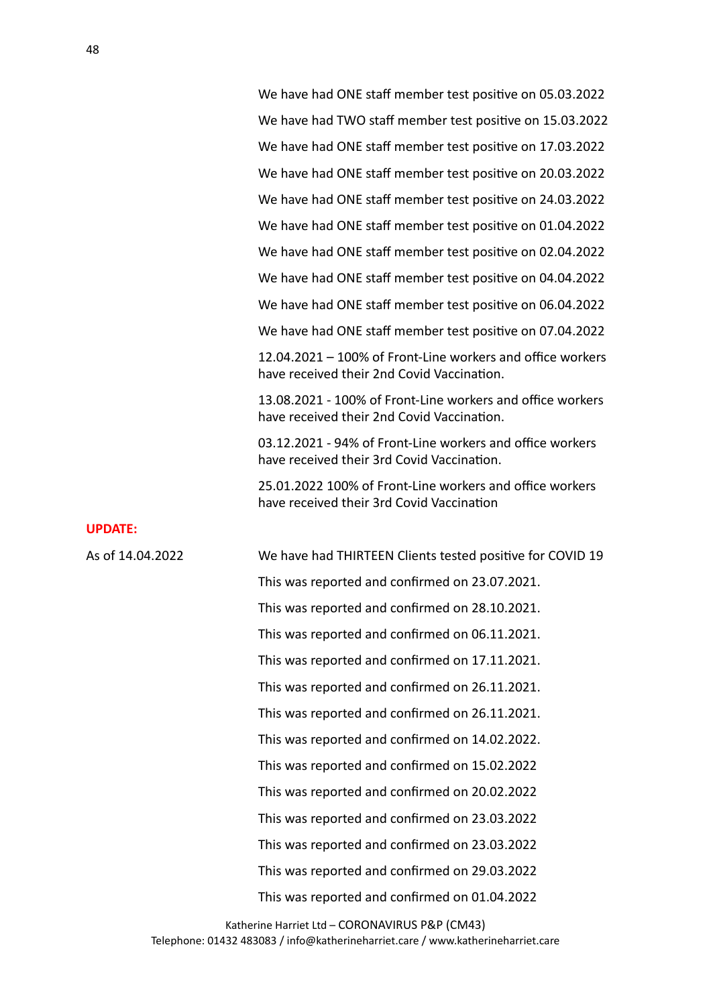We have had ONE staff member test positive on 05.03.2022 We have had TWO staff member test positive on 15.03.2022 We have had ONE staff member test positive on 17.03.2022 We have had ONE staff member test positive on 20.03.2022 We have had ONE staff member test positive on 24.03.2022 We have had ONE staff member test positive on 01.04.2022 We have had ONE staff member test positive on 02.04.2022 We have had ONE staff member test positive on 04.04.2022 We have had ONE staff member test positive on 06.04.2022 We have had ONE staff member test positive on 07.04.2022  $12.04.2021 - 100\%$  of Front-Line workers and office workers

have received their 2nd Covid Vaccination.

13.08.2021 - 100% of Front-Line workers and office workers have received their 2nd Covid Vaccination.

03.12.2021 - 94% of Front-Line workers and office workers have received their 3rd Covid Vaccination.

25.01.2022 100% of Front-Line workers and office workers have received their 3rd Covid Vaccination

#### **UPDATE:**

As of 14.04.2022 We have had THIRTEEN Clients tested positive for COVID 19 This was reported and confirmed on 23.07.2021. This was reported and confirmed on 28.10.2021. This was reported and confirmed on 06.11.2021. This was reported and confirmed on 17.11.2021. This was reported and confirmed on 26.11.2021. This was reported and confirmed on 26.11.2021. This was reported and confirmed on 14.02.2022. This was reported and confirmed on 15.02.2022 This was reported and confirmed on 20.02.2022 This was reported and confirmed on 23.03.2022 This was reported and confirmed on 23.03.2022 This was reported and confirmed on 29.03.2022 This was reported and confirmed on 01.04.2022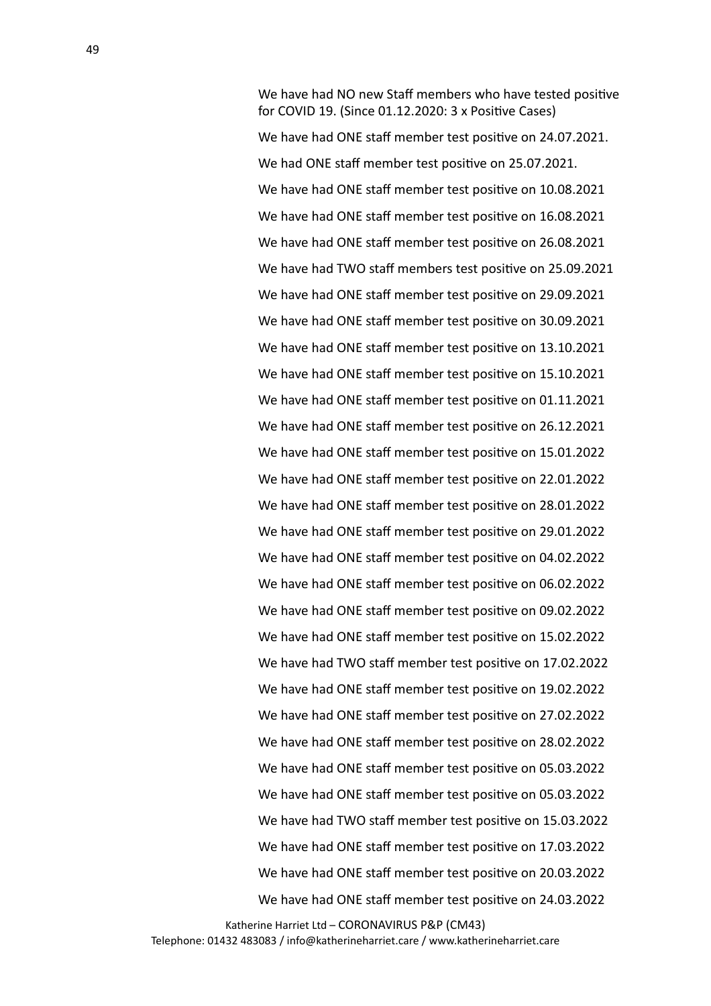We have had NO new Staff members who have tested positive for COVID 19. (Since  $01.12.2020:3x$  Positive Cases) We have had ONE staff member test positive on 24.07.2021. We had ONE staff member test positive on 25.07.2021. We have had ONE staff member test positive on 10.08.2021 We have had ONE staff member test positive on 16.08.2021 We have had ONE staff member test positive on 26.08.2021 We have had TWO staff members test positive on 25.09.2021 We have had ONE staff member test positive on 29.09.2021 We have had ONE staff member test positive on 30.09.2021 We have had ONE staff member test positive on 13.10.2021 We have had ONE staff member test positive on 15.10.2021 We have had ONE staff member test positive on 01.11.2021 We have had ONE staff member test positive on 26.12.2021 We have had ONE staff member test positive on 15.01.2022 We have had ONE staff member test positive on 22.01.2022 We have had ONE staff member test positive on 28.01.2022 We have had ONE staff member test positive on 29.01.2022 We have had ONE staff member test positive on 04.02.2022 We have had ONE staff member test positive on 06.02.2022 We have had ONE staff member test positive on 09.02.2022 We have had ONE staff member test positive on 15.02.2022 We have had TWO staff member test positive on 17.02.2022 We have had ONE staff member test positive on 19.02.2022 We have had ONE staff member test positive on 27.02.2022 We have had ONE staff member test positive on 28.02.2022 We have had ONE staff member test positive on 05.03.2022 We have had ONE staff member test positive on 05.03.2022 We have had TWO staff member test positive on 15.03.2022 We have had ONE staff member test positive on 17.03.2022 We have had ONE staff member test positive on 20.03.2022 We have had ONE staff member test positive on 24.03.2022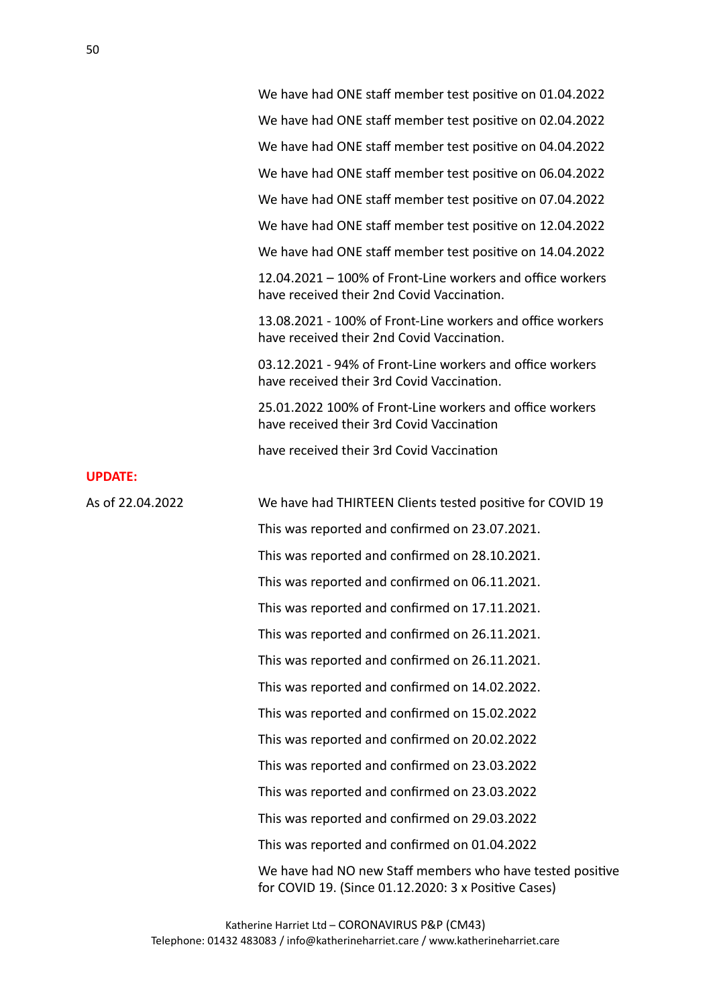We have had ONE staff member test positive on 01.04.2022 We have had ONE staff member test positive on 02.04.2022 We have had ONE staff member test positive on 04.04.2022 We have had ONE staff member test positive on 06.04.2022 We have had ONE staff member test positive on 07.04.2022 We have had ONE staff member test positive on 12.04.2022 We have had ONE staff member test positive on 14.04.2022  $12.04.2021 - 100\%$  of Front-Line workers and office workers have received their 2nd Covid Vaccination. 13.08.2021 - 100% of Front-Line workers and office workers have received their 2nd Covid Vaccination. 03.12.2021 - 94% of Front-Line workers and office workers have received their 3rd Covid Vaccination. 25.01.2022 100% of Front-Line workers and office workers have received their 3rd Covid Vaccination

have received their 3rd Covid Vaccination

| As of 22.04.2022 | We have had THIRTEEN Clients tested positive for COVID 19                                                         |
|------------------|-------------------------------------------------------------------------------------------------------------------|
|                  | This was reported and confirmed on 23.07.2021.                                                                    |
|                  | This was reported and confirmed on 28.10.2021.                                                                    |
|                  | This was reported and confirmed on 06.11.2021.                                                                    |
|                  | This was reported and confirmed on 17.11.2021.                                                                    |
|                  | This was reported and confirmed on 26.11.2021.                                                                    |
|                  | This was reported and confirmed on 26.11.2021.                                                                    |
|                  | This was reported and confirmed on 14.02.2022.                                                                    |
|                  | This was reported and confirmed on 15.02.2022                                                                     |
|                  | This was reported and confirmed on 20.02.2022                                                                     |
|                  | This was reported and confirmed on 23.03.2022                                                                     |
|                  | This was reported and confirmed on 23.03.2022                                                                     |
|                  | This was reported and confirmed on 29.03.2022                                                                     |
|                  | This was reported and confirmed on 01.04.2022                                                                     |
|                  | We have had NO new Staff members who have tested positive<br>for COVID 19. (Since 01.12.2020: 3 x Positive Cases) |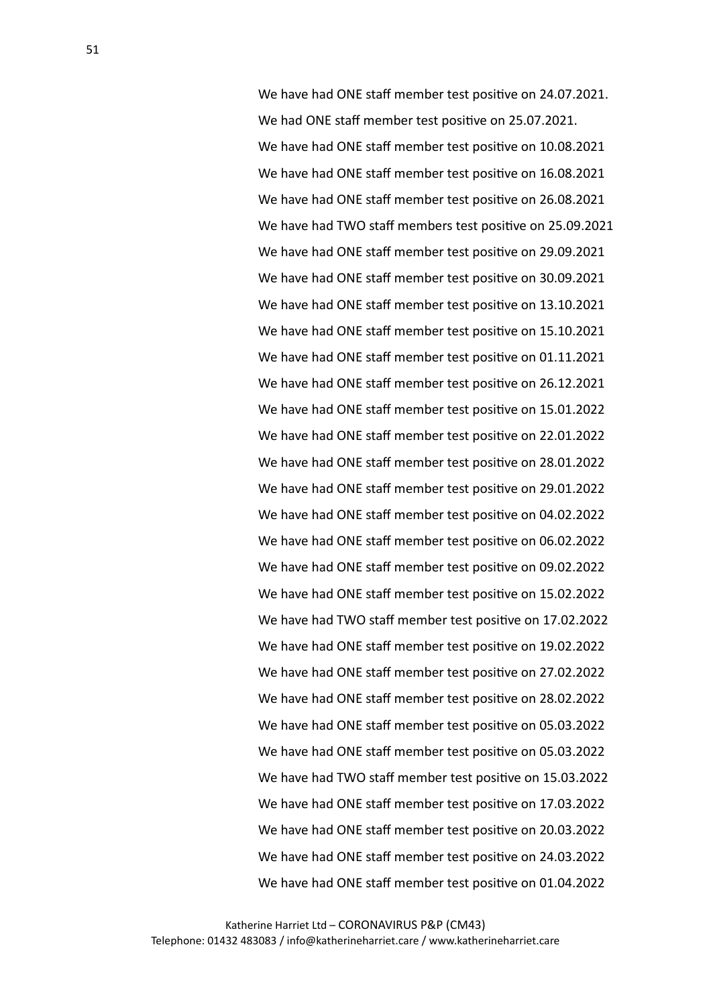We have had ONE staff member test positive on 24.07.2021. We had ONE staff member test positive on 25.07.2021. We have had ONE staff member test positive on 10.08.2021 We have had ONE staff member test positive on 16.08.2021 We have had ONE staff member test positive on 26.08.2021 We have had TWO staff members test positive on 25.09.2021 We have had ONE staff member test positive on 29.09.2021 We have had ONE staff member test positive on 30.09.2021 We have had ONE staff member test positive on 13.10.2021 We have had ONE staff member test positive on 15.10.2021 We have had ONE staff member test positive on 01.11.2021 We have had ONE staff member test positive on 26.12.2021 We have had ONE staff member test positive on 15.01.2022 We have had ONE staff member test positive on 22.01.2022 We have had ONE staff member test positive on 28.01.2022 We have had ONE staff member test positive on 29.01.2022 We have had ONE staff member test positive on 04.02.2022 We have had ONE staff member test positive on 06.02.2022 We have had ONE staff member test positive on 09.02.2022 We have had ONE staff member test positive on 15.02.2022 We have had TWO staff member test positive on 17.02.2022 We have had ONE staff member test positive on 19.02.2022 We have had ONE staff member test positive on 27.02.2022 We have had ONE staff member test positive on 28.02.2022 We have had ONE staff member test positive on 05.03.2022 We have had ONE staff member test positive on 05.03.2022 We have had TWO staff member test positive on 15.03.2022 We have had ONE staff member test positive on 17.03.2022 We have had ONE staff member test positive on 20.03.2022 We have had ONE staff member test positive on 24.03.2022 We have had ONE staff member test positive on 01.04.2022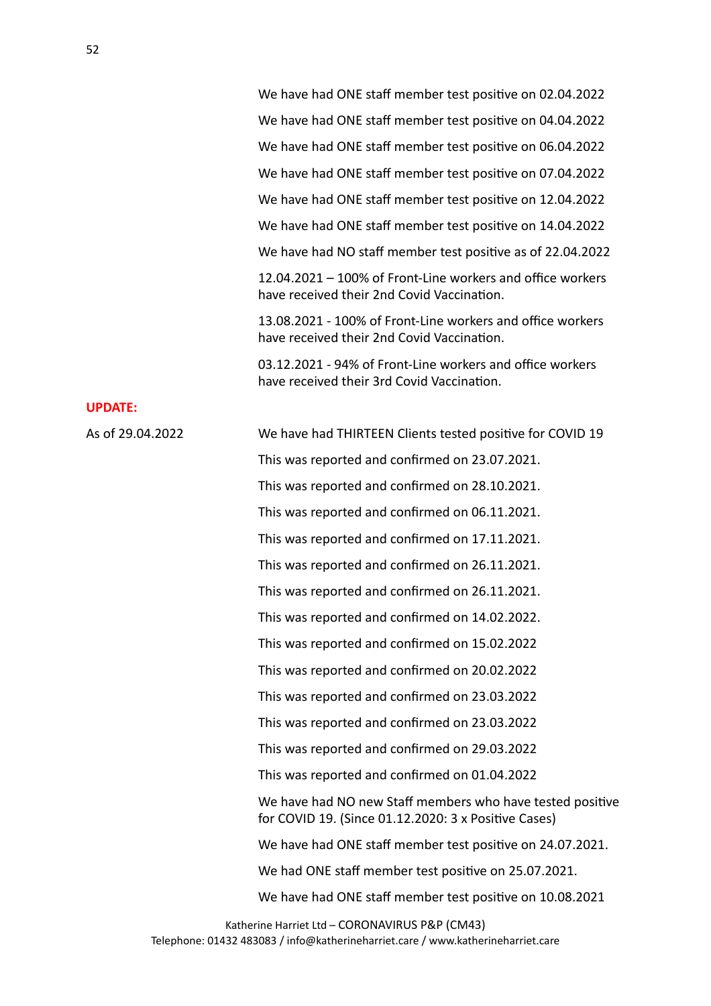We have had ONE staff member test positive on 02.04.2022 We have had ONE staff member test positive on 04.04.2022 We have had ONE staff member test positive on 06.04.2022 We have had ONE staff member test positive on 07.04.2022 We have had ONE staff member test positive on 12.04.2022 We have had ONE staff member test positive on 14.04.2022 We have had NO staff member test positive as of 22.04.2022  $12.04.2021 - 100\%$  of Front-Line workers and office workers have received their 2nd Covid Vaccination. 13.08.2021 - 100% of Front-Line workers and office workers have received their 2nd Covid Vaccination. 03.12.2021 - 94% of Front-Line workers and office workers have received their 3rd Covid Vaccination. **UPDATE:** As of 29.04.2022 We have had THIRTEEN Clients tested positive for COVID 19 This was reported and confirmed on 23.07.2021. This was reported and confirmed on 28.10.2021. This was reported and confirmed on 06.11.2021. This was reported and confirmed on 17.11.2021. This was reported and confirmed on 26.11.2021. This was reported and confirmed on 26.11.2021. This was reported and confirmed on 14.02.2022. This was reported and confirmed on 15.02.2022 This was reported and confirmed on 20.02.2022 This was reported and confirmed on 23.03.2022 This was reported and confirmed on 23.03.2022 This was reported and confirmed on 29.03.2022 This was reported and confirmed on 01.04.2022 We have had NO new Staff members who have tested positive for COVID 19. (Since  $01.12.2020:3x$  Positive Cases) We have had ONE staff member test positive on 24.07.2021. We had ONE staff member test positive on 25.07.2021. We have had ONE staff member test positive on 10.08.2021 Katherine Harriet Ltd - CORONAVIRUS P&P (CM43)

Telephone: 01432 483083 / info@katherineharriet.care / www.katherineharriet.care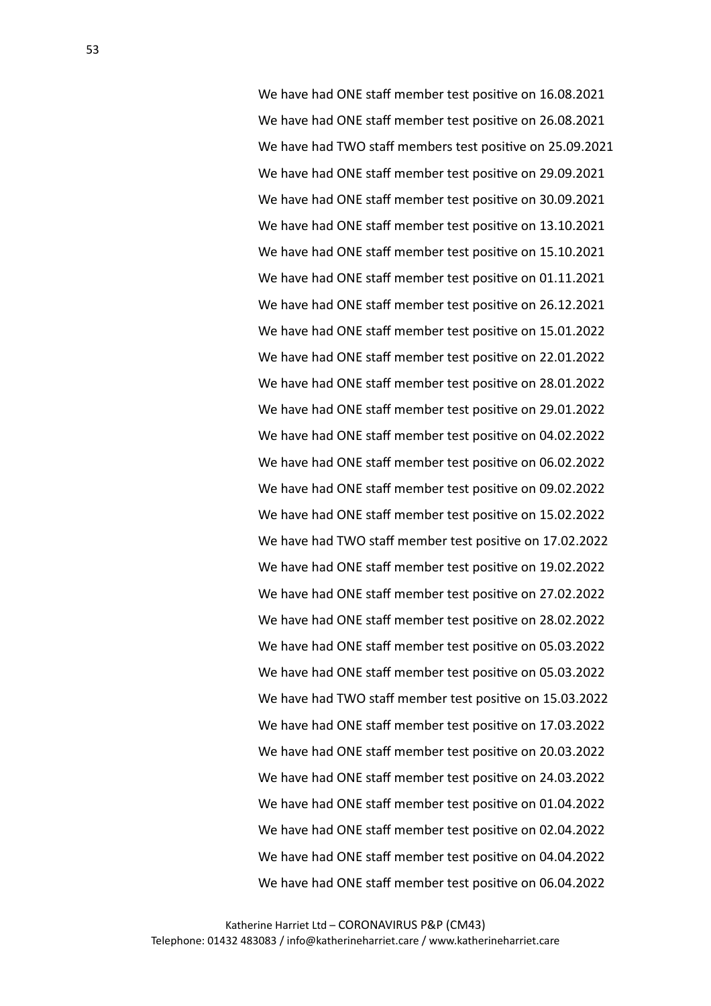We have had ONE staff member test positive on 16.08.2021 We have had ONE staff member test positive on 26.08.2021 We have had TWO staff members test positive on 25.09.2021 We have had ONE staff member test positive on 29.09.2021 We have had ONE staff member test positive on 30.09.2021 We have had ONE staff member test positive on 13.10.2021 We have had ONE staff member test positive on 15.10.2021 We have had ONE staff member test positive on 01.11.2021 We have had ONE staff member test positive on 26.12.2021 We have had ONE staff member test positive on 15.01.2022 We have had ONE staff member test positive on 22.01.2022 We have had ONE staff member test positive on 28.01.2022 We have had ONE staff member test positive on 29.01.2022 We have had ONE staff member test positive on 04.02.2022 We have had ONE staff member test positive on 06.02.2022 We have had ONE staff member test positive on 09.02.2022 We have had ONE staff member test positive on 15.02.2022 We have had TWO staff member test positive on 17.02.2022 We have had ONE staff member test positive on 19.02.2022 We have had ONE staff member test positive on 27.02.2022 We have had ONE staff member test positive on 28.02.2022 We have had ONE staff member test positive on 05.03.2022 We have had ONE staff member test positive on 05.03.2022 We have had TWO staff member test positive on 15.03.2022 We have had ONE staff member test positive on 17.03.2022 We have had ONE staff member test positive on 20.03.2022 We have had ONE staff member test positive on 24.03.2022 We have had ONE staff member test positive on 01.04.2022 We have had ONE staff member test positive on 02.04.2022 We have had ONE staff member test positive on 04.04.2022 We have had ONE staff member test positive on 06.04.2022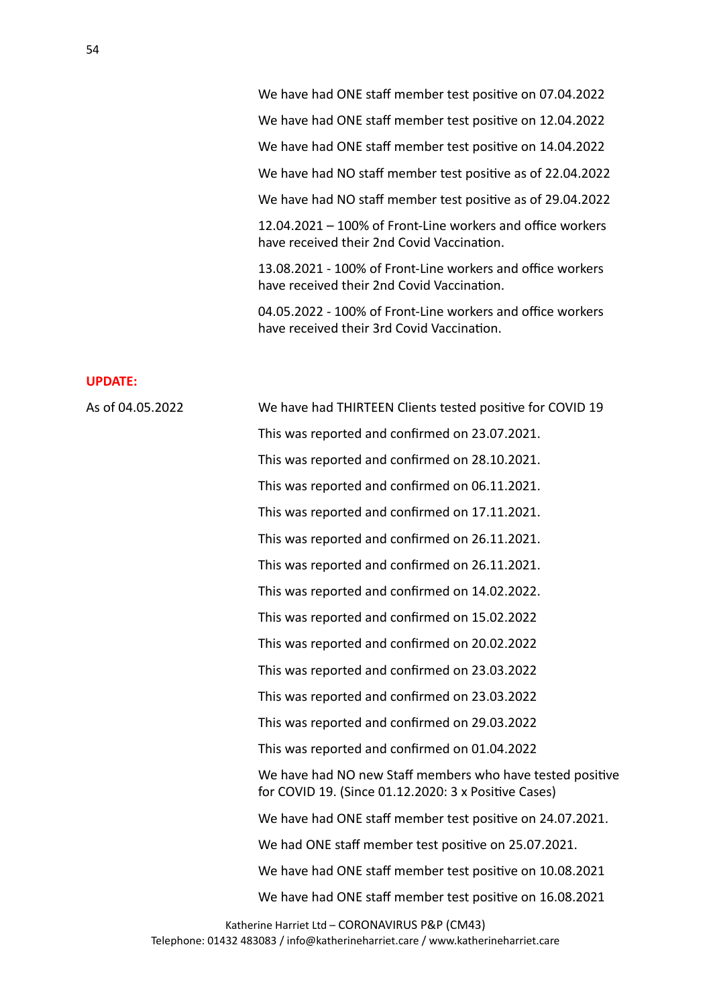We have had ONE staff member test positive on 12.04.2022

We have had ONE staff member test positive on 14.04.2022

We have had NO staff member test positive as of 22.04.2022

We have had NO staff member test positive as of 29.04.2022

 $12.04.2021 - 100\%$  of Front-Line workers and office workers have received their 2nd Covid Vaccination.

13.08.2021 - 100% of Front-Line workers and office workers have received their 2nd Covid Vaccination.

04.05.2022 - 100% of Front-Line workers and office workers have received their 3rd Covid Vaccination.

### **UPDATE:**

| As of 04.05.2022 | We have had THIRTEEN Clients tested positive for COVID 19                                                         |
|------------------|-------------------------------------------------------------------------------------------------------------------|
|                  | This was reported and confirmed on 23.07.2021.                                                                    |
|                  | This was reported and confirmed on 28.10.2021.                                                                    |
|                  | This was reported and confirmed on 06.11.2021.                                                                    |
|                  | This was reported and confirmed on 17.11.2021.                                                                    |
|                  | This was reported and confirmed on 26.11.2021.                                                                    |
|                  | This was reported and confirmed on 26.11.2021.                                                                    |
|                  | This was reported and confirmed on 14.02.2022.                                                                    |
|                  | This was reported and confirmed on 15.02.2022                                                                     |
|                  | This was reported and confirmed on 20.02.2022                                                                     |
|                  | This was reported and confirmed on 23.03.2022                                                                     |
|                  | This was reported and confirmed on 23.03.2022                                                                     |
|                  | This was reported and confirmed on 29.03.2022                                                                     |
|                  | This was reported and confirmed on 01.04.2022                                                                     |
|                  | We have had NO new Staff members who have tested positive<br>for COVID 19. (Since 01.12.2020: 3 x Positive Cases) |
|                  | We have had ONE staff member test positive on 24.07.2021.                                                         |
|                  | We had ONE staff member test positive on 25.07.2021.                                                              |
|                  | We have had ONE staff member test positive on 10.08.2021                                                          |
|                  | We have had ONE staff member test positive on 16.08.2021                                                          |
|                  |                                                                                                                   |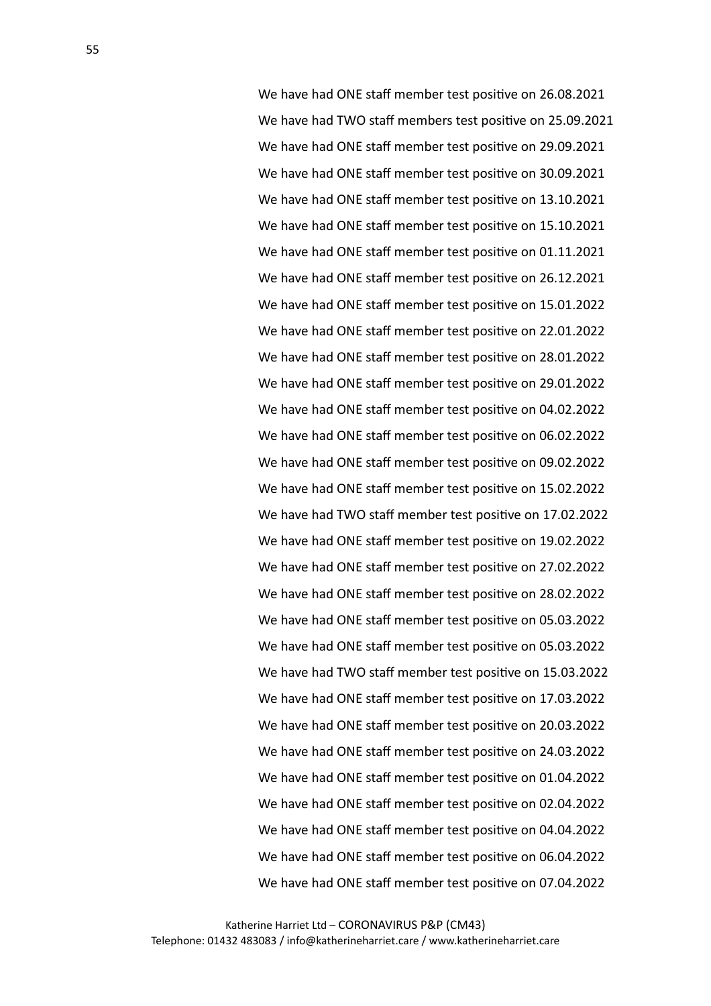We have had ONE staff member test positive on 26.08.2021 We have had TWO staff members test positive on 25.09.2021 We have had ONE staff member test positive on 29.09.2021 We have had ONE staff member test positive on 30.09.2021 We have had ONE staff member test positive on 13.10.2021 We have had ONE staff member test positive on 15.10.2021 We have had ONE staff member test positive on 01.11.2021 We have had ONE staff member test positive on 26.12.2021 We have had ONE staff member test positive on 15.01.2022 We have had ONE staff member test positive on 22.01.2022 We have had ONE staff member test positive on 28.01.2022 We have had ONE staff member test positive on 29.01.2022 We have had ONE staff member test positive on 04.02.2022 We have had ONE staff member test positive on 06.02.2022 We have had ONE staff member test positive on 09.02.2022 We have had ONE staff member test positive on 15.02.2022 We have had TWO staff member test positive on 17.02.2022 We have had ONE staff member test positive on 19.02.2022 We have had ONE staff member test positive on 27.02.2022 We have had ONE staff member test positive on 28.02.2022 We have had ONE staff member test positive on 05.03.2022 We have had ONE staff member test positive on 05.03.2022 We have had TWO staff member test positive on 15.03.2022 We have had ONE staff member test positive on 17.03.2022 We have had ONE staff member test positive on 20.03.2022 We have had ONE staff member test positive on 24.03.2022 We have had ONE staff member test positive on 01.04.2022 We have had ONE staff member test positive on 02.04.2022 We have had ONE staff member test positive on 04.04.2022 We have had ONE staff member test positive on 06.04.2022 We have had ONE staff member test positive on 07.04.2022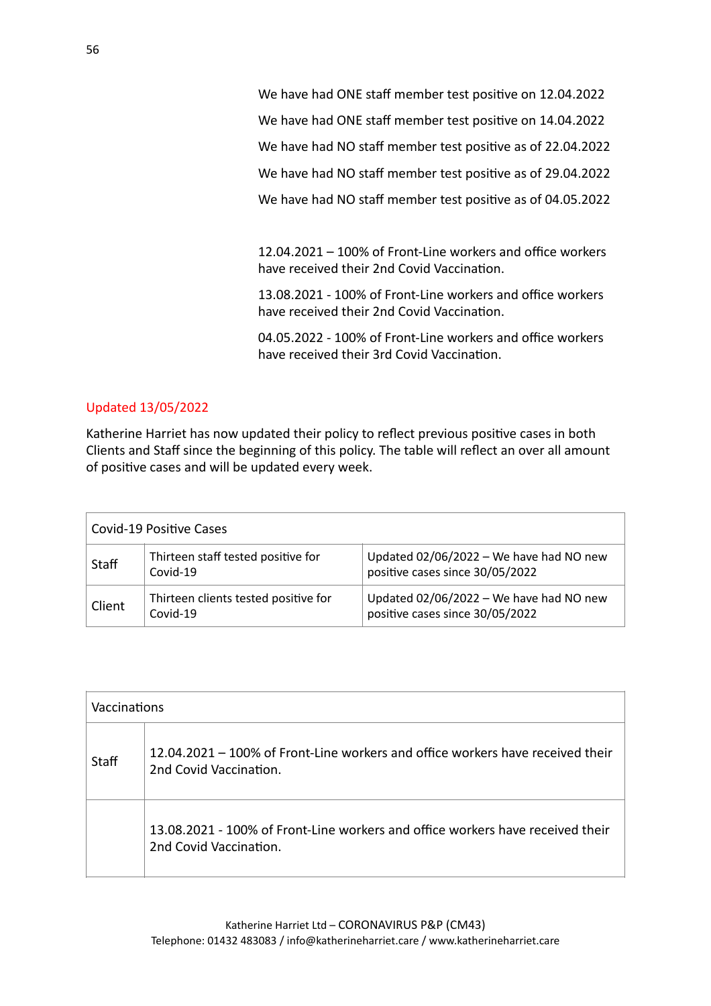We have had ONE staff member test positive on 12.04.2022 We have had ONE staff member test positive on 14.04.2022 We have had NO staff member test positive as of 22.04.2022 We have had NO staff member test positive as of 29.04.2022 We have had NO staff member test positive as of 04.05.2022

 $12.04.2021 - 100\%$  of Front-Line workers and office workers have received their 2nd Covid Vaccination.

13.08.2021 - 100% of Front-Line workers and office workers have received their 2nd Covid Vaccination.

04.05.2022 - 100% of Front-Line workers and office workers have received their 3rd Covid Vaccination.

# Updated 13/05/2022

Katherine Harriet has now updated their policy to reflect previous positive cases in both Clients and Staff since the beginning of this policy. The table will reflect an over all amount of positive cases and will be updated every week.

| Covid-19 Positive Cases |                                                  |                                                                              |
|-------------------------|--------------------------------------------------|------------------------------------------------------------------------------|
| Staff                   | Thirteen staff tested positive for<br>Covid-19   | Updated $02/06/2022$ – We have had NO new<br>positive cases since 30/05/2022 |
| Client                  | Thirteen clients tested positive for<br>Covid-19 | Updated $02/06/2022$ – We have had NO new<br>positive cases since 30/05/2022 |

| Vaccinations |                                                                                                          |
|--------------|----------------------------------------------------------------------------------------------------------|
| <b>Staff</b> | 12.04.2021 – 100% of Front-Line workers and office workers have received their<br>2nd Covid Vaccination. |
|              | 13.08.2021 - 100% of Front-Line workers and office workers have received their<br>2nd Covid Vaccination. |